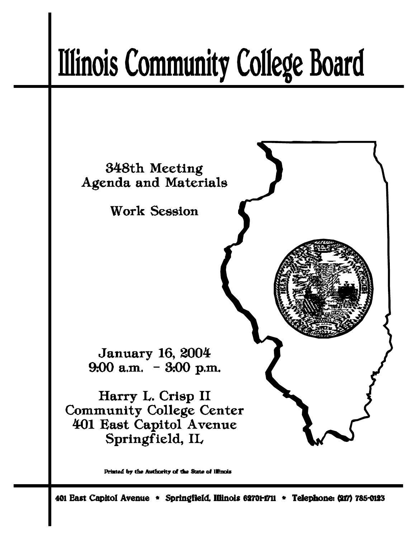# **Illinois Community College Board**



Printed by the Authority of the State of Illinois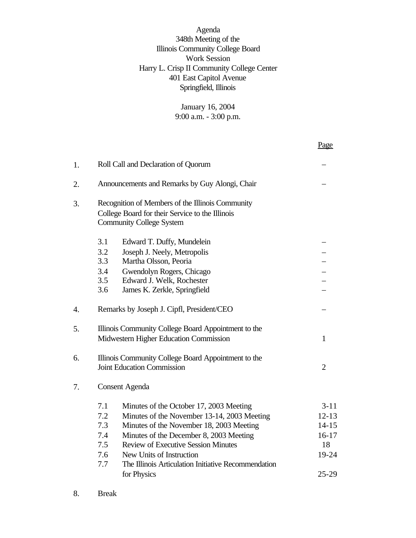Agenda 348th Meeting of the Illinois Community College Board Work Session Harry L. Crisp II Community College Center 401 East Capitol Avenue Springfield, Illinois

> January 16, 2004 9:00 a.m. - 3:00 p.m.

|    |                                                                                                                                                                                                                                                                                                                                                                                | Page                                                                        |
|----|--------------------------------------------------------------------------------------------------------------------------------------------------------------------------------------------------------------------------------------------------------------------------------------------------------------------------------------------------------------------------------|-----------------------------------------------------------------------------|
| 1. | Roll Call and Declaration of Quorum                                                                                                                                                                                                                                                                                                                                            |                                                                             |
| 2. | Announcements and Remarks by Guy Alongi, Chair                                                                                                                                                                                                                                                                                                                                 |                                                                             |
| 3. | Recognition of Members of the Illinois Community<br>College Board for their Service to the Illinois<br><b>Community College System</b>                                                                                                                                                                                                                                         |                                                                             |
|    | 3.1<br>Edward T. Duffy, Mundelein<br>3.2<br>Joseph J. Neely, Metropolis<br>3.3<br>Martha Olsson, Peoria<br>3.4<br>Gwendolyn Rogers, Chicago<br>3.5<br>Edward J. Welk, Rochester<br>3.6<br>James K. Zerkle, Springfield                                                                                                                                                         |                                                                             |
| 4. | Remarks by Joseph J. Cipfl, President/CEO                                                                                                                                                                                                                                                                                                                                      |                                                                             |
| 5. | Illinois Community College Board Appointment to the<br>Midwestern Higher Education Commission                                                                                                                                                                                                                                                                                  | $\mathbf{1}$                                                                |
| 6. | Illinois Community College Board Appointment to the<br><b>Joint Education Commission</b>                                                                                                                                                                                                                                                                                       | $\overline{2}$                                                              |
| 7. | <b>Consent Agenda</b>                                                                                                                                                                                                                                                                                                                                                          |                                                                             |
|    | 7.1<br>Minutes of the October 17, 2003 Meeting<br>7.2<br>Minutes of the November 13-14, 2003 Meeting<br>7.3<br>Minutes of the November 18, 2003 Meeting<br>Minutes of the December 8, 2003 Meeting<br>7.4<br><b>Review of Executive Session Minutes</b><br>7.5<br>New Units of Instruction<br>7.6<br>The Illinois Articulation Initiative Recommendation<br>7.7<br>for Physics | $3 - 11$<br>$12 - 13$<br>$14 - 15$<br>$16 - 17$<br>18<br>19-24<br>$25 - 29$ |

8. Break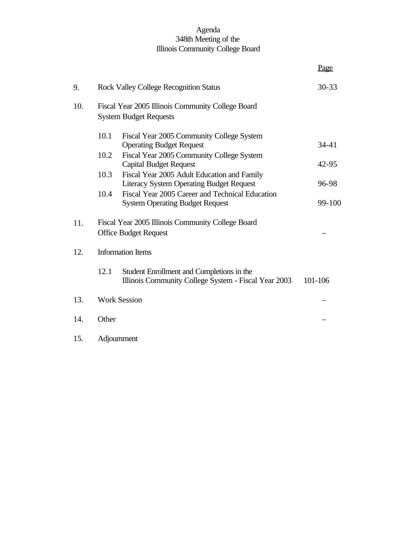## Agenda 348th Meeting of the Illinois Community College Board

|     |                                                                                                           | Page      |
|-----|-----------------------------------------------------------------------------------------------------------|-----------|
| 9.  | <b>Rock Valley College Recognition Status</b>                                                             | $30 - 33$ |
| 10. | Fiscal Year 2005 Illinois Community College Board<br><b>System Budget Requests</b>                        |           |
|     | 10.1<br>Fiscal Year 2005 Community College System<br><b>Operating Budget Request</b>                      | 34-41     |
|     | 10.2<br>Fiscal Year 2005 Community College System<br><b>Capital Budget Request</b>                        | 42-95     |
|     | 10.3<br>Fiscal Year 2005 Adult Education and Family<br><b>Literacy System Operating Budget Request</b>    | 96-98     |
|     | Fiscal Year 2005 Career and Technical Education<br>10.4<br><b>System Operating Budget Request</b>         | 99-100    |
| 11. | Fiscal Year 2005 Illinois Community College Board<br><b>Office Budget Request</b>                         |           |
| 12. | <b>Information Items</b>                                                                                  |           |
|     | 12.1<br>Student Enrollment and Completions in the<br>Illinois Community College System - Fiscal Year 2003 | 101-106   |
| 13. | <b>Work Session</b>                                                                                       |           |
| 14. | Other                                                                                                     |           |
| 15. | Adjournment                                                                                               |           |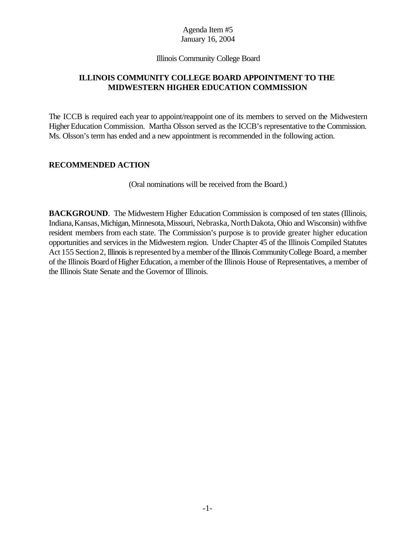#### Illinois Community College Board

## **ILLINOIS COMMUNITY COLLEGE BOARD APPOINTMENT TO THE MIDWESTERN HIGHER EDUCATION COMMISSION**

The ICCB is required each year to appoint/reappoint one of its members to served on the Midwestern Higher Education Commission. Martha Olsson served as the ICCB's representative to the Commission. Ms. Olsson's term has ended and a new appointment is recommended in the following action.

#### **RECOMMENDED ACTION**

(Oral nominations will be received from the Board.)

**BACKGROUND.** The Midwestern Higher Education Commission is composed of ten states (Illinois, Indiana,Kansas,Michigan,Minnesota,Missouri, Nebraska, NorthDakota, Ohio and Wisconsin) withfive resident members from each state. The Commission's purpose is to provide greater higher education opportunities and services in the Midwestern region. UnderChapter 45 of the Illinois Compiled Statutes Act 155 Section 2, Illinois is represented by a member of the Illinois Community College Board, a member of the Illinois Board of Higher Education, a member of the Illinois House of Representatives, a member of the Illinois State Senate and the Governor of Illinois.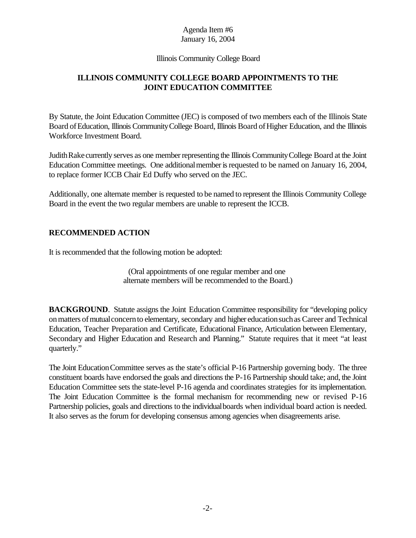#### Illinois Community College Board

# **ILLINOIS COMMUNITY COLLEGE BOARD APPOINTMENTS TO THE JOINT EDUCATION COMMITTEE**

By Statute, the Joint Education Committee (JEC) is composed of two members each of the Illinois State Board of Education, Illinois Community College Board, Illinois Board of Higher Education, and the Illinois Workforce Investment Board.

JudithRake currently serves as one memberrepresenting the Illinois CommunityCollege Board at the Joint Education Committee meetings. One additional member is requested to be named on January 16, 2004, to replace former ICCB Chair Ed Duffy who served on the JEC.

Additionally, one alternate member is requested to be named to represent the Illinois Community College Board in the event the two regular members are unable to represent the ICCB.

# **RECOMMENDED ACTION**

It is recommended that the following motion be adopted:

(Oral appointments of one regular member and one alternate members will be recommended to the Board.)

**BACKGROUND.** Statute assigns the Joint Education Committee responsibility for "developing policy onmatters ofmutualconcernto elementary, secondary and higher educationsuchas Career and Technical Education, Teacher Preparation and Certificate, Educational Finance, Articulation between Elementary, Secondary and Higher Education and Research and Planning." Statute requires that it meet "at least quarterly."

The Joint EducationCommittee serves as the state's official P-16 Partnership governing body. The three constituent boards have endorsed the goals and directions the P-16 Partnership should take; and, the Joint Education Committee sets the state-level P-16 agenda and coordinates strategies for its implementation. The Joint Education Committee is the formal mechanism for recommending new or revised P-16 Partnership policies, goals and directions to the individualboards when individual board action is needed. It also serves as the forum for developing consensus among agencies when disagreements arise.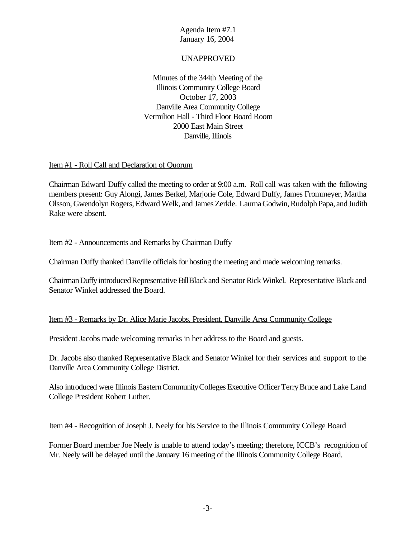#### UNAPPROVED

Minutes of the 344th Meeting of the Illinois Community College Board October 17, 2003 Danville Area Community College Vermilion Hall - Third Floor Board Room 2000 East Main Street Danville, Illinois

#### Item #1 - Roll Call and Declaration of Quorum

Chairman Edward Duffy called the meeting to order at 9:00 a.m. Roll call was taken with the following members present: Guy Alongi, James Berkel, Marjorie Cole, Edward Duffy, James Frommeyer, Martha Olsson, GwendolynRogers, Edward Welk, and James Zerkle. Laurna Godwin, Rudolph Papa, and Judith Rake were absent.

#### Item #2 - Announcements and Remarks by Chairman Duffy

Chairman Duffy thanked Danville officials for hosting the meeting and made welcoming remarks.

ChairmanDuffyintroducedRepresentativeBillBlack and Senator RickWinkel. Representative Black and Senator Winkel addressed the Board.

# Item #3 - Remarks by Dr. Alice Marie Jacobs, President, Danville Area Community College

President Jacobs made welcoming remarks in her address to the Board and guests.

Dr. Jacobs also thanked Representative Black and Senator Winkel for their services and support to the Danville Area Community College District.

Also introduced were Illinois EasternCommunityColleges Executive OfficerTerryBruce and Lake Land College President Robert Luther.

#### Item #4 - Recognition of Joseph J. Neely for his Service to the Illinois Community College Board

Former Board member Joe Neely is unable to attend today's meeting; therefore, ICCB's recognition of Mr. Neely will be delayed until the January 16 meeting of the Illinois Community College Board.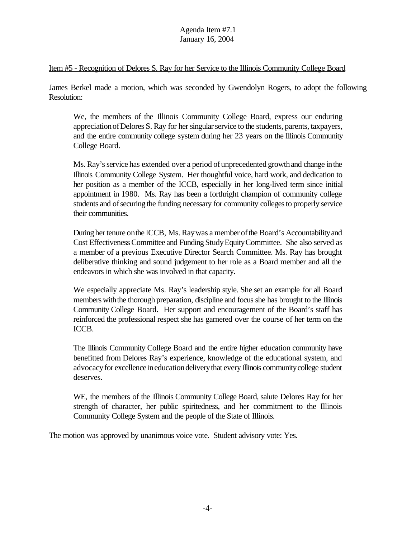#### Item #5 - Recognition of Delores S. Ray for her Service to the Illinois Community College Board

James Berkel made a motion, which was seconded by Gwendolyn Rogers, to adopt the following Resolution:

We, the members of the Illinois Community College Board, express our enduring appreciation of Delores S. Ray for her singular service to the students, parents, taxpayers, and the entire community college system during her 23 years on the Illinois Community College Board.

Ms. Ray's service has extended over a period of unprecedented growth and change in the Illinois Community College System. Her thoughtful voice, hard work, and dedication to her position as a member of the ICCB, especially in her long-lived term since initial appointment in 1980. Ms. Ray has been a forthright champion of community college students and of securing the funding necessary for community colleges to properly service their communities.

During her tenure on the ICCB, Ms. Ray was a member of the Board's Accountability and Cost EffectivenessCommittee and Funding StudyEquityCommittee. She also served as a member of a previous Executive Director Search Committee. Ms. Ray has brought deliberative thinking and sound judgement to her role as a Board member and all the endeavors in which she was involved in that capacity.

We especially appreciate Ms. Ray's leadership style. She set an example for all Board members with the thorough preparation, discipline and focus she has brought to the Illinois Community College Board. Her support and encouragement of the Board's staff has reinforced the professional respect she has garnered over the course of her term on the ICCB.

The Illinois Community College Board and the entire higher education community have benefitted from Delores Ray's experience, knowledge of the educational system, and advocacy for excellence in education delivery that every Illinois community college student deserves.

WE, the members of the Illinois Community College Board, salute Delores Ray for her strength of character, her public spiritedness, and her commitment to the Illinois Community College System and the people of the State of Illinois.

The motion was approved by unanimous voice vote. Student advisory vote: Yes.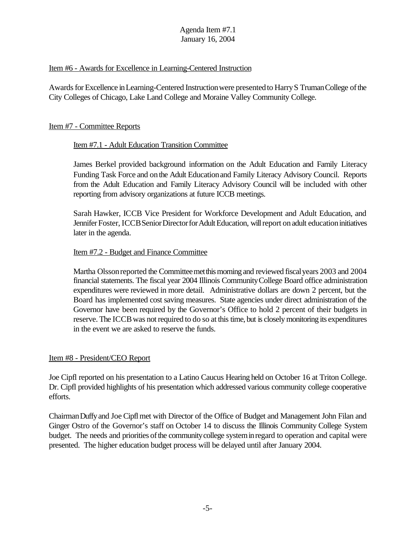#### Item #6 - Awards for Excellence in Learning-Centered Instruction

Awards for Excellence in Learning-Centered Instruction were presented to Harry S Truman College of the City Colleges of Chicago, Lake Land College and Moraine Valley Community College.

#### Item #7 - Committee Reports

#### Item #7.1 - Adult Education Transition Committee

James Berkel provided background information on the Adult Education and Family Literacy Funding Task Force and onthe Adult Educationand Family Literacy Advisory Council. Reports from the Adult Education and Family Literacy Advisory Council will be included with other reporting from advisory organizations at future ICCB meetings.

Sarah Hawker, ICCB Vice President for Workforce Development and Adult Education, and Jennifer Foster, ICCB Senior Director for Adult Education, will report on adult education initiatives later in the agenda.

#### Item #7.2 - Budget and Finance Committee

Martha Olsson reported the Committee met this morning and reviewed fiscal years 2003 and 2004 financial statements. The fiscal year 2004 Illinois CommunityCollege Board office administration expenditures were reviewed in more detail. Administrative dollars are down 2 percent, but the Board has implemented cost saving measures. State agencies under direct administration of the Governor have been required by the Governor's Office to hold 2 percent of their budgets in reserve. The ICCBwas notrequired to do so at this time, but is closelymonitoring its expenditures in the event we are asked to reserve the funds.

#### Item #8 - President/CEO Report

Joe Cipfl reported on his presentation to a Latino Caucus Hearing held on October 16 at Triton College. Dr. Cipfl provided highlights of his presentation which addressed various community college cooperative efforts.

ChairmanDuffyand Joe Cipflmet with Director of the Office of Budget and Management John Filan and Ginger Ostro of the Governor's staff on October 14 to discuss the Illinois Community College System budget. The needs and priorities of the community college system in regard to operation and capital were presented. The higher education budget process will be delayed until after January 2004.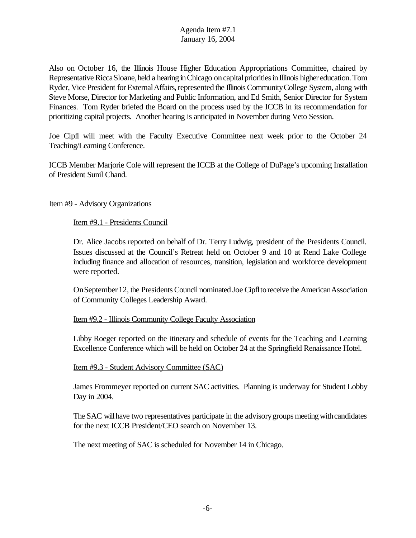Also on October 16, the Illinois House Higher Education Appropriations Committee, chaired by Representative Ricca Sloane, held a hearing in Chicago on capital priorities in Illinois higher education. Tom Ryder, Vice President for External Affairs, represented the Illinois Community College System, along with Steve Morse, Director for Marketing and Public Information, and Ed Smith, Senior Director for System Finances. Tom Ryder briefed the Board on the process used by the ICCB in its recommendation for prioritizing capital projects. Another hearing is anticipated in November during Veto Session.

Joe Cipfl will meet with the Faculty Executive Committee next week prior to the October 24 Teaching/Learning Conference.

ICCB Member Marjorie Cole will represent the ICCB at the College of DuPage's upcoming Installation of President Sunil Chand.

#### Item #9 - Advisory Organizations

Item #9.1 - Presidents Council

Dr. Alice Jacobs reported on behalf of Dr. Terry Ludwig, president of the Presidents Council. Issues discussed at the Council's Retreat held on October 9 and 10 at Rend Lake College including finance and allocation of resources, transition, legislation and workforce development were reported.

On September 12, the Presidents Council nominated Joe Cipfl to receive the American Association of Community Colleges Leadership Award.

# Item #9.2 - Illinois Community College Faculty Association

Libby Roeger reported on the itinerary and schedule of events for the Teaching and Learning Excellence Conference which will be held on October 24 at the Springfield Renaissance Hotel.

#### Item #9.3 - Student Advisory Committee (SAC)

James Frommeyer reported on current SAC activities. Planning is underway for Student Lobby Day in 2004.

The SAC will have two representatives participate in the advisory groups meeting with candidates for the next ICCB President/CEO search on November 13.

The next meeting of SAC is scheduled for November 14 in Chicago.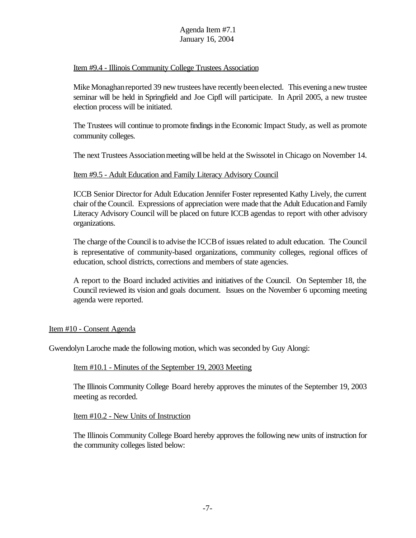#### Item #9.4 - Illinois Community College Trustees Association

Mike Monaghan reported 39 new trustees have recently been elected. This evening a new trustee seminar will be held in Springfield and Joe Cipfl will participate. In April 2005, a new trustee election process will be initiated.

The Trustees will continue to promote findings in the Economic Impact Study, as well as promote community colleges.

The next Trustees Association meeting will be held at the Swissotel in Chicago on November 14.

#### Item #9.5 - Adult Education and Family Literacy Advisory Council

ICCB Senior Director for Adult Education Jennifer Foster represented Kathy Lively, the current chair ofthe Council. Expressions of appreciation were made that the Adult Educationand Family Literacy Advisory Council will be placed on future ICCB agendas to report with other advisory organizations.

The charge of the Council is to advise the ICCB of issues related to adult education. The Council is representative of community-based organizations, community colleges, regional offices of education, school districts, corrections and members of state agencies.

A report to the Board included activities and initiatives of the Council. On September 18, the Council reviewed its vision and goals document. Issues on the November 6 upcoming meeting agenda were reported.

#### Item #10 - Consent Agenda

Gwendolyn Laroche made the following motion, which was seconded by Guy Alongi:

#### Item #10.1 - Minutes of the September 19, 2003 Meeting

The Illinois Community College Board hereby approves the minutes of the September 19, 2003 meeting as recorded.

#### Item #10.2 - New Units of Instruction

The Illinois Community College Board hereby approves the following new units of instruction for the community colleges listed below: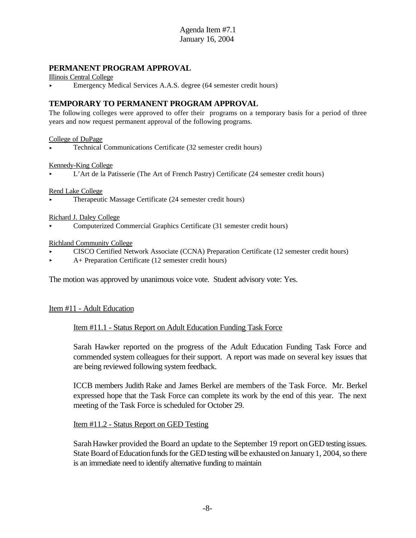#### **PERMANENT PROGRAM APPROVAL**

Illinois Central College

< Emergency Medical Services A.A.S. degree (64 semester credit hours)

#### **TEMPORARY TO PERMANENT PROGRAM APPROVAL**

The following colleges were approved to offer their programs on a temporary basis for a period of three years and now request permanent approval of the following programs.

College of DuPage

< Technical Communications Certificate (32 semester credit hours)

#### Kennedy-King College

< L'Art de la Patisserie (The Art of French Pastry) Certificate (24 semester credit hours)

#### Rend Lake College

< Therapeutic Massage Certificate (24 semester credit hours)

Richard J. Daley College

< Computerized Commercial Graphics Certificate (31 semester credit hours)

#### Richland Community College

- < CISCO Certified Network Associate (CCNA) Preparation Certificate (12 semester credit hours)
- < A+ Preparation Certificate (12 semester credit hours)

The motion was approved by unanimous voice vote. Student advisory vote: Yes.

#### Item #11 - Adult Education

#### Item #11.1 - Status Report on Adult Education Funding Task Force

Sarah Hawker reported on the progress of the Adult Education Funding Task Force and commended system colleagues for their support. A report was made on several key issues that are being reviewed following system feedback.

ICCB members Judith Rake and James Berkel are members of the Task Force. Mr. Berkel expressed hope that the Task Force can complete its work by the end of this year. The next meeting of the Task Force is scheduled for October 29.

#### Item #11.2 - Status Report on GED Testing

Sarah Hawker provided the Board an update to the September 19 report on GED testing issues. State Board of Education funds for the GED testing will be exhausted on January 1, 2004, so there is an immediate need to identify alternative funding to maintain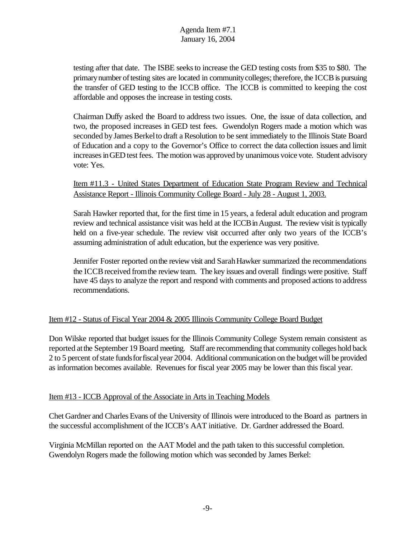testing after that date. The ISBE seeksto increase the GED testing costs from \$35 to \$80. The primary number of testing sites are located in community colleges; therefore, the ICCB is pursuing the transfer of GED testing to the ICCB office. The ICCB is committed to keeping the cost affordable and opposes the increase in testing costs.

Chairman Duffy asked the Board to address two issues. One, the issue of data collection, and two, the proposed increases in GED test fees. Gwendolyn Rogers made a motion which was seconded by James Berkel to draft a Resolution to be sent immediately to the Illinois State Board of Education and a copy to the Governor's Office to correct the data collection issues and limit increases in GED test fees. The motion was approved by unanimous voice vote. Student advisory vote: Yes.

Item #11.3 - United States Department of Education State Program Review and Technical Assistance Report - Illinois Community College Board - July 28 - August 1, 2003.

Sarah Hawker reported that, for the first time in 15 years, a federal adult education and program review and technical assistance visit was held at the ICCB in August. The review visit is typically held on a five-year schedule. The review visit occurred after only two years of the ICCB's assuming administration of adult education, but the experience was very positive.

Jennifer Foster reported on the review visit and Sarah Hawker summarized the recommendations the ICCB received from the review team. The key issues and overall findings were positive. Staff have 45 days to analyze the report and respond with comments and proposed actions to address recommendations.

# Item #12 - Status of Fiscal Year 2004 & 2005 Illinois Community College Board Budget

Don Wilske reported that budget issues for the Illinois Community College System remain consistent as reported atthe September 19 Board meeting. Staff are recommending that community colleges hold back 2 to 5 percent ofstate fundsforfiscalyear 2004. Additional communication on the budget will be provided as information becomes available. Revenues for fiscal year 2005 may be lower than this fiscal year.

# Item #13 - ICCB Approval of the Associate in Arts in Teaching Models

Chet Gardner and Charles Evans of the University of Illinois were introduced to the Board as partners in the successful accomplishment of the ICCB's AAT initiative. Dr. Gardner addressed the Board.

Virginia McMillan reported on the AAT Model and the path taken to this successful completion. Gwendolyn Rogers made the following motion which was seconded by James Berkel: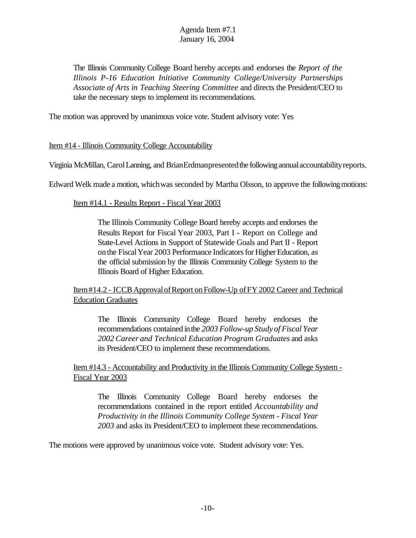The Illinois Community College Board hereby accepts and endorses the *Report of the Illinois P-16 Education Initiative Community College/University Partnerships Associate of Arts in Teaching Steering Committee* and directs the President/CEO to take the necessary steps to implement its recommendations.

The motion was approved by unanimous voice vote. Student advisory vote: Yes

Item #14 - Illinois Community College Accountability

Virginia McMillan, CarolLanning, and BrianErdmanpresentedthe following annualaccountabilityreports.

Edward Welk made a motion, whichwas seconded by Martha Olsson, to approve the followingmotions:

Item #14.1 - Results Report - Fiscal Year 2003

The Illinois Community College Board hereby accepts and endorses the Results Report for Fiscal Year 2003, Part I - Report on College and State-Level Actions in Support of Statewide Goals and Part II - Report on the Fiscal Year 2003 Performance Indicators for Higher Education, as the official submission by the Illinois Community College System to the Illinois Board of Higher Education.

Item#14.2 - ICCB Approval of Report on Follow-Up of FY 2002 Career and Technical Education Graduates

The Illinois Community College Board hereby endorses the recommendations contained inthe *2003 Follow-up Study of Fiscal Year 2002 Career and Technical Education Program Graduates* and asks its President/CEO to implement these recommendations.

Item #14.3 - Accountability and Productivity in the Illinois Community College System - Fiscal Year 2003

The Illinois Community College Board hereby endorses the recommendations contained in the report entitled *Accountability and Productivity in the Illinois Community College System - Fiscal Year 2003* and asks its President/CEO to implement these recommendations.

The motions were approved by unanimous voice vote. Student advisory vote: Yes.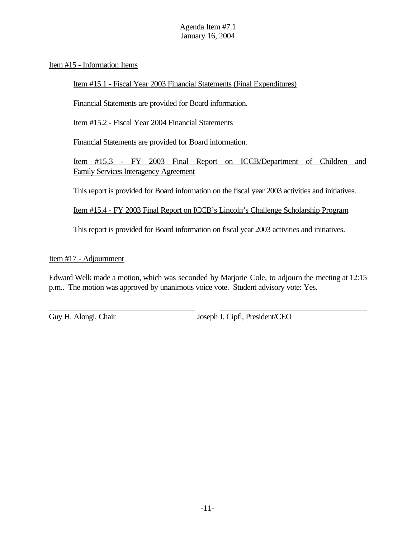Item #15 - Information Items

Item #15.1 - Fiscal Year 2003 Financial Statements (Final Expenditures)

Financial Statements are provided for Board information.

Item #15.2 - Fiscal Year 2004 Financial Statements

Financial Statements are provided for Board information.

Item #15.3 - FY 2003 Final Report on ICCB/Department of Children and Family Services Interagency Agreement

This report is provided for Board information on the fiscal year 2003 activities and initiatives.

Item #15.4 - FY 2003 Final Report on ICCB's Lincoln's Challenge Scholarship Program

This report is provided for Board information on fiscal year 2003 activities and initiatives.

Item #17 - Adjournment

Edward Welk made a motion, which was seconded by Marjorie Cole, to adjourn the meeting at 12:15 p.m.. The motion was approved by unanimous voice vote. Student advisory vote: Yes.

Guy H. Alongi, Chair Joseph J. Cipfl, President/CEO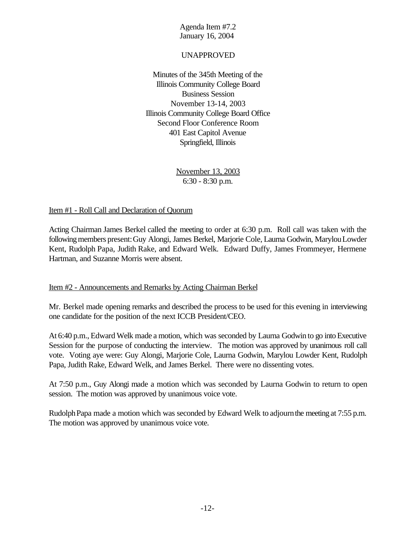### UNAPPROVED

Minutes of the 345th Meeting of the Illinois Community College Board Business Session November 13-14, 2003 Illinois Community College Board Office Second Floor Conference Room 401 East Capitol Avenue Springfield, Illinois

> November 13, 2003 6:30 - 8:30 p.m.

#### Item #1 - Roll Call and Declaration of Quorum

Acting Chairman James Berkel called the meeting to order at 6:30 p.m. Roll call was taken with the following members present: Guy Alongi, James Berkel, Marjorie Cole, Laurna Godwin, Marylou Lowder Kent, Rudolph Papa, Judith Rake, and Edward Welk. Edward Duffy, James Frommeyer, Hermene Hartman, and Suzanne Morris were absent.

#### Item #2 - Announcements and Remarks by Acting Chairman Berkel

Mr. Berkel made opening remarks and described the process to be used for this evening in interviewing one candidate for the position of the next ICCB President/CEO.

At 6:40 p.m., Edward Welk made a motion, which was seconded by Laurna Godwin to go into Executive Session for the purpose of conducting the interview. The motion was approved by unanimous roll call vote. Voting aye were: Guy Alongi, Marjorie Cole, Laurna Godwin, Marylou Lowder Kent, Rudolph Papa, Judith Rake, Edward Welk, and James Berkel. There were no dissenting votes.

At 7:50 p.m., Guy Alongi made a motion which was seconded by Laurna Godwin to return to open session. The motion was approved by unanimous voice vote.

Rudolph Papa made a motion which was seconded by Edward Welk to adjourn the meeting at 7:55 p.m. The motion was approved by unanimous voice vote.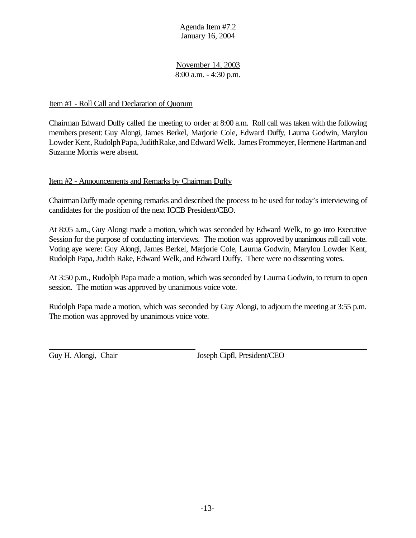November 14, 2003 8:00 a.m. - 4:30 p.m.

#### Item #1 - Roll Call and Declaration of Quorum

Chairman Edward Duffy called the meeting to order at 8:00 a.m. Roll call was taken with the following members present: Guy Alongi, James Berkel, Marjorie Cole, Edward Duffy, Laurna Godwin, Marylou Lowder Kent, Rudolph Papa, Judith Rake, and Edward Welk. James Frommeyer, Hermene Hartman and Suzanne Morris were absent.

#### Item #2 - Announcements and Remarks by Chairman Duffy

ChairmanDuffymade opening remarks and described the process to be used for today's interviewing of candidates for the position of the next ICCB President/CEO.

At 8:05 a.m., Guy Alongi made a motion, which was seconded by Edward Welk, to go into Executive Session for the purpose of conducting interviews. The motion was approved by unanimous roll call vote. Voting aye were: Guy Alongi, James Berkel, Marjorie Cole, Laurna Godwin, Marylou Lowder Kent, Rudolph Papa, Judith Rake, Edward Welk, and Edward Duffy. There were no dissenting votes.

At 3:50 p.m., Rudolph Papa made a motion, which was seconded by Laurna Godwin, to return to open session. The motion was approved by unanimous voice vote.

Rudolph Papa made a motion, which was seconded by Guy Alongi, to adjourn the meeting at 3:55 p.m. The motion was approved by unanimous voice vote.

Guy H. Alongi, Chair Joseph Cipfl, President/CEO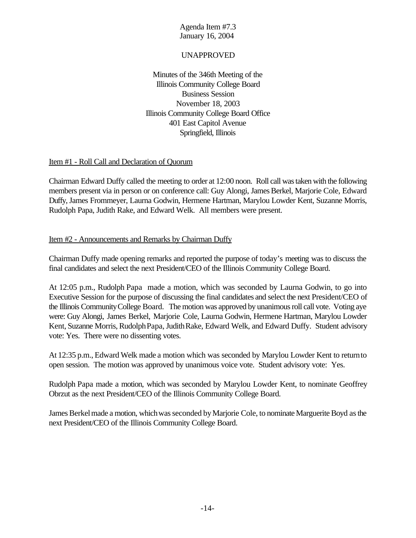## UNAPPROVED

Minutes of the 346th Meeting of the Illinois Community College Board Business Session November 18, 2003 Illinois Community College Board Office 401 East Capitol Avenue Springfield, Illinois

#### Item #1 - Roll Call and Declaration of Quorum

Chairman Edward Duffy called the meeting to order at 12:00 noon. Roll call was taken with the following members present via in person or on conference call: Guy Alongi, James Berkel, Marjorie Cole, Edward Duffy,James Frommeyer, Laurna Godwin, Hermene Hartman, Marylou Lowder Kent, Suzanne Morris, Rudolph Papa, Judith Rake, and Edward Welk. All members were present.

#### Item #2 - Announcements and Remarks by Chairman Duffy

Chairman Duffy made opening remarks and reported the purpose of today's meeting was to discuss the final candidates and select the next President/CEO of the Illinois Community College Board.

At 12:05 p.m., Rudolph Papa made a motion, which was seconded by Laurna Godwin, to go into Executive Session for the purpose of discussing the final candidates and select the next President/CEO of the Illinois CommunityCollege Board. The motion was approved by unanimous roll call vote. Voting aye were: Guy Alongi, James Berkel, Marjorie Cole, Laurna Godwin, Hermene Hartman, Marylou Lowder Kent, Suzanne Morris, Rudolph Papa, Judith Rake, Edward Welk, and Edward Duffy. Student advisory vote: Yes. There were no dissenting votes.

At 12:35 p.m., Edward Welk made a motion which was seconded by Marylou Lowder Kent to returnto open session. The motion was approved by unanimous voice vote. Student advisory vote: Yes.

Rudolph Papa made a motion, which was seconded by Marylou Lowder Kent, to nominate Geoffrey Obrzut as the next President/CEO of the Illinois Community College Board.

James Berkel made a motion, which was seconded by Marjorie Cole, to nominate Marguerite Boyd as the next President/CEO of the Illinois Community College Board.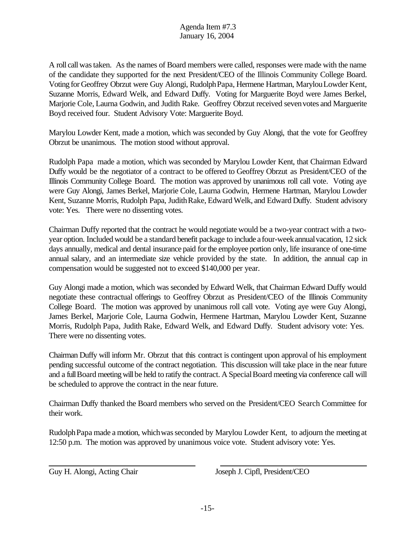A roll callwastaken. As the names of Board members were called, responses were made with the name of the candidate they supported for the next President/CEO of the Illinois Community College Board. Voting for Geoffrey Obrzut were Guy Alongi, RudolphPapa, Hermene Hartman, MarylouLowder Kent, Suzanne Morris, Edward Welk, and Edward Duffy. Voting for Marguerite Boyd were James Berkel, Marjorie Cole, Laurna Godwin, and Judith Rake. Geoffrey Obrzut received sevenvotes and Marguerite Boyd received four. Student Advisory Vote: Marguerite Boyd.

Marylou Lowder Kent, made a motion, which was seconded by Guy Alongi, that the vote for Geoffrey Obrzut be unanimous. The motion stood without approval.

Rudolph Papa made a motion, which was seconded by Marylou Lowder Kent, that Chairman Edward Duffy would be the negotiator of a contract to be offered to Geoffrey Obrzut as President/CEO of the Illinois Community College Board. The motion was approved by unanimous roll call vote. Voting aye were Guy Alongi, James Berkel, Marjorie Cole, Laurna Godwin, Hermene Hartman, Marylou Lowder Kent, Suzanne Morris, Rudolph Papa, Judith Rake, Edward Welk, and Edward Duffy. Student advisory vote: Yes. There were no dissenting votes.

Chairman Duffy reported that the contract he would negotiate would be a two-year contract with a twoyear option. Included would be a standard benefit package to include a four-week annual vacation, 12 sick days annually, medical and dental insurance paid forthe employee portion only, life insurance of one-time annual salary, and an intermediate size vehicle provided by the state. In addition, the annual cap in compensation would be suggested not to exceed \$140,000 per year.

Guy Alongi made a motion, which was seconded by Edward Welk, that Chairman Edward Duffy would negotiate these contractual offerings to Geoffrey Obrzut as President/CEO of the Illinois Community College Board. The motion was approved by unanimous roll call vote. Voting aye were Guy Alongi, James Berkel, Marjorie Cole, Laurna Godwin, Hermene Hartman, Marylou Lowder Kent, Suzanne Morris, Rudolph Papa, Judith Rake, Edward Welk, and Edward Duffy. Student advisory vote: Yes. There were no dissenting votes.

Chairman Duffy will inform Mr. Obrzut that this contract is contingent upon approval of his employment pending successful outcome of the contract negotiation. This discussion will take place in the near future and a full Board meeting will be held to ratify the contract. A Special Board meeting via conference call will be scheduled to approve the contract in the near future.

Chairman Duffy thanked the Board members who served on the President/CEO Search Committee for their work.

RudolphPapa made a motion, whichwasseconded by Marylou Lowder Kent, to adjourn the meeting at 12:50 p.m. The motion was approved by unanimous voice vote. Student advisory vote: Yes.

Guy H. Alongi, Acting Chair Joseph J. Cipfl, President/CEO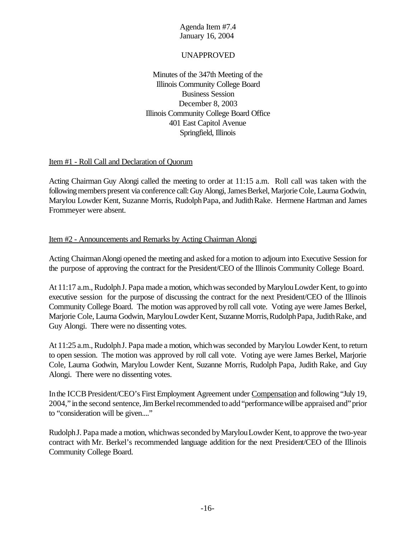### UNAPPROVED

Minutes of the 347th Meeting of the Illinois Community College Board Business Session December 8, 2003 Illinois Community College Board Office 401 East Capitol Avenue Springfield, Illinois

#### Item #1 - Roll Call and Declaration of Quorum

Acting Chairman Guy Alongi called the meeting to order at 11:15 a.m. Roll call was taken with the following members present via conference call: Guy Alongi, James Berkel, Marjorie Cole, Laurna Godwin, Marylou Lowder Kent, Suzanne Morris, RudolphPapa, and JudithRake. Hermene Hartman and James Frommeyer were absent.

## Item #2 - Announcements and Remarks by Acting Chairman Alongi

Acting ChairmanAlongi opened the meeting and asked for a motion to adjourn into Executive Session for the purpose of approving the contract for the President/CEO of the Illinois Community College Board.

At 11:17 a.m., Rudolph J. Papa made a motion, which was seconded by Marylou Lowder Kent, to go into executive session for the purpose of discussing the contract for the next President/CEO of the Illinois Community College Board. The motion was approved byroll call vote. Voting aye were James Berkel, Marjorie Cole, Laurna Godwin, Marylou Lowder Kent, Suzanne Morris, Rudolph Papa, Judith Rake, and Guy Alongi. There were no dissenting votes.

At 11:25 a.m., RudolphJ. Papa made a motion, whichwas seconded by Marylou Lowder Kent, to return to open session. The motion was approved by roll call vote. Voting aye were James Berkel, Marjorie Cole, Laurna Godwin, Marylou Lowder Kent, Suzanne Morris, Rudolph Papa, Judith Rake, and Guy Alongi. There were no dissenting votes.

In the ICCB President/CEO's First Employment Agreement under Compensation and following "July 19, 2004," in the second sentence, Jim Berkel recommended to add "performance will be appraised and" prior to "consideration will be given...."

Rudolph J. Papa made a motion, which was seconded by Marylou Lowder Kent, to approve the two-year contract with Mr. Berkel's recommended language addition for the next President/CEO of the Illinois Community College Board.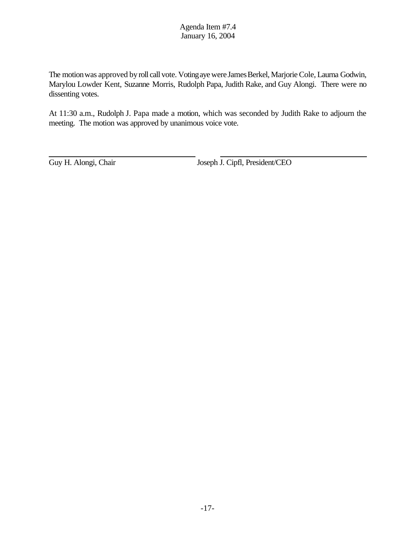The motion was approved by roll call vote. Voting aye were James Berkel, Marjorie Cole, Laurna Godwin, Marylou Lowder Kent, Suzanne Morris, Rudolph Papa, Judith Rake, and Guy Alongi. There were no dissenting votes.

At 11:30 a.m., Rudolph J. Papa made a motion, which was seconded by Judith Rake to adjourn the meeting. The motion was approved by unanimous voice vote.

Guy H. Alongi, Chair Joseph J. Cipfl, President/CEO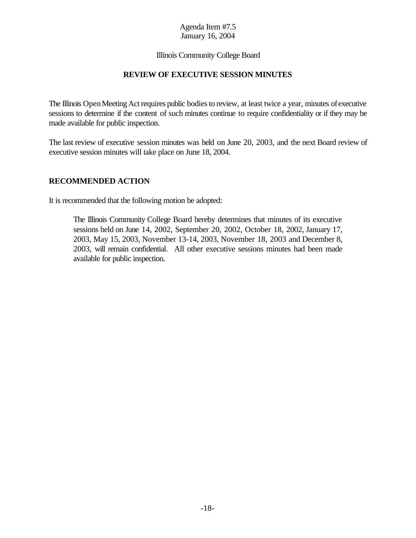#### Illinois Community College Board

# **REVIEW OF EXECUTIVE SESSION MINUTES**

The Illinois Open Meeting Act requires public bodies to review, at least twice a year, minutes of executive sessions to determine if the content of such minutes continue to require confidentiality or if they may be made available for public inspection.

The last review of executive session minutes was held on June 20, 2003, and the next Board review of executive session minutes will take place on June 18, 2004.

#### **RECOMMENDED ACTION**

It is recommended that the following motion be adopted:

The Illinois Community College Board hereby determines that minutes of its executive sessions held on June 14, 2002, September 20, 2002, October 18, 2002, January 17, 2003, May 15, 2003, November 13-14, 2003, November 18, 2003 and December 8, 2003, will remain confidential. All other executive sessions minutes had been made available for public inspection.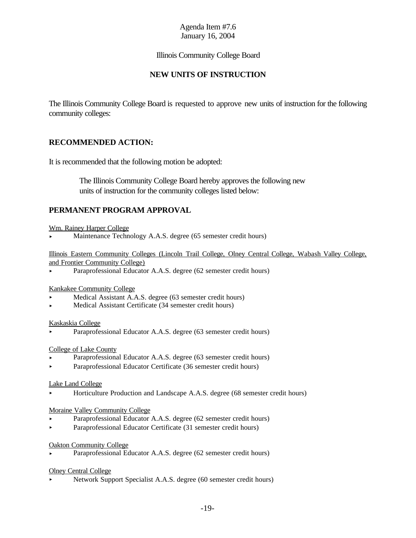#### Illinois Community College Board

## **NEW UNITS OF INSTRUCTION**

The Illinois Community College Board is requested to approve new units of instruction for the following community colleges:

#### **RECOMMENDED ACTION:**

It is recommended that the following motion be adopted:

 The Illinois Community College Board hereby approves the following new units of instruction for the community colleges listed below:

#### **PERMANENT PROGRAM APPROVAL**

#### Wm. Rainey Harper College

< Maintenance Technology A.A.S. degree (65 semester credit hours)

Illinois Eastern Community Colleges (Lincoln Trail College, Olney Central College, Wabash Valley College, and Frontier Community College)

Paraprofessional Educator A.A.S. degree (62 semester credit hours)

#### Kankakee Community College

- Medical Assistant A.A.S. degree (63 semester credit hours)
- < Medical Assistant Certificate (34 semester credit hours)

#### Kaskaskia College

< Paraprofessional Educator A.A.S. degree (63 semester credit hours)

#### College of Lake County

- < Paraprofessional Educator A.A.S. degree (63 semester credit hours)
- < Paraprofessional Educator Certificate (36 semester credit hours)

#### Lake Land College

< Horticulture Production and Landscape A.A.S. degree (68 semester credit hours)

#### Moraine Valley Community College

- < Paraprofessional Educator A.A.S. degree (62 semester credit hours)
- < Paraprofessional Educator Certificate (31 semester credit hours)

#### Oakton Community College

Paraprofessional Educator A.A.S. degree (62 semester credit hours)

#### Olney Central College

< Network Support Specialist A.A.S. degree (60 semester credit hours)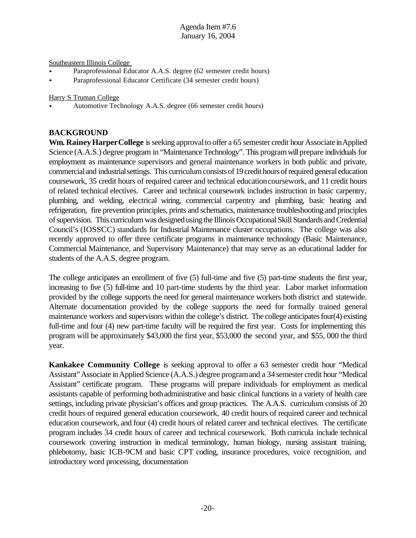Southeastern Illinois College

- < Paraprofessional Educator A.A.S. degree (62 semester credit hours)
- < Paraprofessional Educator Certificate (34 semester credit hours)

Harry S Truman College

< Automotive Technology A.A.S. degree (66 semester credit hours)

#### **BACKGROUND**

**Wm. Rainey Harper College** is seeking approval to offer a 65 semester credit hour Associate in Applied Science (A.A.S.) degree program in "Maintenance Technology". This program will prepare individuals for employment as maintenance supervisors and general maintenance workers in both public and private, commercialand industrialsettings. This curriculum consists of 19 credit hours of required general education coursework, 35 credit hours of required career and technical educationcoursework, and 11 credit hours of related technical electives. Career and technical coursework includes instruction in basic carpentry, plumbing, and welding, electrical wiring, commercial carpentry and plumbing, basic heating and refrigeration, fire prevention principles, prints and schematics, maintenance troubleshooting and principles ofsupervision. This curriculum was designed using the Illinois Occupational Skill Standards and Credential Council's (IOSSCC) standards for Industrial Maintenance cluster occupations. The college was also recently approved to offer three certificate programs in maintenance technology (Basic Maintenance, Commercial Maintenance, and Supervisory Maintenance) that may serve as an educational ladder for students of the A.A.S. degree program.

The college anticipates an enrollment of five (5) full-time and five (5) part-time students the first year, increasing to five (5) full-time and 10 part-time students by the third year. Labor market information provided by the college supports the need for general maintenance workers both district and statewide. Alternate documentation provided by the college supports the need for formally trained general maintenance workers and supervisors within the college's district. The college anticipates four(4) existing full-time and four (4) new part-time faculty will be required the first year. Costs for implementing this program will be approximately \$43,000 the first year, \$53,000 the second year, and \$55, 000 the third year.

**Kankakee Community College** is seeking approval to offer a 63 semester credit hour "Medical Assistant"Associate inApplied Science (A.A.S.) degree programand a 34semester credit hour "Medical Assistant" certificate program. These programs will prepare individuals for employment as medical assistants capable of performing bothadministrative and basic clinical functions in a variety of health care settings, including private physician's offices and group practices. The A.A.S. curriculum consists of 20 credit hours of required general education coursework, 40 credit hours of required career and technical education coursework, and four (4) credit hours of related career and technical electives. The certificate program includes 34 credit hours of career and technical coursework. Both curricula include technical coursework covering instruction in medical terminology, human biology, nursing assistant training, phlebotomy, basic ICB-9CM and basic CPT coding, insurance procedures, voice recognition, and introductory word processing, documentation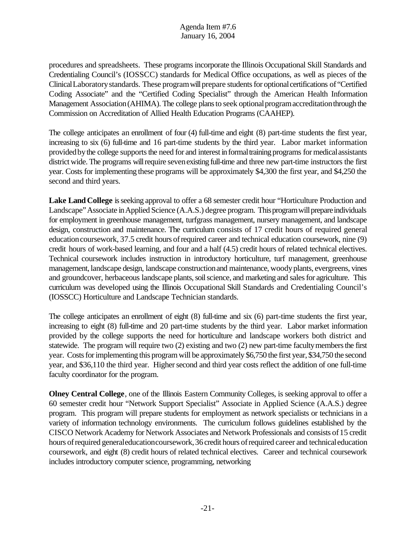procedures and spreadsheets. These programs incorporate the Illinois Occupational Skill Standards and Credentialing Council's (IOSSCC) standards for Medical Office occupations, as well as pieces of the Clinical Laboratory standards. These program will prepare students for optional certifications of "Certified Coding Associate" and the "Certified Coding Specialist" through the American Health Information Management Association (AHIMA). The college plans to seek optional program accreditation through the Commission on Accreditation of Allied Health Education Programs (CAAHEP).

The college anticipates an enrollment of four (4) full-time and eight (8) part-time students the first year, increasing to six (6) full-time and 16 part-time students by the third year. Labor market information provided by the college supports the need for and interest in formal training programs for medical assistants district wide. The programs willrequire sevenexisting full-time and three new part-time instructors the first year. Costs for implementing these programs will be approximately \$4,300 the first year, and \$4,250 the second and third years.

**Lake Land College** is seeking approval to offer a 68 semester credit hour "Horticulture Production and Landscape"Associate inApplied Science (A.A.S.) degree program. This program will prepare individuals for employment in greenhouse management, turfgrass management, nursery management, and landscape design, construction and maintenance. The curriculum consists of 17 credit hours of required general education coursework, 37.5 credit hours of required career and technical education coursework, nine (9) credit hours of work-based learning, and four and a half (4.5) credit hours of related technical electives. Technical coursework includes instruction in introductory horticulture, turf management, greenhouse management, landscape design, landscape constructionand maintenance, woodyplants, evergreens, vines and groundcover, herbaceous landscape plants, soil science, and marketing and sales for agriculture. This curriculum was developed using the Illinois Occupational Skill Standards and Credentialing Council's (IOSSCC) Horticulture and Landscape Technician standards.

The college anticipates an enrollment of eight (8) full-time and six (6) part-time students the first year, increasing to eight (8) full-time and 20 part-time students by the third year. Labor market information provided by the college supports the need for horticulture and landscape workers both district and statewide. The program will require two (2) existing and two (2) new part-time facultymembersthe first year. Costs for implementing this program will be approximately \$6,750 the first year, \$34,750 the second year, and \$36,110 the third year. Higher second and third year costs reflect the addition of one full-time faculty coordinator for the program.

**Olney Central College**, one of the Illinois Eastern Community Colleges, is seeking approval to offer a 60 semester credit hour "Network Support Specialist" Associate in Applied Science (A.A.S.) degree program. This program will prepare students for employment as network specialists or technicians in a variety of information technology environments. The curriculum follows guidelines established by the CISCO Network Academy for Network Associates and Network Professionals and consists of15 credit hours of required general education coursework, 36 credit hours of required career and technical education coursework, and eight (8) credit hours of related technical electives. Career and technical coursework includes introductory computer science, programming, networking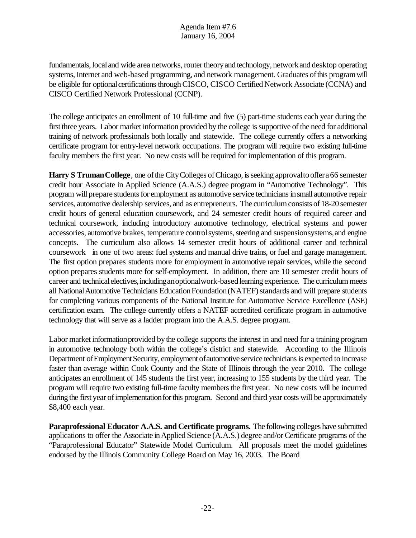fundamentals, local and wide area networks, router theory and technology, network and desktop operating systems, Internet and web-based programming, and network management. Graduates of this program will be eligible for optional certifications through CISCO, CISCO Certified Network Associate (CCNA) and CISCO Certified Network Professional (CCNP).

The college anticipates an enrollment of 10 full-time and five (5) part-time students each year during the first three years. Labor market information provided by the college is supportive of the need for additional training of network professionals both locally and statewide. The college currently offers a networking certificate program for entry-level network occupations. The program will require two existing full-time faculty members the first year. No new costs will be required for implementation of this program.

**Harry S Truman College**, one of the City Colleges of Chicago, is seeking approval to offer a 66 semester credit hour Associate in Applied Science (A.A.S.) degree program in "Automotive Technology". This program will prepare students for employment as automotive service technicians in small automotive repair services, automotive dealership services, and as entrepreneurs. The curriculum consists of 18-20 semester credit hours of general education coursework, and 24 semester credit hours of required career and technical coursework, including introductory automotive technology, electrical systems and power accessories, automotive brakes, temperature control systems, steering and suspensionsystems, and engine concepts. The curriculum also allows 14 semester credit hours of additional career and technical coursework in one of two areas: fuel systems and manual drive trains, or fuel and garage management. The first option prepares students more for employment in automotive repair services, while the second option prepares students more for self-employment. In addition, there are 10 semester credit hours of career and technical electives, including an optional work-based learning experience. The curriculum meets all National Automotive Technicians Education Foundation (NATEF) standards and will prepare students for completing various components of the National Institute for Automotive Service Excellence (ASE) certification exam. The college currently offers a NATEF accredited certificate program in automotive technology that will serve as a ladder program into the A.A.S. degree program.

Labor market information provided by the college supports the interest in and need for a training program in automotive technology both within the college's district and statewide. According to the Illinois Department of Employment Security, employment of automotive service technicians is expected to increase faster than average within Cook County and the State of Illinois through the year 2010. The college anticipates an enrollment of 145 students the first year, increasing to 155 students by the third year. The program will require two existing full-time faculty members the first year. No new costs will be incurred during the first year of implementation for this program. Second and third year costs will be approximately \$8,400 each year.

**Paraprofessional Educator A.A.S. and Certificate programs.** The following colleges have submitted applications to offer the Associate inApplied Science (A.A.S.) degree and/or Certificate programs of the "Paraprofessional Educator" Statewide Model Curriculum. All proposals meet the model guidelines endorsed by the Illinois Community College Board on May 16, 2003. The Board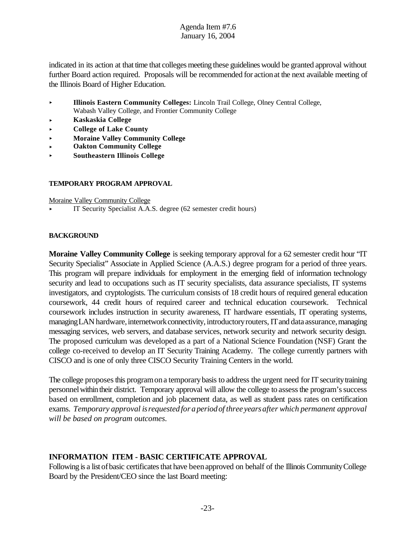indicated in its action at that time that colleges meeting these guidelines would be granted approval without further Board action required. Proposals will be recommended for actionat the next available meeting of the Illinois Board of Higher Education.

- **Illinois Eastern Community Colleges:** Lincoln Trail College, Olney Central College, Wabash Valley College, and Frontier Community College
- < **Kaskaskia College**
- < **College of Lake County**
- **Moraine Valley Community College**
- **Oakton Community College**
- < **Southeastern Illinois College**

#### **TEMPORARY PROGRAM APPROVAL**

Moraine Valley Community College

< IT Security Specialist A.A.S. degree (62 semester credit hours)

#### **BACKGROUND**

**Moraine Valley Community College** is seeking temporary approval for a 62 semester credit hour "IT Security Specialist" Associate in Applied Science (A.A.S.) degree program for a period of three years. This program will prepare individuals for employment in the emerging field of information technology security and lead to occupations such as IT security specialists, data assurance specialists, IT systems investigators, and cryptologists. The curriculum consists of 18 credit hours of required general education coursework, 44 credit hours of required career and technical education coursework. Technical coursework includes instruction in security awareness, IT hardware essentials, IT operating systems, managing LAN hardware, internetwork connectivity, introductory routers, IT and data assurance, managing messaging services, web servers, and database services, network security and network security design. The proposed curriculum was developed as a part of a National Science Foundation (NSF) Grant the college co-received to develop an IT Security Training Academy. The college currently partners with CISCO and is one of only three CISCO Security Training Centers in the world.

The college proposes this program on a temporary basis to address the urgent need for IT security training personnelwithin their district. Temporary approval will allow the college to assessthe program'ssuccess based on enrollment, completion and job placement data, as well as student pass rates on certification exams. *Temporary approval isrequestedfor aperiodof three yearsafter which permanent approval will be based on program outcomes.*

# **INFORMATION ITEM - BASIC CERTIFICATE APPROVAL**

Following is a list of basic certificates that have been approved on behalf of the Illinois Community College Board by the President/CEO since the last Board meeting: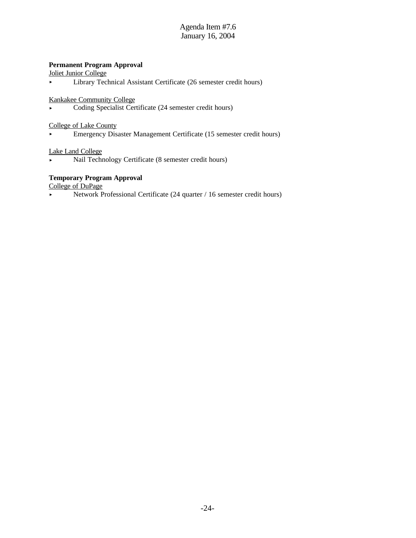#### **Permanent Program Approval**

Joliet Junior College

< Library Technical Assistant Certificate (26 semester credit hours)

Kankakee Community College

< Coding Specialist Certificate (24 semester credit hours)

College of Lake County

< Emergency Disaster Management Certificate (15 semester credit hours)

#### Lake Land College

< Nail Technology Certificate (8 semester credit hours)

#### **Temporary Program Approval**

College of DuPage

• Network Professional Certificate (24 quarter / 16 semester credit hours)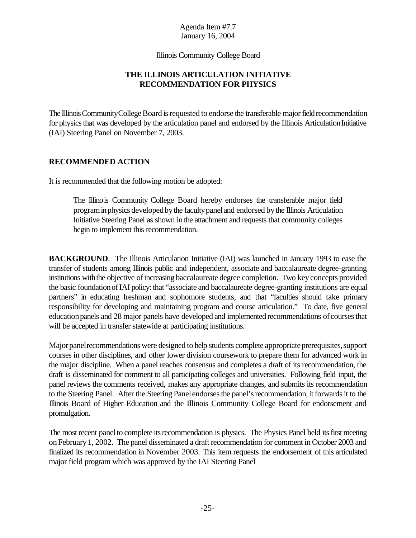Illinois Community College Board

# **THE ILLINOIS ARTICULATION INITIATIVE RECOMMENDATION FOR PHYSICS**

The Illinois Community College Board is requested to endorse the transferable major field recommendation for physics that was developed by the articulation panel and endorsed by the Illinois Articulation Initiative (IAI) Steering Panel on November 7, 2003.

#### **RECOMMENDED ACTION**

It is recommended that the following motion be adopted:

The Illinois Community College Board hereby endorses the transferable major field programinphysics developedbythe facultypaneland endorsed bythe Illinois Articulation Initiative Steering Panel as shown in the attachment and requests that community colleges begin to implement this recommendation.

**BACKGROUND.** The Illinois Articulation Initiative (IAI) was launched in January 1993 to ease the transfer of students among Illinois public and independent, associate and baccalaureate degree-granting institutions with the objective of increasing baccalaureate degree completion. Two key concepts provided the basic foundation of IAI policy: that "associate and baccalaureate degree-granting institutions are equal partners" in educating freshman and sophomore students, and that "faculties should take primary responsibility for developing and maintaining program and course articulation." To date, five general education panels and 28 major panels have developed and implemented recommendations of courses that will be accepted in transfer statewide at participating institutions.

Major panel recommendations were designed to help students complete appropriate prerequisites, support courses in other disciplines, and other lower division coursework to prepare them for advanced work in the major discipline. When a panel reaches consensus and completes a draft of its recommendation, the draft is disseminated for comment to all participating colleges and universities. Following field input, the panel reviews the comments received, makes any appropriate changes, and submits its recommendation to the Steering Panel. After the Steering Panel endorses the panel's recommendation, it forwards it to the Illinois Board of Higher Education and the Illinois Community College Board for endorsement and promulgation.

The most recent panel to complete its recommendation is physics. The Physics Panel held its first meeting onFebruary1, 2002. The panel disseminated a draft recommendation for comment in October 2003 and finalized its recommendation in November 2003. This item requests the endorsement of this articulated major field program which was approved by the IAI Steering Panel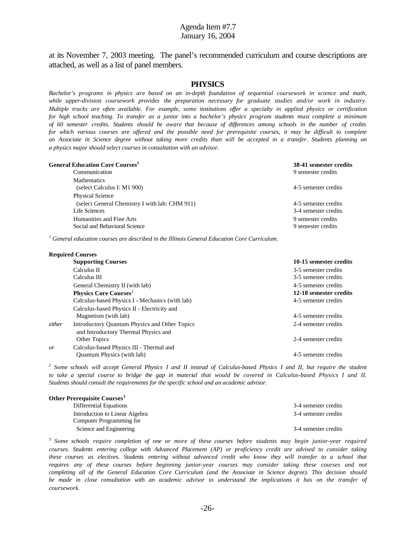at its November 7, 2003 meeting. The panel's recommended curriculum and course descriptions are attached, as well as a list of panel members.

#### **PHYSICS**

*Bachelor's programs in physics are based on an in-depth foundation of sequential coursework in science and math, while upper-division coursework provides the preparation necessary for graduate studies and/or work in industry. Multiple tracks are often available. For example, some institutions offer a specialty in applied physics or certification* for high school teaching. To transfer as a junior into a bachelor's physics program students must complete a minimum of 60 semester credits. Students should be aware that because of differences among schools in the number of credits *for which various courses are offered and the possible need for prerequisite courses, it may be difficult to complete an Associate in Science degree without taking more credits than will be accepted in a transfer. Students planning on a physics major should select courses in consultation with an advisor.*

| <b>General Education Core Courses<sup>1</sup></b> | 38-41 semester credits |
|---------------------------------------------------|------------------------|
| Communication                                     | 9 semester credits     |
| <b>Mathematics</b>                                |                        |
| (select Calculus I: M1 900)                       | 4-5 semester credits   |
| <b>Physical Science</b>                           |                        |
| (select General Chemistry I with lab: CHM 911)    | 4-5 semester credits   |
| Life Sciences                                     | 3-4 semester credits   |
| Humanities and Fine Arts                          | 9 semester credits     |
| Social and Behavioral Science                     | 9 semester credits     |
|                                                   |                        |

*1 General education courses are described in the Illinois General Education Core Curriculum.*

|        | <b>Required Courses</b>                              |                        |
|--------|------------------------------------------------------|------------------------|
|        | <b>Supporting Courses</b>                            | 10-15 semester credits |
|        | Calculus II                                          | 3-5 semester credits   |
|        | Calculus III                                         | 3-5 semester credits   |
|        | General Chemistry II (with lab)                      | 4-5 semester credits   |
|        | <b>Physics Core Courses<sup>2</sup></b>              | 12-18 semester credits |
|        | Calculus-based Physics I - Mechanics (with lab)      | 4-5 semester credits   |
|        | Calculus-based Physics II - Electricity and          |                        |
|        | Magnetism (with lab)                                 | 4-5 semester credits   |
| either | <b>Introductory Quantum Physics and Other Topics</b> | 2-4 semester credits   |
|        | and Introductory Thermal Physics and                 |                        |
|        | Other Topics                                         | 2-4 semester credits   |
| or     | Calculus-based Physics III - Thermal and             |                        |
|        | <b>Ouantum Physics (with lab)</b>                    | 4-5 semester credits   |

<sup>2</sup> Some schools will accept General Physics I and II instead of Calculus-based Physics I and II, but require the student *to take a special course to bridge the gap in material that would be covered in Calculus-based Physics I and II. Students should consult the requirements for the specific school and an academic advisor.*

| Other Prerequisite Courses <sup>3</sup> |                      |
|-----------------------------------------|----------------------|
| Differential Equations                  | 3-4 semester credits |
| Introduction to Linear Algebra          | 3-4 semester credits |
| Computer Programming for                |                      |
| Science and Engineering                 | 3-4 semester credits |

*3 Some schools require completion of one or more of these courses before students may begin junior-year required courses. Students entering college with Advanced Placement (AP) or proficiency credit are advised to consider taking these courses as electives. Students entering without advanced credit who know they will transfer to a school that requires any of these courses before beginning junior-year courses may consider taking these courses and not* completing all of the General Education Core Curriculum (and the Associate in Science degree). This decision should *be made in close consultation with an academic advisor to understand the implications it has on the transfer of coursework.*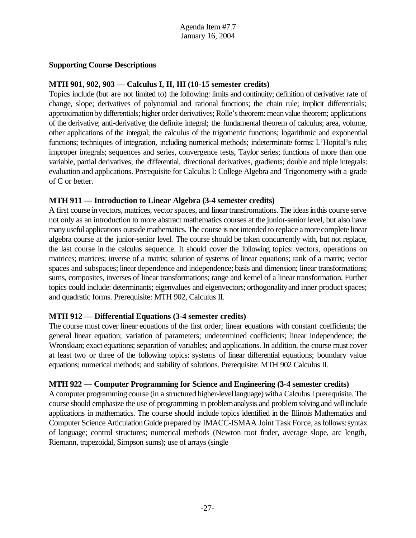#### **Supporting Course Descriptions**

#### **MTH 901, 902, 903 — Calculus I, II, III (10-15 semester credits)**

Topics include (but are not limited to) the following: limits and continuity; definition of derivative: rate of change, slope; derivatives of polynomial and rational functions; the chain rule; implicit differentials; approximation by differentials; higher order derivatives; Rolle's theorem: mean value theorem; applications of the derivative; anti-derivative; the definite integral; the fundamental theorem of calculus; area, volume, other applications of the integral; the calculus of the trigometric functions; logarithmic and exponential functions; techniques of integration, including numerical methods; indeterminate forms: L'Hopital's rule; improper integrals; sequences and series, convergence tests, Taylor series; functions of more than one variable, partial derivatives; the differential, directional derivatives, gradients; double and triple integrals: evaluation and applications. Prerequisite for Calculus I: College Algebra and Trigonometry with a grade of C or better.

#### **MTH 911 — Introduction to Linear Algebra (3-4 semester credits)**

A first course in vectors, matrices, vector spaces, and linear transfromations. The ideas in this course serve not only as an introduction to more abstract mathematics courses at the junior-senior level, but also have many useful applications outside mathematics.The course is not intended to replace amorecomplete linear algebra course at the junior-senior level. The course should be taken concurrently with, but not replace, the last course in the calculus sequence. It should cover the following topics: vectors, operations on matrices; matrices; inverse of a matrix; solution of systems of linear equations; rank of a matrix; vector spaces and subspaces; linear dependence and independence; basis and dimension; linear transformations; sums, composites, inverses of linear transformations; range and kernel of a linear transformation. Further topics could include: determinants; eigenvalues and eigenvectors; orthogonalityand inner product spaces; and quadratic forms. Prerequisite: MTH 902, Calculus II.

# **MTH 912 — Differential Equations (3-4 semester credits)**

The course must cover linear equations of the first order; linear equations with constant coefficients; the general linear equation; variation of parameters; undetermined coefficients; linear independence; the Wronskian; exact equations; separation of variables; and applications. In addition, the course must cover at least two or three of the following topics: systems of linear differential equations; boundary value equations; numerical methods; and stability of solutions. Prerequisite: MTH 902 Calculus II.

#### **MTH 922 — Computer Programming for Science and Engineering (3-4 semester credits)**

A computer programming course (in a structured higher-levellanguage) witha Calculus I prerequisite. The course should emphasize the use of programming in problemanalysis and problemsolving and willinclude applications in mathematics. The course should include topics identified in the Illinois Mathematics and Computer Science Articulation Guide prepared by IMACC-ISMAA Joint Task Force, as follows: syntax of language; control structures; numerical methods (Newton root finder, average slope, arc length, Riemann, trapezoidal, Simpson sums); use of arrays (single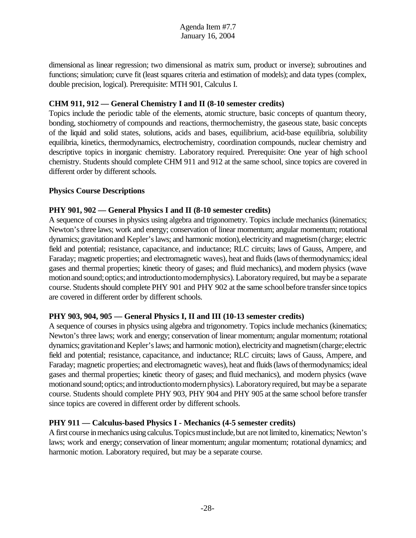dimensional as linear regression; two dimensional as matrix sum, product or inverse); subroutines and functions; simulation; curve fit (least squares criteria and estimation of models); and data types (complex, double precision, logical). Prerequisite: MTH 901, Calculus I.

#### **CHM 911, 912 — General Chemistry I and II (8-10 semester credits)**

Topics include the periodic table of the elements, atomic structure, basic concepts of quantum theory, bonding, stochiometry of compounds and reactions, thermochemistry, the gaseous state, basic concepts of the liquid and solid states, solutions, acids and bases, equilibrium, acid-base equilibria, solubility equilibria, kinetics, thermodynamics, electrochemistry, coordination compounds, nuclear chemistry and descriptive topics in inorganic chemistry. Laboratory required. Prerequisite: One year of high school chemistry. Students should complete CHM 911 and 912 at the same school, since topics are covered in different order by different schools.

#### **Physics Course Descriptions**

#### **PHY 901, 902 — General Physics I and II (8-10 semester credits)**

A sequence of courses in physics using algebra and trigonometry. Topics include mechanics (kinematics; Newton'sthree laws; work and energy; conservation of linear momentum; angular momentum; rotational dynamics; gravitationand Kepler'slaws; and harmonic motion),electricityand magnetism(charge; electric field and potential; resistance, capacitance, and inductance; RLC circuits; laws of Gauss, Ampere, and Faraday; magnetic properties; and electromagnetic waves), heat and fluids (laws of thermodynamics; ideal gases and thermal properties; kinetic theory of gases; and fluid mechanics), and modern physics (wave motion and sound; optics; and introductionto modern physics). Laboratory required, but may be a separate course. Students should complete PHY 901 and PHY 902 at the same school before transfer since topics are covered in different order by different schools.

# **PHY 903, 904, 905 — General Physics I, II and III (10-13 semester credits)**

A sequence of courses in physics using algebra and trigonometry. Topics include mechanics (kinematics; Newton's three laws; work and energy; conservation of linear momentum; angular momentum; rotational dynamics; gravitationand Kepler'slaws; and harmonic motion), electricityand magnetism(charge;electric field and potential; resistance, capacitance, and inductance; RLC circuits; laws of Gauss, Ampere, and Faraday; magnetic properties; and electromagnetic waves), heat and fluids(laws ofthermodynamics; ideal gases and thermal properties; kinetic theory of gases; and fluid mechanics), and modern physics (wave motionand sound; optics; and introductionto modern physics). Laboratory required, but may be a separate course. Students should complete PHY 903, PHY 904 and PHY 905 at the same school before transfer since topics are covered in different order by different schools.

# **PHY 911 — Calculus-based Physics I - Mechanics (4-5 semester credits)**

A first course in mechanics using calculus. Topics must include, but are not limited to, kinematics; Newton's laws; work and energy; conservation of linear momentum; angular momentum; rotational dynamics; and harmonic motion. Laboratory required, but may be a separate course.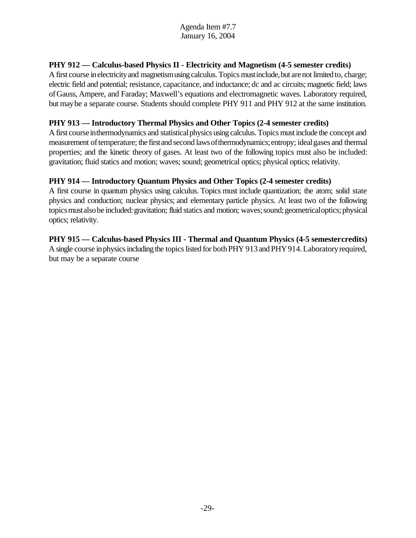# **PHY 912 — Calculus-based Physics II - Electricity and Magnetism (4-5 semester credits)**

A first course in electricity and magnetism using calculus. Topics must include, but are not limited to, charge; electric field and potential; resistance, capacitance, and inductance; dc and ac circuits;magnetic field; laws ofGauss, Ampere, and Faraday; Maxwell's equations and electromagnetic waves. Laboratory required, but maybe a separate course. Students should complete PHY 911 and PHY 912 at the same institution.

# **PHY 913 — Introductory Thermal Physics and Other Topics (2-4 semester credits)**

A first course in thermodynamics and statistical physics using calculus. Topics must include the concept and measurement of temperature; the first and second laws of thermodynamics; entropy; ideal gases and thermal properties; and the kinetic theory of gases. At least two of the following topics must also be included: gravitation; fluid statics and motion; waves; sound; geometrical optics; physical optics; relativity.

# **PHY 914 — Introductory Quantum Physics and Other Topics (2-4 semester credits)**

A first course in quantum physics using calculus. Topics must include quantization; the atom; solid state physics and conduction; nuclear physics; and elementary particle physics. At least two of the following topics must also be included: gravitation; fluid statics and motion; waves; sound; geometrical optics; physical optics; relativity.

# **PHY 915 — Calculus-based Physics III - Thermal and Quantum Physics (4-5 semestercredits)**

A single course in physics including the topics listed for both PHY 913 and PHY 914. Laboratory required, but may be a separate course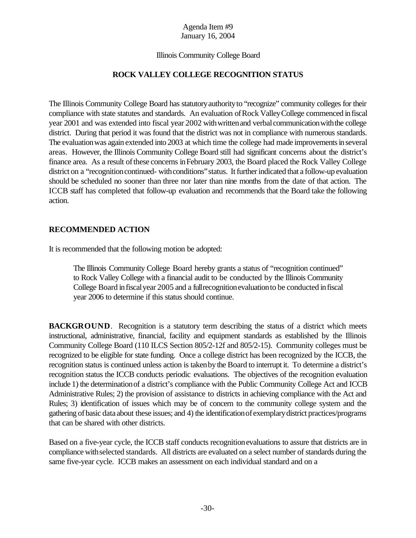#### Illinois Community College Board

# **ROCK VALLEY COLLEGE RECOGNITION STATUS**

The Illinois Community College Board has statutoryauthorityto "recognize" community colleges for their compliance with state statutes and standards. An evaluation ofRock ValleyCollege commenced infiscal year 2001 and was extended into fiscal year 2002 with written and verbal communication with the college district. During that period it was found that the district was not in compliance with numerous standards. The evaluation was again extended into 2003 at which time the college had made improvements in several areas. However, the Illinois Community College Board still had significant concerns about the district's finance area. As a result ofthese concerns inFebruary 2003, the Board placed the Rock Valley College district on a "recognition continued- with conditions" status. It further indicated that a follow-up evaluation should be scheduled no sooner than three nor later than nine months from the date of that action. The ICCB staff has completed that follow-up evaluation and recommends that the Board take the following action.

#### **RECOMMENDED ACTION**

It is recommended that the following motion be adopted:

The Illinois Community College Board hereby grants a status of "recognition continued" to Rock Valley College with a financial audit to be conducted by the Illinois Community College Board infiscalyear 2005 and a fullrecognitionevaluationto be conducted infiscal year 2006 to determine if this status should continue.

**BACKGROUND.** Recognition is a statutory term describing the status of a district which meets instructional, administrative, financial, facility and equipment standards as established by the Illinois Community College Board (110 ILCS Section 805/2-12f and 805/2-15). Community colleges must be recognized to be eligible for state funding. Once a college district has been recognized by the ICCB, the recognition status is continued unless action is taken by the Board to interrupt it. To determine a district's recognition status the ICCB conducts periodic evaluations. The objectives of the recognition evaluation include 1) the determinationof a district's compliance with the Public Community College Act and ICCB Administrative Rules; 2) the provision of assistance to districts in achieving compliance with the Act and Rules; 3) identification of issues which may be of concern to the community college system and the gathering ofbasic data about these issues; and 4) the identificationof exemplarydistrict practices/programs that can be shared with other districts.

Based on a five-year cycle, the ICCB staff conducts recognitionevaluations to assure that districts are in compliance withselected standards. All districts are evaluated on a select number of standards during the same five-year cycle. ICCB makes an assessment on each individual standard and on a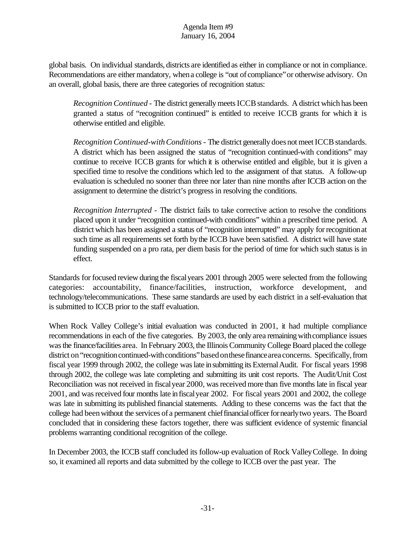global basis. On individual standards, districts are identified as either in compliance or not in compliance. Recommendations are either mandatory, when a college is "out of compliance" or otherwise advisory. On an overall, global basis, there are three categories of recognition status:

*Recognition Continued* - The district generally meets ICCB standards. A district which has been granted a status of "recognition continued" is entitled to receive ICCB grants for which it is otherwise entitled and eligible.

*Recognition Continued-with Conditions* - The district generally does not meet ICCB standards. A district which has been assigned the status of "recognition continued-with conditions" may continue to receive ICCB grants for which it is otherwise entitled and eligible, but it is given a specified time to resolve the conditions which led to the assignment of that status. A follow-up evaluation is scheduled no sooner than three nor later than nine months after ICCB action on the assignment to determine the district's progress in resolving the conditions.

*Recognition Interrupted* - The district fails to take corrective action to resolve the conditions placed upon it under "recognition continued-with conditions" within a prescribed time period. A district which has been assigned a status of "recognition interrupted" may apply for recognition at such time as all requirements set forth by the ICCB have been satisfied. A district will have state funding suspended on a pro rata, per diem basis for the period of time for which such status is in effect.

Standards for focused review during the fiscalyears 2001 through 2005 were selected from the following categories: accountability, finance/facilities, instruction, workforce development, and technology/telecommunications. These same standards are used by each district in a self-evaluation that is submitted to ICCB prior to the staff evaluation.

When Rock Valley College's initial evaluation was conducted in 2001, it had multiple compliance recommendations in each of the five categories. By 2003, the only area remaining with compliance issues wasthe finance/facilities area. In February 2003, the Illinois Community College Board placed the college district on "recognition continued-with conditions" based on these finance area concerns. Specifically, from fiscal year 1999 through 2002, the college was late in submitting its External Audit. For fiscal years 1998 through 2002, the college was late completing and submitting its unit cost reports. The Audit/Unit Cost Reconciliation was not received in fiscal year 2000, was received more than five months late in fiscal year 2001, and wasreceived four months late infiscalyear 2002. For fiscal years 2001 and 2002, the college was late in submitting its published financial statements. Adding to these concerns was the fact that the college had been without the services of a permanent chief financial officer for nearly two years. The Board concluded that in considering these factors together, there was sufficient evidence of systemic financial problems warranting conditional recognition of the college.

In December 2003, the ICCB staff concluded its follow-up evaluation of Rock ValleyCollege. In doing so, it examined all reports and data submitted by the college to ICCB over the past year. The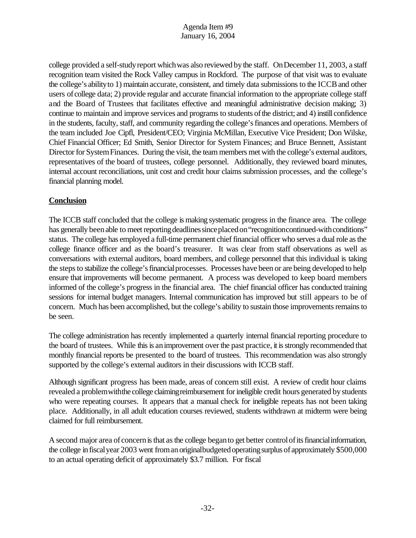college provided a self-study report which was also reviewed by the staff. On December 11, 2003, a staff recognition team visited the Rock Valley campus in Rockford. The purpose of that visit was to evaluate the college's ability to 1) maintain accurate, consistent, and timely data submissions to the ICCB and other users of college data; 2) provide regular and accurate financial information to the appropriate college staff and the Board of Trustees that facilitates effective and meaningful administrative decision making; 3) continue to maintain and improve services and programs to students ofthe district; and 4) instill confidence in the students, faculty, staff, and community regarding the college's finances and operations. Members of the team included Joe Cipfl, President/CEO; Virginia McMillan, Executive Vice President; Don Wilske, Chief Financial Officer; Ed Smith, Senior Director for System Finances; and Bruce Bennett, Assistant Director for System Finances. During the visit, the team members met with the college's external auditors, representatives of the board of trustees, college personnel. Additionally, they reviewed board minutes, internal account reconciliations, unit cost and credit hour claims submission processes, and the college's financial planning model.

# **Conclusion**

The ICCB staff concluded that the college is making systematic progress in the finance area. The college has generally been able to meet reporting deadlines since placed on "recognitioncontinued-with conditions" status. The college has employed a full-time permanent chief financial officer who serves a dual role as the college finance officer and as the board's treasurer. It was clear from staff observations as well as conversations with external auditors, board members, and college personnel that this individual is taking the steps to stabilize the college's financial processes. Processes have been or are being developed to help ensure that improvements will become permanent. A process was developed to keep board members informed of the college's progress in the financial area. The chief financial officer has conducted training sessions for internal budget managers. Internal communication has improved but still appears to be of concern. Much has been accomplished, but the college's ability to sustain those improvements remains to be seen.

The college administration has recently implemented a quarterly internal financial reporting procedure to the board of trustees. While this is an improvement over the past practice, it is strongly recommended that monthly financial reports be presented to the board of trustees. This recommendation was also strongly supported by the college's external auditors in their discussions with ICCB staff.

Although significant progress has been made, areas of concern still exist. A review of credit hour claims revealed a problem with the college claiming reimbursement for ineligible credit hours generated by students who were repeating courses. It appears that a manual check for ineligible repeats has not been taking place. Additionally, in all adult education courses reviewed, students withdrawn at midterm were being claimed for full reimbursement.

A second major area of concern is that as the college began to get better control of its financial information, the college in fiscal year 2003 went from an original budgeted operating surplus of approximately \$500,000 to an actual operating deficit of approximately \$3.7 million. For fiscal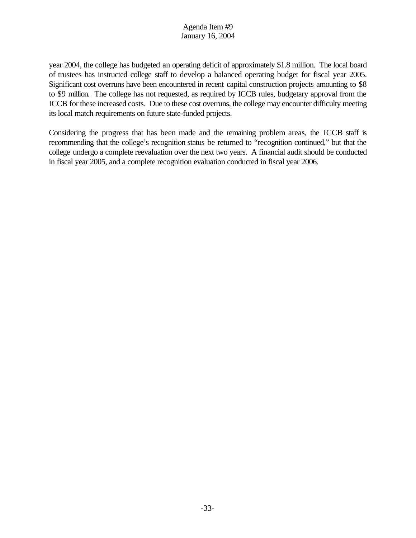year 2004, the college has budgeted an operating deficit of approximately \$1.8 million. The local board of trustees has instructed college staff to develop a balanced operating budget for fiscal year 2005. Significant cost overruns have been encountered in recent capital construction projects amounting to \$8 to \$9 million. The college has not requested, as required by ICCB rules, budgetary approval from the ICCB for these increased costs. Due to these cost overruns, the college may encounter difficulty meeting its local match requirements on future state-funded projects.

Considering the progress that has been made and the remaining problem areas, the ICCB staff is recommending that the college's recognition status be returned to "recognition continued," but that the college undergo a complete reevaluation over the next two years. A financial audit should be conducted in fiscal year 2005, and a complete recognition evaluation conducted in fiscal year 2006.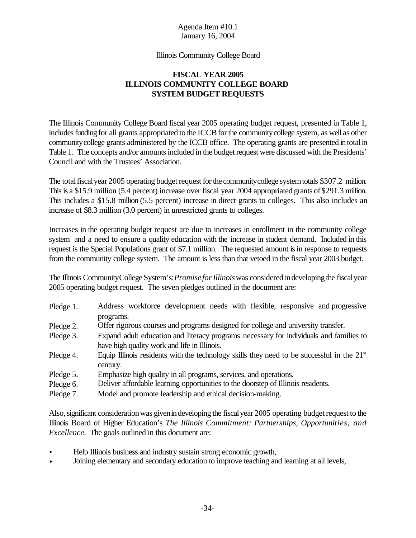#### Illinois Community College Board

## **FISCAL YEAR 2005 ILLINOIS COMMUNITY COLLEGE BOARD SYSTEM BUDGET REQUESTS**

The Illinois Community College Board fiscal year 2005 operating budget request, presented in Table 1, includes funding for all grants appropriated to the ICCB for the community college system, as well as other communitycollege grants administered by the ICCB office. The operating grants are presented intotalin Table 1. The concepts and/or amounts included in the budget request were discussed with the Presidents' Council and with the Trustees' Association.

The total fiscal year 2005 operating budget request for the community college system totals \$307.2 million. This is a \$15.9 million (5.4 percent) increase over fiscal year 2004 appropriated grants of \$291.3 million. This includes a \$15.8 million (5.5 percent) increase in direct grants to colleges. This also includes an increase of \$8.3 million (3.0 percent) in unrestricted grants to colleges.

Increases in the operating budget request are due to increases in enrollment in the community college system and a need to ensure a quality education with the increase in student demand. Included in this request is the Special Populations grant of \$7.1 million. The requested amount isin response to requests from the community college system. The amount is less than that vetoed in the fiscal year 2003 budget.

The Illinois CommunityCollege System's:*Promise forIllinois*was considered indeveloping the fiscalyear 2005 operating budget request. The seven pledges outlined in the document are:

- Pledge 1. Address workforce development needs with flexible, responsive and progressive programs.
- Pledge 2. Offer rigorous courses and programs designed for college and university transfer.
- Pledge 3. Expand adult education and literacy programs necessary for individuals and families to have high quality work and life in Illinois.
- Pledge 4. Equip Illinois residents with the technology skills they need to be successful in the 21<sup>st</sup> century.
- Pledge 5. Emphasize high quality in all programs, services, and operations.
- Pledge 6. Deliver affordable learning opportunities to the doorstep of Illinois residents.
- Pledge 7. Model and promote leadership and ethical decision-making.

Also, significant consideration was given in developing the fiscal year 2005 operating budget request to the Illinois Board of Higher Education's *The Illinois Commitment: Partnerships, Opportunities, and Excellence*. The goals outlined in this document are:

- < Help Illinois business and industry sustain strong economic growth,
- < Joining elementary and secondary education to improve teaching and learning at all levels,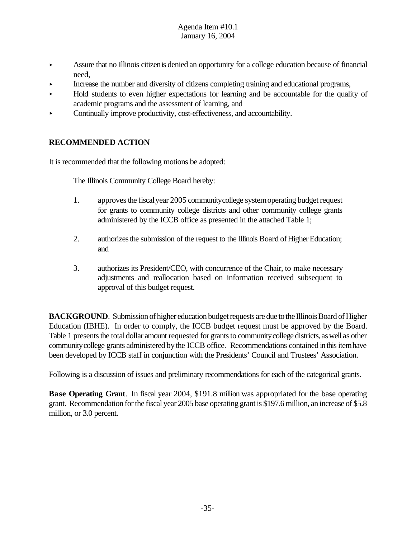- $\blacktriangleright$  Assure that no Illinois citizen is denied an opportunity for a college education because of financial need,
- < Increase the number and diversity of citizens completing training and educational programs,
- < Hold students to even higher expectations for learning and be accountable for the quality of academic programs and the assessment of learning, and
- $\triangleright$  Continually improve productivity, cost-effectiveness, and accountability.

## **RECOMMENDED ACTION**

It is recommended that the following motions be adopted:

The Illinois Community College Board hereby:

- 1. approves the fiscal year 2005 community college system operating budget request for grants to community college districts and other community college grants administered by the ICCB office as presented in the attached Table 1;
- 2. authorizes the submission of the request to the Illinois Board of Higher Education; and
- 3. authorizes its President/CEO, with concurrence of the Chair, to make necessary adjustments and reallocation based on information received subsequent to approval of this budget request.

**BACKGROUND**. Submission of higher education budget requests are due to the Illinois Board of Higher Education (IBHE). In order to comply, the ICCB budget request must be approved by the Board. Table 1 presents the total dollar amount requested for grants to community college districts, as well as other communitycollege grants administered bythe ICCB office. Recommendations contained inthisitemhave been developed by ICCB staff in conjunction with the Presidents' Council and Trustees' Association.

Following is a discussion of issues and preliminary recommendations for each of the categorical grants.

**Base Operating Grant**. In fiscal year 2004, \$191.8 million was appropriated for the base operating grant. Recommendation for the fiscal year 2005 base operating grant is \$197.6 million, an increase of \$5.8 million, or 3.0 percent.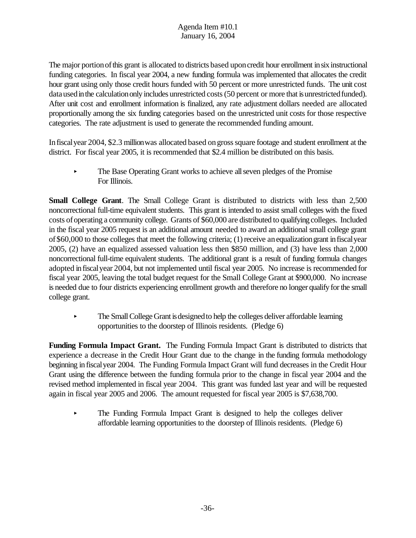The major portion of this grant is allocated to districts based upon credit hour enrollment in six instructional funding categories. In fiscal year 2004, a new funding formula was implemented that allocates the credit hour grant using only those credit hours funded with 50 percent or more unrestricted funds. The unit cost data used in the calculation only includes unrestricted costs (50 percent or more that is unrestricted funded). After unit cost and enrollment information is finalized, any rate adjustment dollars needed are allocated proportionally among the six funding categories based on the unrestricted unit costs for those respective categories. The rate adjustment is used to generate the recommended funding amount.

Infiscalyear 2004, \$2.3 millionwas allocated based ongrosssquare footage and student enrollment at the district. For fiscal year 2005, it is recommended that \$2.4 million be distributed on this basis.

The Base Operating Grant works to achieve all seven pledges of the Promise For Illinois.

**Small College Grant**. The Small College Grant is distributed to districts with less than 2,500 noncorrectional full-time equivalent students. This grant is intended to assist small colleges with the fixed costs ofoperating a community college. Grants of \$60,000 are distributed to qualifying colleges. Included in the fiscal year 2005 request is an additional amount needed to award an additional small college grant of\$60,000 to those colleges that meet the following criteria; (1)receive anequalizationgrant infiscalyear 2005, (2) have an equalized assessed valuation less then \$850 million, and (3) have less than 2,000 noncorrectional full-time equivalent students. The additional grant is a result of funding formula changes adopted infiscalyear 2004, but not implemented until fiscal year 2005. No increase is recommended for fiscal year 2005, leaving the total budget request for the Small College Grant at \$900,000. No increase is needed due to four districts experiencing enrollment growth and therefore no longer qualify forthe small college grant.

< The SmallCollege Grant isdesignedto help the colleges deliver affordable learning opportunities to the doorstep of Illinois residents. (Pledge 6)

**Funding Formula Impact Grant.** The Funding Formula Impact Grant is distributed to districts that experience a decrease in the Credit Hour Grant due to the change in the funding formula methodology beginning in fiscalyear 2004. The Funding Formula Impact Grant will fund decreases in the Credit Hour Grant using the difference between the funding formula prior to the change in fiscal year 2004 and the revised method implemented in fiscal year 2004. This grant was funded last year and will be requested again in fiscal year 2005 and 2006. The amount requested for fiscal year 2005 is \$7,638,700.

< The Funding Formula Impact Grant is designed to help the colleges deliver affordable learning opportunities to the doorstep of Illinois residents. (Pledge 6)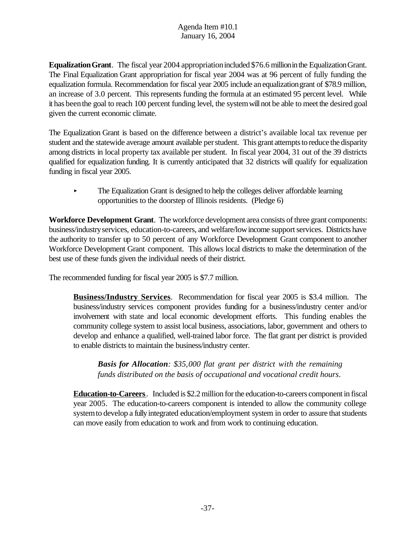**Equalization Grant**. The fiscal year 2004 appropriation included \$76.6 million in the Equalization Grant. The Final Equalization Grant appropriation for fiscal year 2004 was at 96 percent of fully funding the equalization formula. Recommendation for fiscal year 2005 include anequalizationgrant of \$78.9 million, an increase of 3.0 percent. This represents funding the formula at an estimated 95 percent level. While it has beenthe goal to reach 100 percent funding level, the systemwillnot be able to meet the desired goal given the current economic climate.

The Equalization Grant is based on the difference between a district's available local tax revenue per student and the statewide average amount available perstudent. This grant attempts to reduce the disparity among districts in local property tax available per student. In fiscal year 2004, 31 out of the 39 districts qualified for equalization funding. It is currently anticipated that 32 districts will qualify for equalization funding in fiscal year 2005.

< The Equalization Grant is designed to help the colleges deliver affordable learning opportunities to the doorstep of Illinois residents. (Pledge 6)

**Workforce Development Grant**. The workforce development area consists of three grant components: business/industry services, education-to-careers, and welfare/low income support services. Districts have the authority to transfer up to 50 percent of any Workforce Development Grant component to another Workforce Development Grant component. This allows local districts to make the determination of the best use of these funds given the individual needs of their district.

The recommended funding for fiscal year 2005 is \$7.7 million.

**Business/Industry Services**. Recommendation for fiscal year 2005 is \$3.4 million. The business/industry services component provides funding for a business/industry center and/or involvement with state and local economic development efforts. This funding enables the community college system to assist local business, associations, labor, government and others to develop and enhance a qualified, well-trained labor force. The flat grant per district is provided to enable districts to maintain the business/industry center.

*Basis for Allocation: \$35,000 flat grant per district with the remaining funds distributed on the basis of occupational and vocational credit hours*.

**Education-to-Careers**. Included is \$2.2 million for the education-to-careers component in fiscal year 2005. The education-to-careers component is intended to allow the community college system to develop a fully integrated education/employment system in order to assure that students can move easily from education to work and from work to continuing education.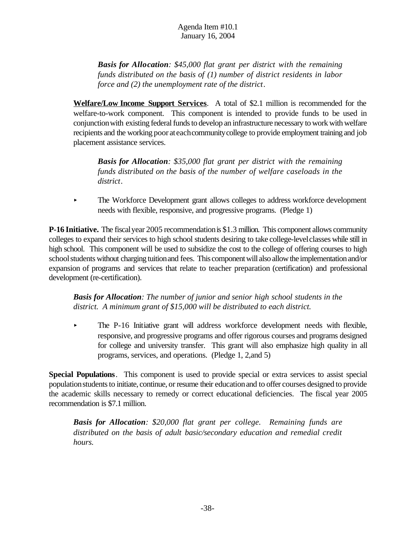*Basis for Allocation: \$45,000 flat grant per district with the remaining funds distributed on the basis of (1) number of district residents in labor force and (2) the unemployment rate of the district*.

**Welfare/Low Income Support Services**. A total of \$2.1 million is recommended for the welfare-to-work component. This component is intended to provide funds to be used in conjunctionwith existing federal funds to develop an infrastructure necessary to work with welfare recipients and the working poor ateachcommunitycollege to provide employment training and job placement assistance services.

*Basis for Allocation: \$35,000 flat grant per district with the remaining funds distributed on the basis of the number of welfare caseloads in the district*.

< The Workforce Development grant allows colleges to address workforce development needs with flexible, responsive, and progressive programs.(Pledge 1)

**P-16 Initiative.** The fiscalyear 2005 recommendationis \$1.3 million. This component allows community colleges to expand their services to high school students desiring to take college-levelclasses while still in high school. This component will be used to subsidize the cost to the college of offering courses to high school students without charging tuition and fees. This component will also allow the implementation and/or expansion of programs and services that relate to teacher preparation (certification) and professional development (re-certification).

*Basis for Allocation: The number of junior and senior high school students in the district. A minimum grant of \$15,000 will be distributed to each district.*

< The P-16 Initiative grant will address workforce development needs with flexible, responsive, and progressive programs and offer rigorous courses and programs designed for college and university transfer. This grant will also emphasize high quality in all programs, services, and operations. (Pledge 1, 2,and 5)

**Special Populations**. This component is used to provide special or extra services to assist special populationstudentsto initiate, continue, or resume their educationand to offer courses designed to provide the academic skills necessary to remedy or correct educational deficiencies. The fiscal year 2005 recommendation is \$7.1 million.

*Basis for Allocation: \$20,000 flat grant per college. Remaining funds are distributed on the basis of adult basic/secondary education and remedial credit hours.*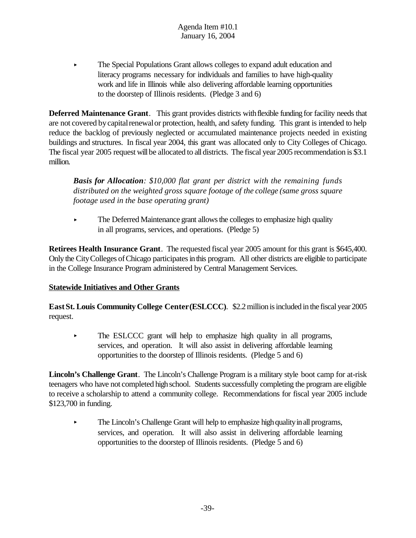< The Special Populations Grant allows colleges to expand adult education and literacy programs necessary for individuals and families to have high-quality work and life in Illinois while also delivering affordable learning opportunities to the doorstep of Illinois residents. (Pledge 3 and 6)

**Deferred Maintenance Grant**. This grant provides districts withflexible funding for facility needs that are not covered by capital renewal or protection, health, and safety funding. This grant is intended to help reduce the backlog of previously neglected or accumulated maintenance projects needed in existing buildings and structures. In fiscal year 2004, this grant was allocated only to City Colleges of Chicago. The fiscal year 2005 request will be allocated to all districts. The fiscal year 2005 recommendation is \$3.1 million.

*Basis for Allocation: \$10,000 flat grant per district with the remaining funds distributed on the weighted gross square footage of the college (same gross square footage used in the base operating grant)*

 $\blacktriangleright$  The Deferred Maintenance grant allows the colleges to emphasize high quality in all programs, services, and operations. (Pledge 5)

**Retirees Health Insurance Grant**. The requested fiscal year 2005 amount for this grant is \$645,400. Only the City Colleges of Chicago participates in this program. All other districts are eligible to participate in the College Insurance Program administered by Central Management Services.

# **Statewide Initiatives and Other Grants**

**EastSt. Louis Community College Center(ESLCCC)**. \$2.2 million is included in the fiscal year 2005 request.

• The ESLCCC grant will help to emphasize high quality in all programs, services, and operation. It will also assist in delivering affordable learning opportunities to the doorstep of Illinois residents.(Pledge 5 and 6)

**Lincoln's Challenge Grant**. The Lincoln's Challenge Program is a military style boot camp for at-risk teenagers who have not completed high school. Students successfully completing the program are eligible to receive a scholarship to attend a community college. Recommendations for fiscal year 2005 include \$123,700 in funding.

 $\blacktriangleright$  The Lincoln's Challenge Grant will help to emphasize high quality in all programs, services, and operation. It will also assist in delivering affordable learning opportunities to the doorstep of Illinois residents. (Pledge 5 and 6)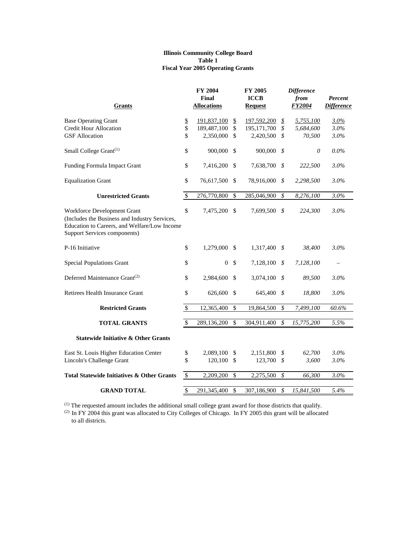#### **Illinois Community College Board Table 1 Fiscal Year 2005 Operating Grants**

| <b>Grants</b>                                                                                                                                                |                                | FY 2004<br>Final<br><b>Allocations</b>  |                                      | FY 2005<br><b>ICCB</b><br><b>Request</b>  |                                                                               | <b>Difference</b><br>from<br><b>FY2004</b> | Percent<br><b>Difference</b> |
|--------------------------------------------------------------------------------------------------------------------------------------------------------------|--------------------------------|-----------------------------------------|--------------------------------------|-------------------------------------------|-------------------------------------------------------------------------------|--------------------------------------------|------------------------------|
| <b>Base Operating Grant</b><br><b>Credit Hour Allocation</b><br><b>GSF</b> Allocation                                                                        | $\pmb{\mathbb{S}}$<br>\$<br>\$ | 191,837,100<br>189,487,100<br>2,350,000 | $\frac{1}{2}$<br>$\mathcal{S}$<br>\$ | 197,592,200<br>195, 171, 700<br>2,420,500 | $\mathcal{L}_{\mathcal{L}_{\mathcal{L}}}$<br>$\boldsymbol{\mathcal{S}}$<br>\$ | 5,755,100<br>5,684,600<br>70,500           | 3.0%<br>3.0%<br>$3.0\%$      |
| Small College Grant <sup>(1)</sup>                                                                                                                           | \$                             | 900,000                                 | - \$                                 | 900,000 \$                                |                                                                               | 0                                          | $0.0\%$                      |
| Funding Formula Impact Grant                                                                                                                                 | \$                             | 7,416,200                               | \$                                   | 7,638,700                                 | \$                                                                            | 222,500                                    | 3.0%                         |
| <b>Equalization Grant</b>                                                                                                                                    | \$                             | 76,617,500                              | \$                                   | 78,916,000                                | \$                                                                            | 2,298,500                                  | 3.0%                         |
| <b>Unrestricted Grants</b>                                                                                                                                   | $\sqrt$                        | 276,770,800                             | $\mathbf S$                          | 285,046,900                               | \$                                                                            | 8,276,100                                  | 3.0%                         |
| Workforce Development Grant<br>(Includes the Business and Industry Services,<br>Education to Careers, and Welfare/Low Income<br>Support Services components) | \$                             | 7,475,200 \$                            |                                      | 7,699,500 \$                              |                                                                               | 224,300                                    | 3.0%                         |
| P-16 Initiative                                                                                                                                              | \$                             | 1,279,000                               | -S                                   | 1,317,400                                 | \$                                                                            | 38,400                                     | 3.0%                         |
| <b>Special Populations Grant</b>                                                                                                                             | \$                             | $\overline{0}$                          | \$                                   | 7,128,100                                 | \$                                                                            | 7,128,100                                  | $\qquad \qquad -$            |
| Deferred Maintenance Grant <sup>(2)</sup>                                                                                                                    | \$                             | 2,984,600                               | \$                                   | 3,074,100 $\frac{1}{2}$                   |                                                                               | 89,500                                     | $3.0\%$                      |
| Retirees Health Insurance Grant                                                                                                                              | \$                             | 626,600                                 | - \$                                 | 645,400                                   | \$                                                                            | 18,800                                     | 3.0%                         |
| <b>Restricted Grants</b>                                                                                                                                     | $\mathbb{S}$                   | 12,365,400                              | $\mathbf S$                          | 19,864,500                                | \$                                                                            | 7,499,100                                  | 60.6%                        |
| <b>TOTAL GRANTS</b>                                                                                                                                          | $\mathbb{S}$                   | 289,136,200                             | \$                                   | 304,911,400                               | \$                                                                            | 15,775,200                                 | 5.5%                         |
| <b>Statewide Initiative &amp; Other Grants</b>                                                                                                               |                                |                                         |                                      |                                           |                                                                               |                                            |                              |
| East St. Louis Higher Education Center<br>Lincoln's Challenge Grant                                                                                          | \$<br>\$                       | 2,089,100<br>120,100                    | \$<br>\$                             | 2,151,800<br>123,700                      | \$<br>\$                                                                      | 62,700<br>3,600                            | 3.0%<br>3.0%                 |
| <b>Total Statewide Initiatives &amp; Other Grants</b>                                                                                                        | \$                             | 2,209,200                               | \$                                   | 2,275,500                                 | \$                                                                            | 66,300                                     | 3.0%                         |
| <b>GRAND TOTAL</b>                                                                                                                                           | \$                             | 291,345,400                             | $\mathcal{S}$                        | 307,186,900                               | \$                                                                            | 15,841,500                                 | 5.4%                         |

 $<sup>(1)</sup>$  The requested amount includes the additional small college grant award for those districts that qualify.</sup>

 $^{(2)}$  In FY 2004 this grant was allocated to City Colleges of Chicago. In FY 2005 this grant will be allocated to all districts.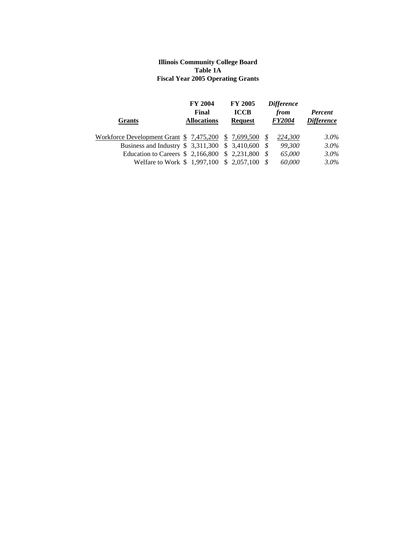#### **Illinois Community College Board Table 1A Fiscal Year 2005 Operating Grants**

|                                                           | <b>FY 2004</b><br>Final | <b>FY 2005</b><br><b>ICCB</b> | <b>Difference</b><br>from | <b>Percent</b>    |
|-----------------------------------------------------------|-------------------------|-------------------------------|---------------------------|-------------------|
| <b>Grants</b>                                             | <b>Allocations</b>      | <b>Request</b>                | <b>FY2004</b>             | <i>Difference</i> |
| Workforce Development Grant $$7,475,200$ $$7,699,500$ $$$ |                         |                               | 224,300                   | 3.0%              |
| Business and Industry $$3,311,300$ $$3,410,600$ $$$       |                         |                               | 99.300                    | $3.0\%$           |
| Education to Careers $$ 2,166,800 \ $ 2,231,800 \ $$      |                         |                               | 65,000                    | $3.0\%$           |
| Welfare to Work \$1,997,100 \$2,057,100                   |                         |                               | 60,000                    | 3.0%              |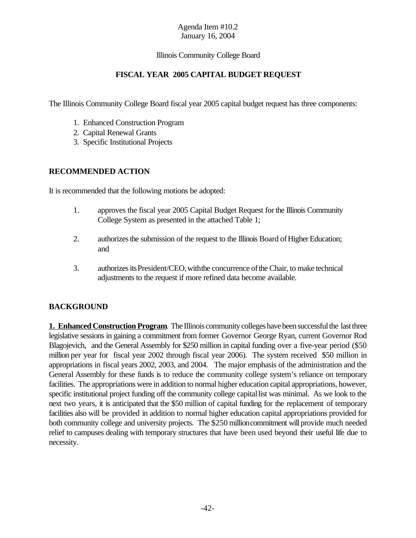#### Illinois Community College Board

## **FISCAL YEAR 2005 CAPITAL BUDGET REQUEST**

The Illinois Community College Board fiscal year 2005 capital budget request has three components:

- 1. Enhanced Construction Program
- 2. Capital Renewal Grants
- 3. Specific Institutional Projects

#### **RECOMMENDED ACTION**

It is recommended that the following motions be adopted:

- 1. approves the fiscal year 2005 Capital Budget Request forthe Illinois Community College System as presented in the attached Table 1;
- 2. authorizes the submission of the request to the Illinois Board of Higher Education; and
- 3. authorizes its President/CEO, with the concurrence of the Chair, to make technical adjustments to the request if more refined data become available.

#### **BACKGROUND**

**1. Enhanced Construction Program**. The Illinois community colleges have been successful the last three legislative sessions in gaining a commitment from former Governor George Ryan, current Governor Rod Blagojevich, and the General Assembly for \$250 million in capital funding over a five-year period (\$50 million per year for fiscal year 2002 through fiscal year 2006). The system received \$50 million in appropriations in fiscal years 2002, 2003, and 2004. The major emphasis of the administration and the General Assembly for these funds is to reduce the community college system's reliance on temporary facilities. The appropriations were in addition to normal higher education capital appropriations, however, specific institutional project funding off the community college capitallist was minimal. As we look to the next two years, it is anticipated that the \$50 million of capital funding for the replacement of temporary facilities also will be provided in addition to normal higher education capital appropriations provided for both community college and university projects. The \$250 million commitment will provide much needed relief to campuses dealing with temporary structures that have been used beyond their useful life due to necessity.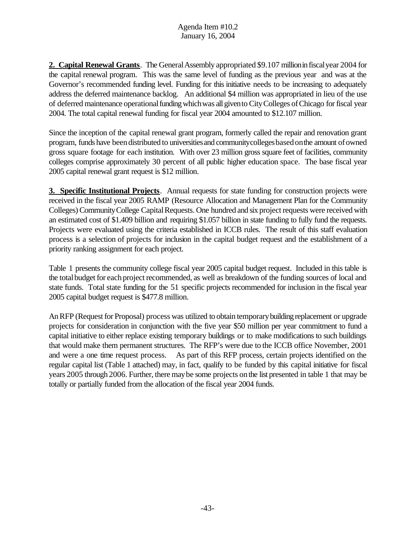**2. Capital Renewal Grants**. The General Assembly appropriated \$9.107 million in fiscal year 2004 for the capital renewal program. This was the same level of funding as the previous year and was at the Governor's recommended funding level. Funding for this initiative needs to be increasing to adequately address the deferred maintenance backlog. An additional \$4 million was appropriated in lieu of the use of deferred maintenance operationalfundingwhichwas allgivento CityColleges ofChicago forfiscal year 2004. The total capital renewal funding for fiscal year 2004 amounted to \$12.107 million.

Since the inception of the capital renewal grant program, formerly called the repair and renovation grant program, funds have been distributed to universities and community colleges based on the amount of owned gross square footage for each institution. With over 23 million gross square feet of facilities, community colleges comprise approximately 30 percent of all public higher education space. The base fiscal year 2005 capital renewal grant request is \$12 million.

**3. Specific Institutional Projects**. Annual requests for state funding for construction projects were received in the fiscal year 2005 RAMP (Resource Allocation and Management Plan for the Community Colleges) Community College Capital Requests. One hundred and six project requests were received with an estimated cost of \$1.409 billion and requiring \$1.057 billion in state funding to fully fund the requests. Projects were evaluated using the criteria established in ICCB rules. The result of this staff evaluation process is a selection of projects for inclusion in the capital budget request and the establishment of a priority ranking assignment for each project.

Table 1 presents the community college fiscal year 2005 capital budget request. Included in this table is the total budget for each project recommended, as well as breakdown of the funding sources of local and state funds. Total state funding for the 51 specific projects recommended for inclusion in the fiscal year 2005 capital budget request is \$477.8 million.

An RFP (Request for Proposal) process was utilized to obtain temporary building replacement or upgrade projects for consideration in conjunction with the five year \$50 million per year commitment to fund a capital initiative to either replace existing temporary buildings or to make modifications to such buildings that would make them permanent structures. The RFP's were due to the ICCB office November, 2001 and were a one time request process. As part of this RFP process, certain projects identified on the regular capital list (Table 1 attached) may, in fact, qualify to be funded by this capital initiative for fiscal years 2005 through 2006. Further, there maybe some projects onthe list presented in table 1 that may be totally or partially funded from the allocation of the fiscal year 2004 funds.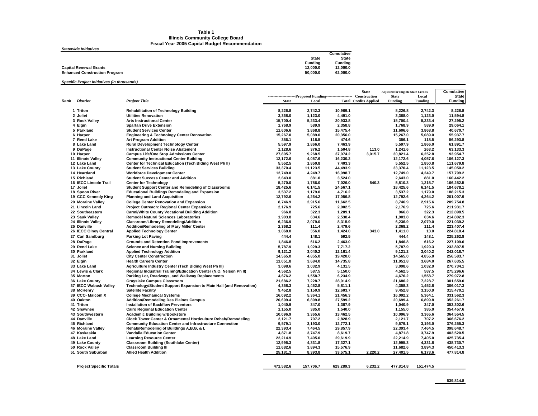#### **Table 1 Illinois Community College Board Fiscal Year 2005 Capital Budget Recommendation**

*Statewide Initiatives*

| <b>Capital Renewal Grants</b>        | 12.000.0 | 12.000.0 |
|--------------------------------------|----------|----------|
| <b>Enhanced Construction Program</b> | 50.000.0 | 62.000.0 |

#### *Specific Project Initiatives (in thousands)*

|      |                                |                                                                    |              |                                                           |           | <b>State</b>                 | <b>Adjusted for Eligible State Credits</b> |           | <b>Cumulative</b> |
|------|--------------------------------|--------------------------------------------------------------------|--------------|-----------------------------------------------------------|-----------|------------------------------|--------------------------------------------|-----------|-------------------|
|      |                                |                                                                    |              | ---------------------Proposed Funding-------------------- |           | Construction                 | <b>State</b>                               | Local     | <b>State</b>      |
| Rank | <b>District</b>                | <b>Project Title</b>                                               | <b>State</b> | Local                                                     |           | <b>Total Credits Applied</b> | Funding                                    | Funding   | <b>Funding</b>    |
|      | 1 Triton                       | <b>Rehabilitation of Technology Building</b>                       | 8,226.8      | 2,742.3                                                   | 10,969.1  |                              | 8,226.8                                    | 2,742.3   | 8,226.8           |
|      | 2 Joliet                       | <b>Utilities Renovation</b>                                        | 3,368.0      | 1,123.0                                                   | 4,491.0   |                              | 3,368.0                                    | 1,123.0   | 11,594.8          |
|      | 3 Rock Valley                  | <b>Arts Instructional Center</b>                                   | 15,700.4     | 5,233.4                                                   | 20,933.8  |                              | 15,700.4                                   | 5,233.4   | 27,295.2          |
|      | 4 Elgin                        | <b>Spartan Drive Extension</b>                                     | 1,768.9      | 589.9                                                     | 2,358.8   |                              | 1,768.9                                    | 589.9     | 29,064.1          |
|      | 5 Parkland                     | <b>Student Services Center</b>                                     | 11,606.6     | 3,868.8                                                   | 15,475.4  |                              | 11,606.6                                   | 3,868.8   | 40,670.7          |
|      | 6 Harper                       | <b>Engineering &amp; Technology Center Renovation</b>              | 15.267.0     | 5.089.0                                                   | 20.356.0  |                              | 15,267.0                                   | 5.089.0   | 55.937.7          |
|      | 7 Rend Lake                    | <b>Art Program Addition</b>                                        | 356.1        | 118.5                                                     | 474.6     |                              | 356.1                                      | 118.5     | 56,293.8          |
|      | 8 Lake Land                    | <b>Rural Development Technology Center</b>                         | 5,597.9      | 1.866.0                                                   | 7.463.9   |                              | 5.597.9                                    | 1.866.0   | 61.891.7          |
|      | 9 DuPage                       | <b>Instructional Center Noise Abatement</b>                        | 1,128.6      | 376.2                                                     | 1,504.8   | 113.0                        | 1,241.6                                    | 263.2     | 63,133.3          |
|      | 10 Harper                      | <b>Campus Life/One Stop Admissions Center</b>                      | 27,805.7     | 9,268.5                                                   | 37,074.2  | 3,015.7                      | 30,821.4                                   | 6,252.8   | 93.954.7          |
|      | 11 Illinois Valley             | <b>Community Instructional Center Building</b>                     | 12,172.6     | 4,057.6                                                   | 16,230.2  |                              | 12,172.6                                   | 4,057.6   | 106,127.3         |
|      | 12 Lake Land                   | Center for Technical Education (Tech Blding West Ph II)            | 5,552.5      | 1,850.8                                                   | 7,403.3   |                              | 5,552.5                                    | 1,850.8   | 111,679.8         |
|      | 13 Lake County                 | <b>Student Services Building</b>                                   | 33,370.4     | 11,123.5                                                  | 44,493.9  |                              | 33,370.4                                   | 11,123.5  | 145,050.2         |
|      | 14 Heartland                   | <b>Workforce Development Center</b>                                | 12,749.0     | 4,249.7                                                   | 16,998.7  |                              | 12,749.0                                   | 4,249.7   | 157,799.2         |
|      | 15 Richland                    | <b>Student Success Center and Addition</b>                         | 2,643.0      | 881.0                                                     | 3,524.0   |                              | 2,643.0                                    | 881.0     | 160,442.2         |
|      | <b>16 IECC Lincoln Trail</b>   | <b>Center for Technology</b>                                       | 5,270.0      | 1.756.0                                                   | 7,026.0   | 540.3                        | 5.810.3                                    | 1,215.7   | 166,252.5         |
|      | 17 Joliet                      | <b>Student Support Center and Remodeling of Classrooms</b>         | 18,425.6     | 6,141.5                                                   | 24,567.1  |                              | 18,425.6                                   | 6,141.5   | 184,678.1         |
|      | 18 Spoon River                 | <b>Educational Buildings Remodeling and Expansion</b>              | 3,537.2      | 1,179.0                                                   | 4,716.2   |                              | 3,537.2                                    | 1,179.0   | 188,215.3         |
|      | 19 CCC Kennedy King            | <b>Planning and Land Acquisition</b>                               | 12,792.6     | 4.264.2                                                   | 17,056.8  |                              | 12.792.6                                   | 4,264.2   | 201.007.9         |
|      | 20 Moraine Valley              | <b>College Center Renovation and Expansion</b>                     | 8,746.9      | 2,915.6                                                   | 11,662.5  |                              | 8,746.9                                    | 2,915.6   | 209,754.8         |
|      | 21 Lincoln Land                | <b>Project Outreach: Regional Center Expansion</b>                 | 2,176.9      | 725.6                                                     | 2,902.5   |                              | 2,176.9                                    | 725.6     | 211,931.7         |
|      | 22 Southeastern                | Carmi/White County Vocational Building Addition                    | 966.8        | 322.3                                                     | 1,289.1   |                              | 966.8                                      | 322.3     | 212,898.5         |
|      | 23 Sauk Valley                 | <b>Remodel Natural Sciences Laboratories</b>                       | 1,903.8      | 634.6                                                     | 2,538.4   |                              | 1,903.8                                    | 634.6     | 214,802.3         |
|      | 24 Illinois Valley             | Classroom/Library Remodeling/Addition                              | 6,236.9      | 2,079.0                                                   | 8,315.9   |                              | 6,236.9                                    | 2,079.0   | 221,039.2         |
|      | 25 Danville                    | <b>Addition/Remodeling of Mary Miller Center</b>                   | 2,368.2      | 111.4                                                     | 2,479.6   |                              | 2,368.2                                    | 111.4     | 223,407.4         |
|      | 26 IECC Olney Central          | <b>Applied Technology Center</b>                                   | 1,068.0      | 356.0                                                     | 1,424.0   | 343.0                        | 1,411.0                                    | 13.0      | 224,818.4         |
|      | 27 Carl Sandburg               | <b>Parking Lot Paving</b>                                          | 444.4        | 148.1                                                     | 592.5     |                              | 444.4                                      | 148.1     | 225,262.8         |
|      | 28 DuPage                      | <b>Grounds and Retention Pond Improvements</b>                     | 1,846.8      | 616.2                                                     | 2,463.0   |                              | 1.846.8                                    | 616.2     | 227,109.6         |
|      | 29 Rend Lake                   | <b>Science and Nursing Building</b>                                | 5,787.9      | 1.929.3                                                   | 7.717.2   |                              | 5.787.9                                    | 1,929.3   | 232.897.5         |
|      | 30 Parkland                    | <b>Applied Technology Addition</b>                                 | 9,121.2      | 3,040.2                                                   | 12,161.4  |                              | 9,121.2                                    | 3.040.2   | 242.018.7         |
|      | 31 Joliet                      | <b>City Center Construction</b>                                    | 14,565.0     | 4,855.0                                                   | 19,420.0  |                              | 14,565.0                                   | 4,855.0   | 256,583.7         |
|      | 32 Elgin                       | <b>Health Careers Center</b>                                       | 11,051.8     | 3,684.0                                                   | 14,735.8  |                              | 11,051.8                                   | 3,684.0   | 267,635.5         |
|      | 33 Lake Land                   | Agriculture Industry Center (Tech Biding West Ph III)              | 3,098.6      | 1,032.9                                                   | 4,131.5   |                              | 3,098.6                                    | 1,032.9   | 270,734.1         |
|      | 34 Lewis & Clark               | Regional Industrial Training/Education Center (N.O. Nelson Ph II)  | 4,562.5      | 587.5                                                     | 5,150.0   |                              | 4,562.5                                    | 587.5     | 275,296.6         |
|      | 35 Morton                      | Parking Lot, Roadways, and Walkway Replacements                    | 4,676.2      | 1.558.7                                                   | 6.234.9   |                              | 4.676.2                                    | 1,558.7   | 279.972.8         |
|      | 36 Lake County                 | <b>Grayslake Campus Classroom</b>                                  | 21,686.2     | 7,228.7                                                   | 28.914.9  |                              | 21,686.2                                   | 7,228.7   | 301.659.0         |
|      | 37 IECC Wabash Valley          | Technology/Student Support Expansion to Main Hall (and Renovation) | 4,358.3      | 1,452.8                                                   | 5,811.1   |                              | 4,358.3                                    | 1,452.8   | 306,017.3         |
|      | 38 McHenry                     | <b>Satellite Facility</b>                                          | 9,452.8      | 3,150.9                                                   | 12.603.7  |                              | 9,452.8                                    | 3,150.9   | 315,470.1         |
|      | 39 CCC- Malcom X               | <b>College Mechanical Systems</b>                                  | 16,092.2     | 5,364.1                                                   | 21,456.3  |                              | 16,092.2                                   | 5,364.1   | 331,562.3         |
|      | 40 Oakton                      | <b>Addition/Remodeling Des Plaines Campus</b>                      | 20,699.4     | 6,899.8                                                   | 27,599.2  |                              | 20,699.4                                   | 6,899.8   | 352,261.7         |
|      | 41 Triton                      | <b>Installation of Backflow Preventors</b>                         | 1,040.9      | 347.0                                                     | 1,387.9   |                              | 1,040.9                                    | 347.0     | 353,302.6         |
|      | 42 Shawnee                     | <b>Cairo Regional Education Center</b>                             | 1,155.0      | 385.0                                                     | 1,540.0   |                              | 1,155.0                                    | 385.0     | 354,457.6         |
|      | 43 Southwestern                | <b>Academic Building w/Bookstore</b>                               | 10,096.9     | 3,365.6                                                   | 13,462.5  |                              | 10,096.9                                   | 3,365.6   | 364,554.5         |
|      | 44 Danville                    | Clock Tower Center & Ornamental Horticulture Rehab/Remodeling      | 2,121.7      | 707.2                                                     | 2.828.9   |                              | 2,121.7                                    | 707.2     | 366.676.2         |
|      | 45 Richland                    | <b>Community Education Center and Infrastructure Connection</b>    | 9,579.1      | 3,193.0                                                   | 12,772.1  |                              | 9,579.1                                    | 3,193.0   | 376,255.3         |
|      | 46 Moraine Valley              | Rehab/Remodeling of Buildings A, B, G, & L                         | 22,393.4     | 7,464.5                                                   | 29,857.9  |                              | 22,393.4                                   | 7,464.5   | 398,648.7         |
|      | 47 Kaskaskia                   | <b>Vandalia Education Center</b>                                   | 4,871.8      | 3,747.9                                                   | 8,619.7   |                              | 4,871.8                                    | 3,747.9   | 403,520.5         |
|      | 48 Lake Land                   | <b>Learning Resource Center</b>                                    | 22,214.9     | 7,405.0                                                   | 29,619.9  |                              | 22,214.9                                   | 7,405.0   | 425,735.4         |
|      | 49 Lake County                 | <b>Classroom Building (Southlake Center)</b>                       | 12,995.3     | 4,331.8                                                   | 17,327.1  |                              | 12,995.3                                   | 4,331.8   | 438,730.7         |
|      | 50 Rock Valley                 | <b>Classroom Building III</b>                                      | 11,682.6     | 3.894.3                                                   | 15,576.9  |                              | 11,682.6                                   | 3,894.3   | 450.413.3         |
|      | 51 South Suburban              | <b>Allied Health Addition</b>                                      | 25,181.3     | 8,393.8                                                   | 33,575.1  | 2,220.2                      | 27,401.5                                   | 6,173.6   | 477,814.8         |
|      |                                |                                                                    |              |                                                           |           |                              |                                            |           |                   |
|      | <b>Project Specific Totals</b> |                                                                    | 471,582.6    | 157,706.7                                                 | 629.289.3 | 6.232.2                      | 477,814.8                                  | 151,474.5 |                   |
|      |                                |                                                                    |              |                                                           |           |                              |                                            |           |                   |

**Cumulative**

**State State Funding Funding**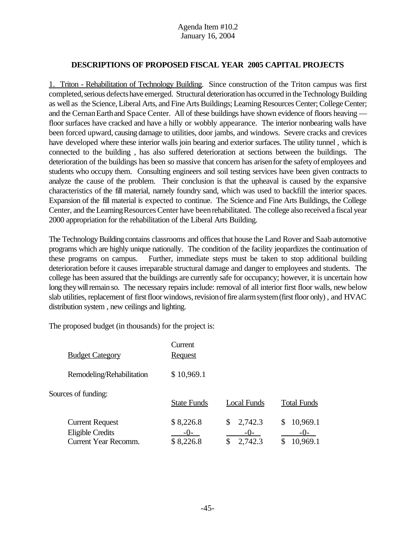#### **DESCRIPTIONS OF PROPOSED FISCAL YEAR 2005 CAPITAL PROJECTS**

1. Triton - Rehabilitation of Technology Building. Since construction of the Triton campus was first completed, serious defects have emerged. Structural deterioration has occurred in the Technology Building as well as the Science, Liberal Arts, and Fine Arts Buildings; Learning Resources Center; College Center; and the Cernan Earth and Space Center. All of these buildings have shown evidence of floors heaving floor surfaces have cracked and have a hilly or wobbly appearance. The interior nonbearing walls have been forced upward, causing damage to utilities, door jambs, and windows. Severe cracks and crevices have developed where these interior walls join bearing and exterior surfaces. The utility tunnel , which is connected to the building , has also suffered deterioration at sections between the buildings. The deterioration of the buildings has been so massive that concern has arisenforthe safetyof employees and students who occupy them. Consulting engineers and soil testing services have been given contracts to analyze the cause of the problem. Their conclusion is that the upheaval is caused by the expansive characteristics of the fill material, namely foundry sand, which was used to backfill the interior spaces. Expansion of the fill material is expected to continue. The Science and Fine Arts Buildings, the College Center, and theLearningResources Center have beenrehabilitated. The college also received a fiscal year 2000 appropriation for the rehabilitation of the Liberal Arts Building.

The Technology Building contains classrooms and offices that house the Land Rover and Saab automotive programs which are highly unique nationally. The condition of the facility jeopardizes the continuation of these programs on campus. Further, immediate steps must be taken to stop additional building deterioration before it causes irreparable structural damage and danger to employees and students. The college has been assured that the buildings are currently safe for occupancy; however, it is uncertain how long they will remain so. The necessary repairs include: removal of all interior first floor walls, new below slab utilities, replacement of first floor windows, revision of fire alarm system (first floor only), and HVAC distribution system , new ceilings and lighting.

The proposed budget (in thousands) for the project is:

| <b>Budget Category</b>                                                    | Current<br><b>Request</b>         |                                    |                                      |
|---------------------------------------------------------------------------|-----------------------------------|------------------------------------|--------------------------------------|
| Remodeling/Rehabilitation                                                 | \$10,969.1                        |                                    |                                      |
| Sources of funding:                                                       | <b>State Funds</b>                | <b>Local Funds</b>                 | <b>Total Funds</b>                   |
| <b>Current Request</b><br><b>Eligible Credits</b><br>Current Year Recomm. | \$8,226.8<br>$-()$ -<br>\$8,226.8 | 2,742.3<br>S<br>$-()$ -<br>2,742.3 | 10,969.1<br>S<br>$-()$ -<br>10,969.1 |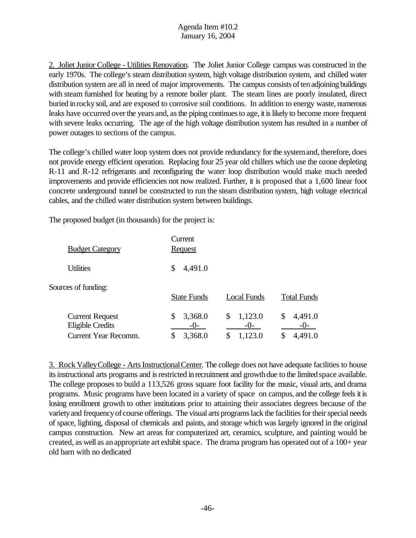2. Joliet Junior College - Utilities Renovation. The Joliet Junior College campus was constructed in the early 1970s. The college's steam distribution system, high voltage distribution system, and chilled water distribution system are all in need of major improvements. The campus consists of ten adjoining buildings with steam furnished for heating by a remote boiler plant. The steam lines are poorly insulated, direct buried inrockysoil, and are exposed to corrosive soil conditions. In addition to energy waste, numerous leaks have occurred over the years and, as the piping continues to age, it is likely to become more frequent with severe leaks occurring. The age of the high voltage distribution system has resulted in a number of power outages to sections of the campus.

The college's chilled water loop system does not provide redundancy forthe systemand, therefore, does not provide energy efficient operation. Replacing four 25 year old chillers which use the ozone depleting R-11 and R-12 refrigerants and reconfiguring the water loop distribution would make much needed improvements and provide efficiencies not now realized. Further, it is proposed that a 1,600 linear foot concrete underground tunnel be constructed to run the steam distribution system, high voltage electrical cables, and the chilled water distribution system between buildings.

The proposed budget (in thousands) for the project is:

| <b>Budget Category</b>                                                           | Current<br><b>Request</b>               |                                           |                                           |
|----------------------------------------------------------------------------------|-----------------------------------------|-------------------------------------------|-------------------------------------------|
| <b>Utilities</b>                                                                 | 4,491.0<br>\$                           |                                           |                                           |
| Sources of funding:                                                              | <b>State Funds</b>                      | <b>Local Funds</b>                        | <b>Total Funds</b>                        |
| <b>Current Request</b><br><b>Eligible Credits</b><br><b>Current Year Recomm.</b> | \$<br>3,368.0<br>$-0-$<br>3,368.0<br>\$ | \$<br>1,123.0<br>$-()$ -<br>1,123.0<br>\$ | 4,491.0<br>\$<br>$-()$ -<br>4,491.0<br>\$ |

3. Rock Valley College - Arts Instructional Center. The college does not have adequate facilities to house its instructional arts programs and is restricted in recruitment and growth due to the limited space available. The college proposes to build a 113,526 gross square foot facility for the music, visual arts, and drama programs. Music programs have been located in a variety of space on campus, and the college feels it is losing enrollment growth to other institutions prior to attaining their associates degrees because of the varietyand frequencyof course offerings. The visual arts programs lack the facilities for their special needs of space, lighting, disposal of chemicals and paints, and storage which was largely ignored in the original campus construction. New art areas for computerized art, ceramics, sculpture, and painting would be created, as well as an appropriate art exhibit space. The drama program has operated out of a  $100+$  year old barn with no dedicated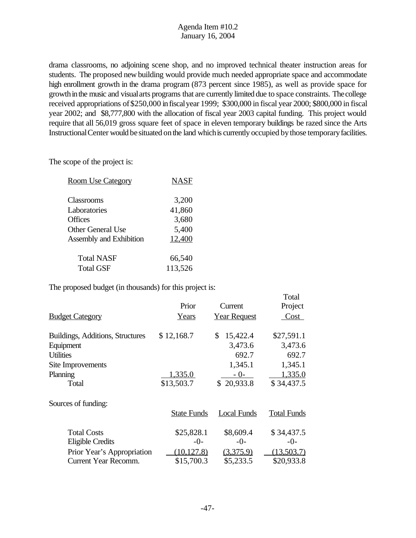drama classrooms, no adjoining scene shop, and no improved technical theater instruction areas for students. The proposed new building would provide much needed appropriate space and accommodate high enrollment growth in the drama program (873 percent since 1985), as well as provide space for growth in the music and visual arts programs that are currently limited due to space constraints. The college received appropriations of\$250,000 infiscalyear 1999; \$300,000 in fiscal year 2000; \$800,000 in fiscal year 2002; and \$8,777,800 with the allocation of fiscal year 2003 capital funding. This project would require that all 56,019 gross square feet of space in eleven temporary buildings be razed since the Arts Instructional Center would be situated on the land which is currently occupied by those temporary facilities.

Total

The scope of the project is:

| <b>Room Use Category</b> | <b>NASF</b> |
|--------------------------|-------------|
|                          |             |
| Classrooms               | 3,200       |
| Laboratories             | 41,860      |
| Offices                  | 3,680       |
| <b>Other General Use</b> | 5,400       |
| Assembly and Exhibition  | 12,400      |
| <b>Total NASF</b>        | 66,540      |
| <b>Total GSF</b>         | 113,526     |
|                          |             |

The proposed budget (in thousands) for this project is:

|                                  | Prior              | Current             | Project            |
|----------------------------------|--------------------|---------------------|--------------------|
| <b>Budget Category</b>           | Years              | <b>Year Request</b> | Cost               |
| Buildings, Additions, Structures | \$12,168.7         | 15,422.4<br>\$      | \$27,591.1         |
| Equipment                        |                    | 3,473.6             | 3,473.6            |
| <b>Utilities</b>                 |                    | 692.7               | 692.7              |
| Site Improvements                |                    | 1,345.1             | 1,345.1            |
| Planning                         | 1,335.0            | $-0-$               | 1,335.0            |
| Total                            | \$13,503.7         | \$20,933.8          | \$34,437.5         |
| Sources of funding:              |                    |                     |                    |
|                                  | <b>State Funds</b> | <b>Local Funds</b>  | <b>Total Funds</b> |
| <b>Total Costs</b>               | \$25,828.1         | \$8,609.4           | \$34,437.5         |
| <b>Eligible Credits</b>          | $-0-$              | $-0-$               | $-0-$              |
| Prior Year's Appropriation       | (10, 127.8)        | (3,375.9)           | (13,503.7)         |
| Current Year Recomm.             | \$15,700.3         | \$5,233.5           | \$20,933.8         |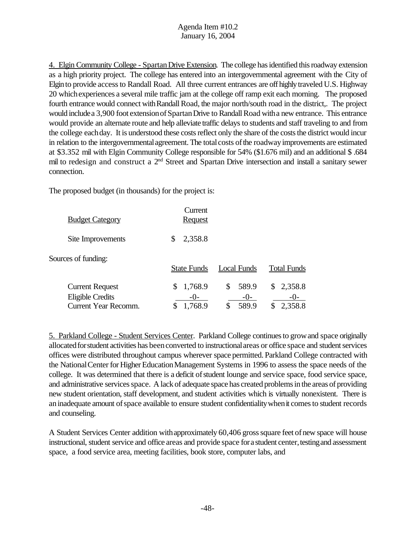4. Elgin Community College - SpartanDrive Extension. The college has identified this roadway extension as a high priority project. The college has entered into an intergovernmental agreement with the City of Elgin to provide access to Randall Road. All three current entrances are off highly traveled U.S. Highway 20 whichexperiences a several mile traffic jam at the college off ramp exit each morning. The proposed fourth entrance would connect with Randall Road, the major north/south road in the district,. The project would include a 3,900 foot extension of Spartan Drive to Randall Road with a new entrance. This entrance would provide an alternate route and help alleviate traffic delays to students and staff traveling to and from the college eachday. It is understood these costs reflect only the share of the costs the district would incur in relation to the intergovernmental agreement. The total costs of the roadway improvements are estimated at \$3.352 mil with Elgin Community College responsible for 54% (\$1.676 mil) and an additional \$ .684 mil to redesign and construct a 2<sup>nd</sup> Street and Spartan Drive intersection and install a sanitary sewer connection.

The proposed budget (in thousands) for the project is:

| <b>Budget Category</b>                                                           | Current<br><b>Request</b>     |                               |                          |
|----------------------------------------------------------------------------------|-------------------------------|-------------------------------|--------------------------|
| Site Improvements                                                                | 2,358.8<br>\$                 |                               |                          |
| Sources of funding:                                                              | <b>State Funds</b>            | Local Funds                   | <b>Total Funds</b>       |
| <b>Current Request</b><br><b>Eligible Credits</b><br><b>Current Year Recomm.</b> | 1,768.9<br>$-()$ -<br>1,768.9 | 589.9<br>\$<br>$-0-$<br>589.9 | 2,358.8<br>\$<br>2,358.8 |

5. Parkland College - Student Services Center. Parkland College continuesto growand space originally allocated for student activities has been converted to instructional areas or office space and student services offices were distributed throughout campus wherever space permitted. Parkland College contracted with the National Center for Higher Education Management Systems in 1996 to assess the space needs of the college. It was determined that there is a deficit of student lounge and service space, food service space, and administrative services space. A lack of adequate space has created problems in the areas of providing new student orientation, staff development, and student activities which is virtually nonexistent. There is an inadequate amount of space available to ensure student confidentiality when it comes to student records and counseling.

A Student Services Center addition withapproximately 60,406 grosssquare feet ofnew space will house instructional, student service and office areas and provide space for a student center, testing and assessment space, a food service area, meeting facilities, book store, computer labs, and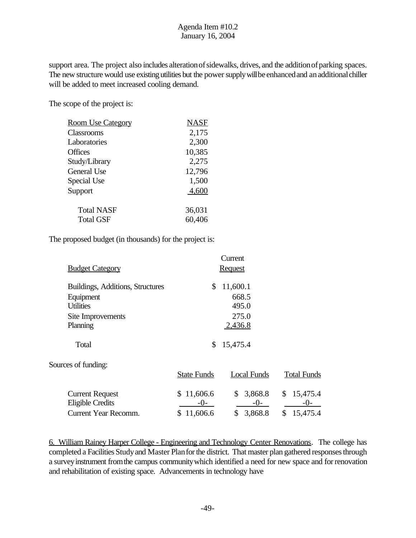support area. The project also includes alteration of sidewalks, drives, and the addition of parking spaces. The new structure would use existing utilities but the power supply will be enhanced and an additional chiller will be added to meet increased cooling demand.

The scope of the project is:

| <b>Room Use Category</b>              | NASF             |
|---------------------------------------|------------------|
| Classrooms                            | 2,175            |
| Laboratories                          | 2,300            |
| <b>Offices</b>                        | 10,385           |
| Study/Library                         | 2,275            |
| General Use                           | 12,796           |
| Special Use                           | 1,500            |
| Support                               | 4,600            |
| <b>Total NASF</b><br><b>Total GSF</b> | 36,031<br>60,406 |
|                                       |                  |

The proposed budget (in thousands) for the project is:

|                                  |                    | Current            |                    |
|----------------------------------|--------------------|--------------------|--------------------|
| <b>Budget Category</b>           |                    | <b>Request</b>     |                    |
| Buildings, Additions, Structures | \$                 | 11,600.1           |                    |
| Equipment                        |                    | 668.5              |                    |
| <b>Utilities</b>                 |                    | 495.0              |                    |
| Site Improvements                |                    | 275.0              |                    |
| Planning                         |                    | 2,436.8            |                    |
| Total                            | \$                 | 15,475.4           |                    |
| Sources of funding:              |                    |                    |                    |
|                                  | <b>State Funds</b> | <b>Local Funds</b> | <b>Total Funds</b> |
| <b>Current Request</b>           | \$11,606.6         | 3,868.8<br>\$      | 15,475.4<br>\$     |
| <b>Eligible Credits</b>          | -0-                | $-0-$              | $-()$              |
| <b>Current Year Recomm.</b>      | \$11,606.6         | \$<br>3,868.8      | \$<br>15,475.4     |

6. William Rainey Harper College - Engineering and Technology Center Renovations. The college has completed a Facilities Study and Master Plan for the district. That master plan gathered responses through a survey instrument from the campus community which identified a need for new space and for renovation and rehabilitation of existing space. Advancements in technology have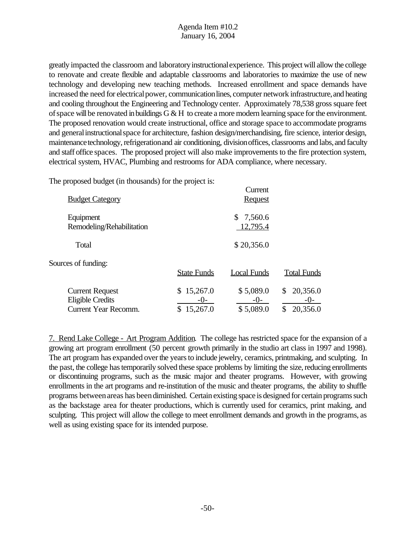greatly impacted the classroom and laboratoryinstructionalexperience. This project will allow the college to renovate and create flexible and adaptable classrooms and laboratories to maximize the use of new technology and developing new teaching methods. Increased enrollment and space demands have increased the need for electrical power, communication lines, computer network infrastructure, and heating and cooling throughout the Engineering and Technology center. Approximately 78,538 gross square feet of space will be renovated in buildings  $G \& H$  to create a more modern learning space for the environment. The proposed renovation would create instructional, office and storage space to accommodate programs and general instructional space for architecture, fashion design/merchandising, fire science, interior design, maintenance technology, refrigeration and air conditioning, division offices, classrooms and labs, and faculty and staff office spaces. The proposed project will also make improvements to the fire protection system, electrical system, HVAC, Plumbing and restrooms for ADA compliance, where necessary.

Current

The proposed budget (in thousands) for the project is:

| <b>Budget Category</b>                                                           |                                 | Cuncin<br><b>Request</b>          |                                      |
|----------------------------------------------------------------------------------|---------------------------------|-----------------------------------|--------------------------------------|
| Equipment<br>Remodeling/Rehabilitation                                           |                                 | \$7,560.6<br>12,795.4             |                                      |
| Total                                                                            |                                 | \$20,356.0                        |                                      |
| Sources of funding:                                                              | <b>State Funds</b>              | Local Funds                       | <b>Total Funds</b>                   |
| <b>Current Request</b><br><b>Eligible Credits</b><br><b>Current Year Recomm.</b> | \$15,267.0<br>$-0-$<br>15,267.0 | \$5,089.0<br>$-()$ -<br>\$5,089.0 | 20,356.0<br>\$<br>$-0$ -<br>20,356.0 |

7. Rend Lake College - Art Program Addition. The college has restricted space for the expansion of a growing art program enrollment (50 percent growth primarily in the studio art class in 1997 and 1998). The art program has expanded over the years to include jewelry, ceramics, printmaking, and sculpting. In the past, the college has temporarily solved these space problems by limiting the size, reducing enrollments or discontinuing programs, such as the music major and theater programs. However, with growing enrollments in the art programs and re-institution of the music and theater programs, the ability to shuffle programs between areas has been diminished. Certain existing space is designed for certain programs such as the backstage area for theater productions, which is currently used for ceramics, print making, and sculpting. This project will allow the college to meet enrollment demands and growth in the programs, as well as using existing space for its intended purpose.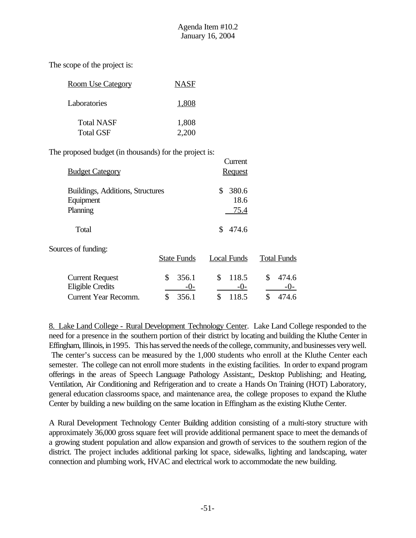The scope of the project is:

| <b>Room Use Category</b> | <b>NASF</b> |
|--------------------------|-------------|
| Laboratories             | 1,808       |
| <b>Total NASF</b>        | 1,808       |
| <b>Total GSF</b>         | 2.200       |

The proposed budget (in thousands) for the project is:

| <b>Budget Category</b>                                    |                    | Current<br><b>Request</b>   |                        |
|-----------------------------------------------------------|--------------------|-----------------------------|------------------------|
| Buildings, Additions, Structures<br>Equipment<br>Planning |                    | 380.6<br>\$<br>18.6<br>75.4 |                        |
| Total                                                     |                    | 474.6<br>\$                 |                        |
| Sources of funding:                                       | <b>State Funds</b> | <b>Local Funds</b>          | <b>Total Funds</b>     |
| <b>Current Request</b><br><b>Eligible Credits</b>         | \$<br>356.1<br>-0- | \$<br>118.5<br>$-0-$        | \$<br>474.6<br>$-()$ - |

Current Year Recomm. \$ 356.1 \$ 118.5 \$ 474.6

8. Lake Land College - Rural Development Technology Center. Lake Land College responded to the need for a presence in the southern portion of their district by locating and building the Kluthe Center in Effingham, Illinois, in 1995. This has served the needs of the college, community, and businesses very well. The center's success can be measured by the 1,000 students who enroll at the Kluthe Center each semester. The college can not enroll more students in the existing facilities. In order to expand program offerings in the areas of Speech Language Pathology Assistant;, Desktop Publishing; and Heating, Ventilation, Air Conditioning and Refrigeration and to create a Hands On Training (HOT) Laboratory, general education classrooms space, and maintenance area, the college proposes to expand the Kluthe Center by building a new building on the same location in Effingham as the existing Kluthe Center.

A Rural Development Technology Center Building addition consisting of a multi-story structure with approximately 36,000 gross square feet will provide additional permanent space to meet the demands of a growing student population and allow expansion and growth of services to the southern region of the district. The project includes additional parking lot space, sidewalks, lighting and landscaping, water connection and plumbing work, HVAC and electrical work to accommodate the new building.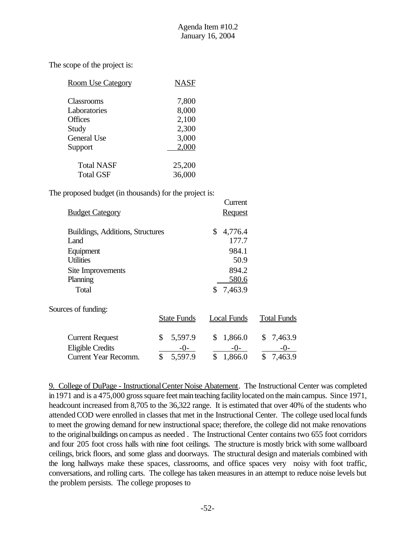The scope of the project is:

| <b>Room Use Category</b> | <b>NASF</b> |
|--------------------------|-------------|
| Classrooms               | 7,800       |
| Laboratories             | 8,000       |
| <b>Offices</b>           | 2,100       |
| Study                    | 2,300       |
| <b>General Use</b>       | 3,000       |
| Support                  | 2,000       |
| Total NASF               | 25,200      |
| <b>Total GSF</b>         | 36,000      |

The proposed budget (in thousands) for the project is:

|                                  |                    | Current       |                    |
|----------------------------------|--------------------|---------------|--------------------|
| <b>Budget Category</b>           |                    | Request       |                    |
| Buildings, Additions, Structures |                    | \$<br>4,776.4 |                    |
| Land                             |                    | 177.7         |                    |
| Equipment                        |                    | 984.1         |                    |
| <b>Utilities</b>                 |                    | 50.9          |                    |
| Site Improvements                |                    | 894.2         |                    |
| Planning                         |                    | 580.6         |                    |
| Total                            |                    | 7,463.9<br>\$ |                    |
| Sources of funding:              |                    |               |                    |
|                                  | <b>State Funds</b> | Local Funds   | <b>Total Funds</b> |
| <b>Current Request</b>           | \$<br>5,597.9      | \$<br>1,866.0 | \$<br>7,463.9      |
| <b>Eligible Credits</b>          | $-()$ –            | $-()$         |                    |

Current Year Recomm. \$ 5,597.9 \$ 1,866.0 \$ 7,463.9

9. College of DuPage - InstructionalCenter Noise Abatement. The Instructional Center was completed in 1971 and is a 475,000 gross square feet main teaching facility located on the main campus. Since 1971, headcount increased from 8,705 to the 36,322 range. It is estimated that over 40% of the students who attended COD were enrolled in classes that met in the Instructional Center. The college used localfunds to meet the growing demand for new instructional space; therefore, the college did not make renovations to the originalbuildings oncampus as needed . The Instructional Center contains two 655 foot corridors and four 205 foot cross halls with nine foot ceilings. The structure is mostly brick with some wallboard ceilings, brick floors, and some glass and doorways. The structural design and materials combined with the long hallways make these spaces, classrooms, and office spaces very noisy with foot traffic, conversations, and rolling carts. The college has taken measures in an attempt to reduce noise levels but the problem persists. The college proposes to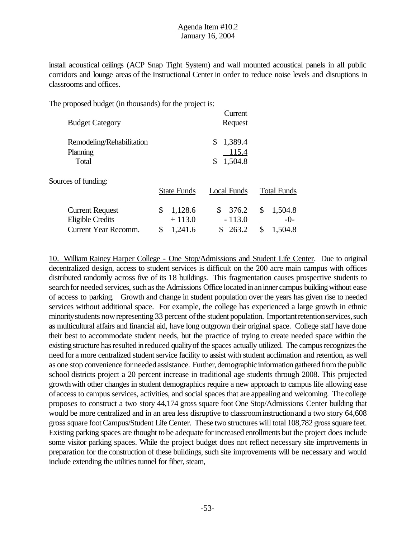install acoustical ceilings (ACP Snap Tight System) and wall mounted acoustical panels in all public corridors and lounge areas of the Instructional Center in order to reduce noise levels and disruptions in classrooms and offices.

The proposed budget (in thousands) for the project is:

| <b>Budget Category</b>                                                           |                                            | Current<br><b>Request</b>               |                                         |
|----------------------------------------------------------------------------------|--------------------------------------------|-----------------------------------------|-----------------------------------------|
| Remodeling/Rehabilitation<br>Planning<br>Total                                   |                                            | 1,389.4<br>\$<br>115.4<br>1,504.8<br>\$ |                                         |
| Sources of funding:                                                              | <b>State Funds</b>                         | Local Funds                             | <b>Total Funds</b>                      |
| <b>Current Request</b><br><b>Eligible Credits</b><br><b>Current Year Recomm.</b> | \$<br>1,128.6<br>$+113.0$<br>\$<br>1,241.6 | 376.2<br>S<br>$-113.0$<br>263.2<br>\$   | 1,504.8<br>\$<br>$-0-$<br>\$<br>1,504.8 |

10. William Rainey Harper College - One Stop/Admissions and Student Life Center. Due to original decentralized design, access to student services is difficult on the 200 acre main campus with offices distributed randomly across five of its 18 buildings. This fragmentation causes prospective students to search for needed services, such as the Admissions Office located in an inner campus building without ease of access to parking. Growth and change in student population over the years has given rise to needed services without additional space. For example, the college has experienced a large growth in ethnic minority students now representing 33 percent of the student population. Important retention services, such as multicultural affairs and financial aid, have long outgrown their original space. College staff have done their best to accommodate student needs, but the practice of trying to create needed space within the existing structure has resulted in reduced quality of the spaces actually utilized. The campus recognizes the need for a more centralized student service facility to assist with student acclimation and retention, as well as one stop convenience for neededassistance. Further, demographic information gathered from the public school districts project a 20 percent increase in traditional age students through 2008. This projected growthwith other changes in student demographics require a new approach to campus life allowing ease of access to campus services, activities, and social spaces that are appealing and welcoming. The college proposes to construct a two story 44,174 gross square foot One Stop/Admissions Center building that would be more centralized and in an area less disruptive to classroominstructionand a two story 64,608 gross square footCampus/Student Life Center. These two structures will total 108,782 gross square feet. Existing parking spaces are thought to be adequate for increased enrollments but the project does include some visitor parking spaces. While the project budget does not reflect necessary site improvements in preparation for the construction of these buildings, such site improvements will be necessary and would include extending the utilities tunnel for fiber, steam,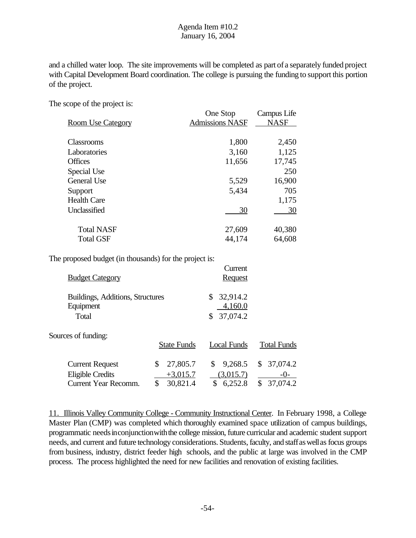and a chilled water loop. The site improvements will be completed as part of a separately funded project with Capital Development Board coordination. The college is pursuing the funding to support this portion of the project.

The scope of the project is:

|                          | One Stop               | Campus Life |  |
|--------------------------|------------------------|-------------|--|
| <b>Room Use Category</b> | <b>Admissions NASF</b> | <b>NASF</b> |  |
|                          |                        |             |  |
| <b>Classrooms</b>        | 1,800                  | 2,450       |  |
| Laboratories             | 3,160                  | 1,125       |  |
| <b>Offices</b>           | 11,656                 | 17,745      |  |
| Special Use              |                        | 250         |  |
| General Use              | 5,529                  | 16,900      |  |
| Support                  | 5,434                  | 705         |  |
| <b>Health Care</b>       |                        | 1,175       |  |
| Unclassified             | 30                     | 30          |  |
| <b>Total NASF</b>        | 27,609                 | 40,380      |  |
| <b>Total GSF</b>         | 44,174                 | 64,608      |  |

The proposed budget (in thousands) for the project is:

| <b>Budget Category</b>                                                           |                                                | Current<br><b>Request</b>                   |                                           |
|----------------------------------------------------------------------------------|------------------------------------------------|---------------------------------------------|-------------------------------------------|
| Buildings, Additions, Structures<br>Equipment<br>Total                           |                                                | 32,914.2<br>4,160.0<br>37,074.2             |                                           |
| Sources of funding:                                                              | <b>State Funds</b>                             | <b>Local Funds</b>                          | <b>Total Funds</b>                        |
| <b>Current Request</b><br><b>Eligible Credits</b><br><b>Current Year Recomm.</b> | 27,805.7<br>\$<br>$+3,015.7$<br>\$<br>30,821.4 | \$<br>9,268.5<br>(3,015.7)<br>6,252.8<br>\$ | 37,074.2<br>\$<br>$-()$<br>\$<br>37,074.2 |

11. Illinois Valley Community College - Community Instructional Center. In February 1998, a College Master Plan (CMP) was completed which thoroughly examined space utilization of campus buildings, programmatic needs in conjunction with the college mission, future curricular and academic student support needs, and current and future technology considerations. Students, faculty, and staff as well as focus groups from business, industry, district feeder high schools, and the public at large was involved in the CMP process. The process highlighted the need for new facilities and renovation of existing facilities.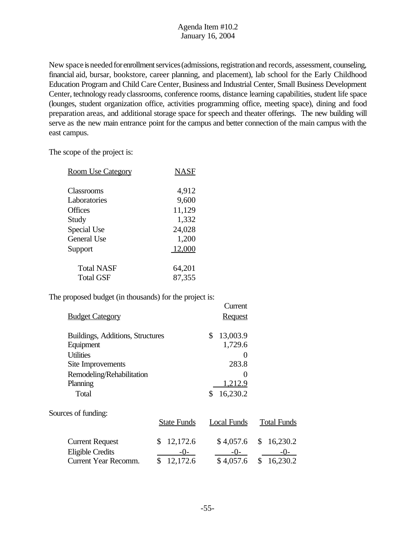New space is needed for enrollment services (admissions, registration and records, assessment, counseling, financial aid, bursar, bookstore, career planning, and placement), lab school for the Early Childhood Education Program and Child Care Center, Business and Industrial Center, Small Business Development Center, technology readyclassrooms, conference rooms, distance learning capabilities, student life space (lounges, student organization office, activities programming office, meeting space), dining and food preparation areas, and additional storage space for speech and theater offerings. The new building will serve as the new main entrance point for the campus and better connection of the main campus with the east campus.

 $C_{\text{source}}$ 

The scope of the project is:

| <b>Room Use Category</b> | NASF   |
|--------------------------|--------|
| Classrooms               | 4,912  |
| Laboratories             | 9,600  |
| Offices                  | 11,129 |
| Study                    | 1,332  |
| Special Use              | 24,028 |
| General Use              | 1,200  |
| Support                  | 12,000 |
| <b>Total NASF</b>        | 64,201 |
| <b>Total GSF</b>         | 87,355 |

The proposed budget (in thousands) for the project is:

|                                  |                    | Current           |                    |
|----------------------------------|--------------------|-------------------|--------------------|
| <b>Budget Category</b>           |                    | <b>Request</b>    |                    |
| Buildings, Additions, Structures |                    | 13,003.9<br>\$    |                    |
| Equipment                        |                    | 1,729.6           |                    |
| <b>Utilities</b>                 |                    | 0                 |                    |
| Site Improvements                |                    | 283.8             |                    |
| Remodeling/Rehabilitation        |                    | $\mathbf{\Omega}$ |                    |
| Planning                         |                    | 1,212.9           |                    |
| Total                            |                    | 16,230.2          |                    |
| Sources of funding:              |                    |                   |                    |
|                                  | <b>State Funds</b> | Local Funds       | <b>Total Funds</b> |
| <b>Current Request</b>           | 12,172.6<br>\$     | \$4,057.6         | 16,230.2<br>\$     |
| <b>Eligible Credits</b>          | $-()$ -            | $-0-$             |                    |
| <b>Current Year Recomm.</b>      | \$<br>12,172.6     | \$4,057.6         | \$<br>16,230.2     |
|                                  |                    |                   |                    |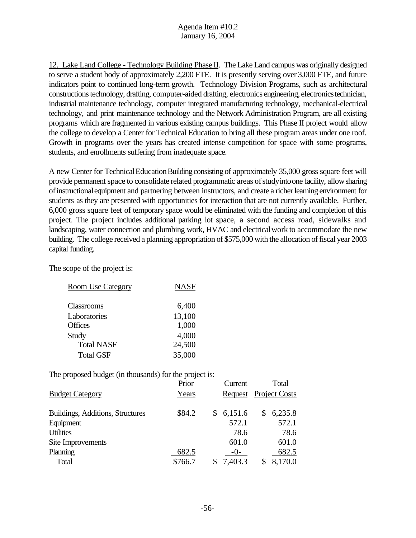12. Lake Land College - Technology Building Phase II. The Lake Land campus was originally designed to serve a student body of approximately 2,200 FTE. It is presently serving over 3,000 FTE, and future indicators point to continued long-term growth. Technology Division Programs, such as architectural constructionstechnology, drafting, computer-aided drafting, electronics engineering, electronicstechnician, industrial maintenance technology, computer integrated manufacturing technology, mechanical-electrical technology, and print maintenance technology and the Network Administration Program, are all existing programs which are fragmented in various existing campus buildings. This Phase II project would allow the college to develop a Center for Technical Education to bring all these program areas under one roof. Growth in programs over the years has created intense competition for space with some programs, students, and enrollments suffering from inadequate space.

A new Center for Technical Education Building consisting of approximately 35,000 gross square feet will provide permanent space to consolidate related programmatic areas of study into one facility, allow sharing ofinstructionalequipment and partnering between instructors, and create a richerlearning environment for students as they are presented with opportunities for interaction that are not currently available. Further, 6,000 gross square feet of temporary space would be eliminated with the funding and completion of this project. The project includes additional parking lot space, a second access road, sidewalks and landscaping, water connection and plumbing work, HVAC and electrical work to accommodate the new building. The college received a planning appropriation of \$575,000 with the allocation of fiscal year 2003 capital funding.

The scope of the project is:

| <b>Room Use Category</b> | <b>NASF</b> |
|--------------------------|-------------|
| Classrooms               | 6,400       |
| Laboratories             | 13,100      |
| <b>Offices</b>           | 1,000       |
| Study                    | 4,000       |
| <b>Total NASF</b>        | 24,500      |
| <b>Total GSF</b>         | 35,000      |

The proposed budget (in thousands) for the project is:

|                                  | Prior   |    | Current               |   | Total   |
|----------------------------------|---------|----|-----------------------|---|---------|
| <b>Budget Category</b>           | Years   |    | Request Project Costs |   |         |
| Buildings, Additions, Structures | \$84.2  | S. | 6,151.6               | S | 6,235.8 |
| Equipment                        |         |    | 572.1                 |   | 572.1   |
| <b>Utilities</b>                 |         |    | 78.6                  |   | 78.6    |
| Site Improvements                |         |    | 601.0                 |   | 601.0   |
| Planning                         | 682.5   |    | $-0-$                 |   | 682.5   |
| Total                            | \$766.7 |    | 7,403.3               |   | 8,170.0 |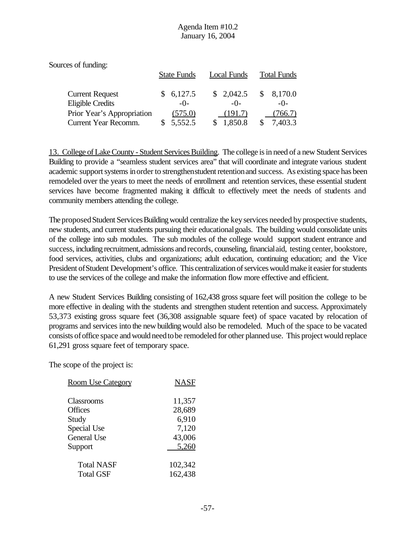| Sources of funding:                               |                    |                    |               |                    |
|---------------------------------------------------|--------------------|--------------------|---------------|--------------------|
|                                                   | <b>State Funds</b> | <b>Local Funds</b> |               | <b>Total Funds</b> |
| <b>Current Request</b><br><b>Eligible Credits</b> | \$6,127.5<br>$-0-$ | \$2,042.5<br>$-()$ | <sup>\$</sup> | 8,170.0<br>$-()$   |
| Prior Year's Appropriation                        | (575.0)            | (191.7)            |               | 766.7)             |
| Current Year Recomm.                              | 5,552.5            | 1,850.8            |               | 7,403.3            |

13. College of Lake County - Student Services Building. The college is in need of a new Student Services Building to provide a "seamless student services area" that will coordinate and integrate various student academic support systems in order to strengthenstudent retention and success. As existing space has been remodeled over the years to meet the needs of enrollment and retention services, these essential student services have become fragmented making it difficult to effectively meet the needs of students and community members attending the college.

The proposed Student Services Building would centralize the key services needed by prospective students, new students, and current students pursuing their educationalgoals. The building would consolidate units of the college into sub modules. The sub modules of the college would support student entrance and success, including recruitment, admissions and records, counseling, financial aid, testing center, bookstore, food services, activities, clubs and organizations; adult education, continuing education; and the Vice President ofStudent Development's office. This centralization of services would make it easier for students to use the services of the college and make the information flow more effective and efficient.

A new Student Services Building consisting of 162,438 gross square feet will position the college to be more effective in dealing with the students and strengthen student retention and success. Approximately 53,373 existing gross square feet (36,308 assignable square feet) of space vacated by relocation of programs and services into the new buildingwould also be remodeled. Much of the space to be vacated consists of office space and would need to be remodeled for other planned use. This project would replace 61,291 gross square feet of temporary space.

The scope of the project is:

| <b>Room Use Category</b> | <b>NASF</b> |
|--------------------------|-------------|
| Classrooms               | 11,357      |
| <b>Offices</b>           | 28,689      |
| Study                    | 6,910       |
| Special Use              | 7,120       |
| <b>General Use</b>       | 43,006      |
| Support                  | 5,260       |
| <b>Total NASF</b>        | 102,342     |
| <b>Total GSF</b>         | 162,438     |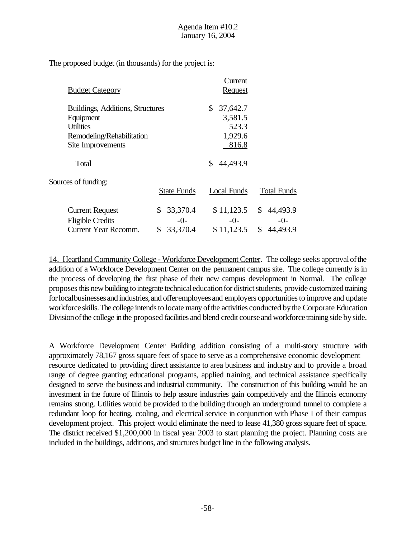The proposed budget (in thousands) for the project is:

|                                  |                    | Current        |                    |
|----------------------------------|--------------------|----------------|--------------------|
| <b>Budget Category</b>           |                    | <b>Request</b> |                    |
| Buildings, Additions, Structures |                    | 37,642.7<br>\$ |                    |
| Equipment                        |                    | 3,581.5        |                    |
| <b>Utilities</b>                 |                    | 523.3          |                    |
| Remodeling/Rehabilitation        |                    | 1,929.6        |                    |
| Site Improvements                |                    | 816.8          |                    |
| Total                            |                    | 44,493.9<br>\$ |                    |
| Sources of funding:              |                    |                |                    |
|                                  | <b>State Funds</b> | Local Funds    | <b>Total Funds</b> |
| <b>Current Request</b>           | 33,370.4<br>\$     | \$11,123.5     | 44,493.9<br>\$     |
| <b>Eligible Credits</b>          | $-()$ -            | $-0-$          | $-()$              |
| <b>Current Year Recomm.</b>      | 33,370.4<br>\$     | \$11,123.5     | \$<br>44,493.9     |

14. Heartland Community College - Workforce Development Center. The college seeks approvalofthe addition of a Workforce Development Center on the permanent campus site. The college currently is in the process of developing the first phase of their new campus development in Normal. The college proposes this new building to integrate technical education for district students, provide customized training for local businesses and industries, and offer employees and employers opportunities to improve and update workforce skills. The college intends to locate many of the activities conducted by the Corporate Education Division of the college in the proposed facilities and blend credit course and workforce training side by side.

A Workforce Development Center Building addition consisting of a multi-story structure with approximately 78,167 gross square feet of space to serve as a comprehensive economic development resource dedicated to providing direct assistance to area business and industry and to provide a broad range of degree granting educational programs, applied training, and technical assistance specifically designed to serve the business and industrial community. The construction of this building would be an investment in the future of Illinois to help assure industries gain competitively and the Illinois economy remains strong. Utilities would be provided to the building through an underground tunnel to complete a redundant loop for heating, cooling, and electrical service in conjunction with Phase I of their campus development project. This project would eliminate the need to lease 41,380 gross square feet of space. The district received \$1,200,000 in fiscal year 2003 to start planning the project. Planning costs are included in the buildings, additions, and structures budget line in the following analysis.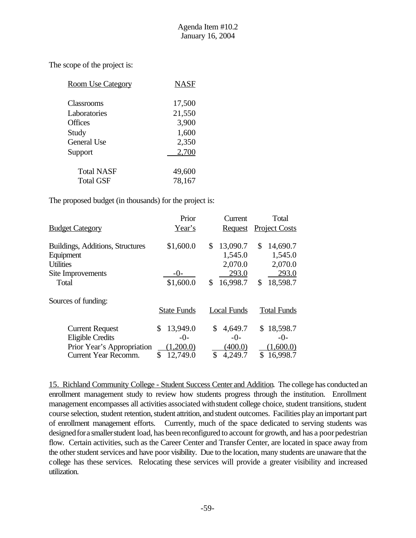The scope of the project is:

| <b>Room Use Category</b> | NASF   |
|--------------------------|--------|
| Classrooms               | 17,500 |
| Laboratories             | 21,550 |
| <b>Offices</b>           | 3,900  |
| Study                    | 1,600  |
| <b>General Use</b>       | 2,350  |
| Support                  | 2,700  |
| <b>Total NASF</b>        | 49,600 |
| <b>Total GSF</b>         | 78,167 |

The proposed budget (in thousands) for the project is:

|                                  | Prior              | Current            | Total                |
|----------------------------------|--------------------|--------------------|----------------------|
| <b>Budget Category</b>           | Year's             | <b>Request</b>     | <b>Project Costs</b> |
| Buildings, Additions, Structures | \$1,600.0          | 13,090.7<br>\$     | 14,690.7<br>\$       |
| Equipment                        |                    | 1,545.0            | 1,545.0              |
| <b>Utilities</b>                 |                    | 2,070.0            | 2,070.0              |
| Site Improvements                | $-()$              | 293.0              | 293.0                |
| Total                            | \$1,600.0          | 16,998.7<br>\$     | \$<br>18,598.7       |
| Sources of funding:              |                    |                    |                      |
|                                  | <b>State Funds</b> | <b>Local Funds</b> | <b>Total Funds</b>   |
| <b>Current Request</b>           | 13,949.0<br>\$     | 4,649.7<br>\$      | \$18,598.7           |
| <b>Eligible Credits</b>          | $-0-$              | $-0-$              | $-0-$                |
| Prior Year's Appropriation       | ,200.0)            | (400.0)            | (1,600.0)            |
| <b>Current Year Recomm.</b>      | \$<br>12,749.0     | \$<br>4,249.7      | \$<br>16,998.7       |

15. Richland Community College - Student Success Center and Addition. The college has conducted an enrollment management study to review how students progress through the institution. Enrollment management encompasses all activities associated withstudent college choice, student transitions, student course selection, student retention, student attrition, and student outcomes. Facilities play an important part of enrollment management efforts. Currently, much of the space dedicated to serving students was designed for a smaller student load, has been reconfigured to account for growth, and has a poor pedestrian flow. Certain activities, such as the Career Center and Transfer Center, are located in space away from the other student services and have poor visibility. Due to the location, many students are unaware that the college has these services. Relocating these services will provide a greater visibility and increased utilization.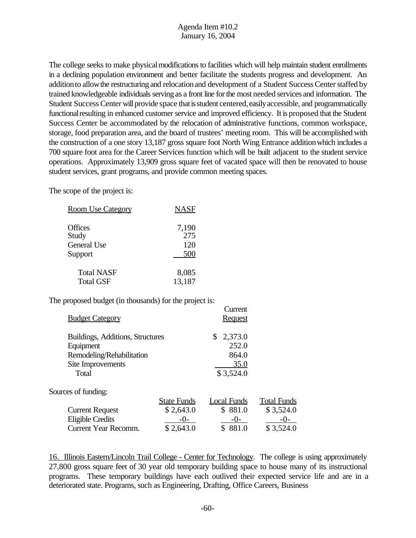The college seeks to make physical modifications to facilities which will help maintain student enrollments in a declining population environment and better facilitate the students progress and development. An additionto allowthe restructuring and relocationand development of a Student SuccessCenterstaffed by trained knowledgeable individuals serving as a front line for the most needed services and information. The Student Success Center will provide space that is student centered, easily accessible, and programmatically functional resulting in enhanced customer service and improved efficiency. It is proposed that the Student Success Center be accommodated by the relocation of administrative functions, common workspace, storage, food preparation area, and the board of trustees' meeting room. This will be accomplished with the construction of a one story 13,187 gross square foot North Wing Entrance additionwhich includes a 700 square foot area for the Career Services function which will be built adjacent to the student service operations. Approximately 13,909 gross square feet of vacated space will then be renovated to house student services, grant programs, and provide common meeting spaces.

The scope of the project is:

| <b>Room Use Category</b> | <b>NASF</b> |
|--------------------------|-------------|
| <b>Offices</b>           | 7,190       |
| Study                    | 275         |
| <b>General Use</b>       | 120         |
| Support                  | 500         |
| <b>Total NASF</b>        | 8,085       |
| <b>Total GSF</b>         | 13,187      |

The proposed budget (in thousands) for the project is:

| <b>Budget Category</b>           |                    | Current<br><b>Request</b> |                    |
|----------------------------------|--------------------|---------------------------|--------------------|
| Buildings, Additions, Structures |                    | 2,373.0<br>\$             |                    |
| Equipment                        |                    | 252.0                     |                    |
| Remodeling/Rehabilitation        |                    | 864.0                     |                    |
| Site Improvements                |                    | 35.0                      |                    |
| Total                            |                    | \$3,524.0                 |                    |
| Sources of funding:              |                    |                           |                    |
|                                  | <b>State Funds</b> | <b>Local Funds</b>        | <b>Total Funds</b> |
| <b>Current Request</b>           | \$2,643.0          | \$881.0                   | \$3,524.0          |
| Eligible Credits                 | $-0-$              | $-0-$                     | $-()$              |
| <b>Current Year Recomm.</b>      | \$2,643.0          | \$881.0                   | \$3,524.0          |

16. Illinois Eastern/Lincoln Trail College - Center for Technology. The college is using approximately 27,800 gross square feet of 30 year old temporary building space to house many of its instructional programs. These temporary buildings have each outlived their expected service life and are in a deteriorated state. Programs, such as Engineering, Drafting, Office Careers, Business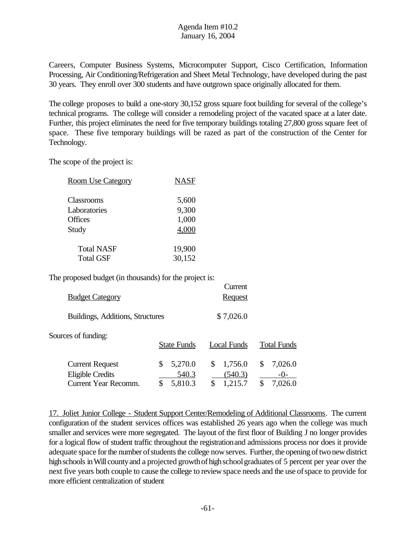Careers, Computer Business Systems, Microcomputer Support, Cisco Certification, Information Processing, Air Conditioning/Refrigeration and Sheet Metal Technology, have developed during the past 30 years. They enroll over 300 students and have outgrown space originally allocated for them.

The college proposes to build a one-story 30,152 gross square foot building for several of the college's technical programs. The college will consider a remodeling project of the vacated space at a later date. Further, this project eliminates the need for five temporary buildings totaling 27,800 gross square feet of space. These five temporary buildings will be razed as part of the construction of the Center for Technology.

The scope of the project is:

| <b>Room Use Category</b> | <b>NASF</b> |
|--------------------------|-------------|
| Classrooms               | 5,600       |
| Laboratories             | 9,300       |
| <b>Offices</b>           | 1,000       |
| Study                    | 4,000       |
| <b>Total NASF</b>        | 19,900      |
| <b>Total GSF</b>         | 30,152      |

The proposed budget (in thousands) for the project is:

| <b>Budget Category</b>                                                           |                                       | Current<br><b>Request</b>                 |                                       |
|----------------------------------------------------------------------------------|---------------------------------------|-------------------------------------------|---------------------------------------|
| Buildings, Additions, Structures                                                 |                                       | \$7,026.0                                 |                                       |
| Sources of funding:                                                              | <b>State Funds</b>                    | Local Funds                               | <b>Total Funds</b>                    |
| <b>Current Request</b><br><b>Eligible Credits</b><br><b>Current Year Recomm.</b> | 5,270.0<br>S<br>540.3<br>5,810.3<br>S | \$<br>1,756.0<br>(540.3)<br>1,215.7<br>\$ | 7,026.0<br>S<br>$-()$<br>7,026.0<br>S |

17. Joliet Junior College - Student Support Center/Remodeling of Additional Classrooms. The current configuration of the student services offices was established 26 years ago when the college was much smaller and services were more segregated. The layout of the first floor of Building J no longer provides for a logical flow of student traffic throughout the registrationand admissions process nor does it provide adequate space for the number of students the college now serves. Further, the opening of two new district high schools in Will county and a projected growth of high school graduates of 5 percent per year over the next five years both couple to cause the college to review space needs and the use ofspace to provide for more efficient centralization of student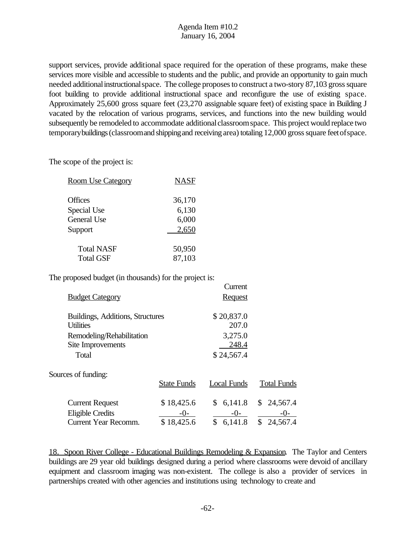support services, provide additional space required for the operation of these programs, make these services more visible and accessible to students and the public, and provide an opportunity to gain much needed additional instructional space. The college proposes to construct a two-story 87,103 gross square foot building to provide additional instructional space and reconfigure the use of existing space. Approximately 25,600 gross square feet (23,270 assignable square feet) of existing space in Building J vacated by the relocation of various programs, services, and functions into the new building would subsequently be remodeled to accommodate additional classroom space. This project would replace two temporary buildings (classroom and shipping and receiving area) totaling 12,000 gross square feet of space.

The scope of the project is:

| <b>Room Use Category</b> | <b>NASF</b> |
|--------------------------|-------------|
| <b>Offices</b>           | 36,170      |
| Special Use              | 6,130       |
| <b>General Use</b>       | 6,000       |
| Support                  | 2,650       |
| <b>Total NASF</b>        | 50,950      |
| <b>Total GSF</b>         | 87,103      |

The proposed budget (in thousands) for the project is:

| <b>Budget Category</b>           |                    | Current<br><b>Request</b> |                    |
|----------------------------------|--------------------|---------------------------|--------------------|
|                                  |                    |                           |                    |
| Buildings, Additions, Structures |                    | \$20,837.0                |                    |
| <b>Utilities</b>                 |                    | 207.0                     |                    |
| Remodeling/Rehabilitation        |                    | 3,275.0                   |                    |
| Site Improvements                |                    | 248.4                     |                    |
| Total                            |                    | \$24,567.4                |                    |
| Sources of funding:              |                    |                           |                    |
|                                  | <b>State Funds</b> | Local Funds               | <b>Total Funds</b> |
| <b>Current Request</b>           | \$18,425.6         | 6,141.8<br>\$             | \$24,567.4         |
| <b>Eligible Credits</b>          | $-0$ -             | $-0-$                     | -0-                |
| <b>Current Year Recomm.</b>      | \$18,425.6         | \$<br>6,141.8             | \$24,567.4         |

18. Spoon River College - Educational Buildings Remodeling & Expansion. The Taylor and Centers buildings are 29 year old buildings designed during a period where classrooms were devoid of ancillary equipment and classroom imaging was non-existent. The college is also a provider of services in partnerships created with other agencies and institutions using technology to create and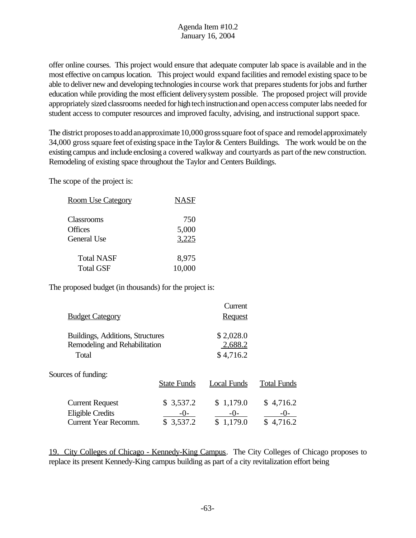offer online courses. This project would ensure that adequate computer lab space is available and in the most effective oncampus location. This project would expand facilities and remodel existing space to be able to deliver new and developing technologies in course work that prepares students for jobs and further education while providing the most efficient deliverysystem possible. The proposed project will provide appropriately sized classrooms needed for high tech instruction and open access computer labs needed for student access to computer resources and improved faculty, advising, and instructional support space.

The district proposes to add an approximate 10,000 gross square foot of space and remodel approximately 34,000 gross square feet of existing space in the Taylor  $&$  Centers Buildings. The work would be on the existing campus and include enclosing a covered walkway and courtyards as part of the new construction. Remodeling of existing space throughout the Taylor and Centers Buildings.

The scope of the project is:

| <b>Room Use Category</b> | <b>NASF</b> |
|--------------------------|-------------|
| Classrooms               | 750         |
| <b>Offices</b>           | 5,000       |
| General Use              | 3,225       |
| <b>Total NASF</b>        | 8,975       |
| <b>Total GSF</b>         | 10,000      |

The proposed budget (in thousands) for the project is:

| <b>Budget Category</b>                                                           |                                 | Current<br><b>Request</b>            |                                |
|----------------------------------------------------------------------------------|---------------------------------|--------------------------------------|--------------------------------|
| Buildings, Additions, Structures<br>Remodeling and Rehabilitation<br>Total       |                                 | \$2,028.0<br>2,688.2<br>\$4,716.2    |                                |
| Sources of funding:                                                              | <b>State Funds</b>              | Local Funds                          | <b>Total Funds</b>             |
| <b>Current Request</b><br><b>Eligible Credits</b><br><b>Current Year Recomm.</b> | \$3,537.2<br>$-0-$<br>\$3,537.2 | \$1,179.0<br>$-()$ -<br>1,179.0<br>S | \$4,716.2<br>-()-<br>\$4,716.2 |

19. City Colleges of Chicago - Kennedy-King Campus. The City Colleges of Chicago proposes to replace its present Kennedy-King campus building as part of a city revitalization effort being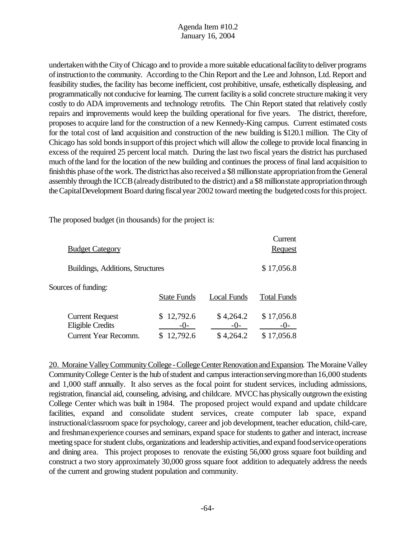undertakenwiththe Cityof Chicago and to provide a more suitable educationalfacilityto deliver programs ofinstructionto the community. According to the Chin Report and the Lee and Johnson, Ltd. Report and feasibility studies, the facility has become inefficient, cost prohibitive, unsafe, esthetically displeasing, and programmatically not conducive forlearning. The current facilityis a solid concrete structure making it very costly to do ADA improvements and technology retrofits. The Chin Report stated that relatively costly repairs and improvements would keep the building operational for five years. The district, therefore, proposes to acquire land for the construction of a new Kennedy-King campus. Current estimated costs for the total cost of land acquisition and construction of the new building is \$120.1 million. The City of Chicago has sold bonds in support of this project which will allow the college to provide local financing in excess of the required 25 percent local match. During the last two fiscal years the district has purchased much ofthe land for the location of the new building and continues the process of final land acquisition to finish this phase of the work. The district has also received a \$8 million state appropriation from the General assembly through the ICCB(alreadydistributed to the district) and a \$8 millionstate appropriationthrough theCapitalDevelopment Board during fiscalyear 2002 toward meeting the budgeted costs for this project.

The proposed budget (in thousands) for the project is:

|                                                                                  |                                     |                                   | Current                           |
|----------------------------------------------------------------------------------|-------------------------------------|-----------------------------------|-----------------------------------|
| <b>Budget Category</b>                                                           |                                     |                                   | <b>Request</b>                    |
| Buildings, Additions, Structures                                                 |                                     |                                   | \$17,056.8                        |
| Sources of funding:                                                              | <b>State Funds</b>                  | Local Funds                       | <b>Total Funds</b>                |
| <b>Current Request</b><br><b>Eligible Credits</b><br><b>Current Year Recomm.</b> | 12,792.6<br>S.<br>$-()$<br>12,792.6 | \$4,264.2<br>$-()$ -<br>\$4,264.2 | \$17,056.8<br>$-()$<br>\$17,056.8 |

20. Moraine Valley Community College - College Center Renovation and Expansion. The Moraine Valley Community College Center is the hub of student and campus interaction serving more than 16,000 students and 1,000 staff annually. It also serves as the focal point for student services, including admissions, registration, financial aid, counseling, advising, and childcare. MVCC has physically outgrown the existing College Center which was built in 1984. The proposed project would expand and update childcare facilities, expand and consolidate student services, create computer lab space, expand instructional/classroom space for psychology, career and job development, teacher education, child-care, and freshmanexperience courses and seminars, expand space for students to gather and interact, increase meeting space for student clubs, organizations and leadership activities, and expand food service operations and dining area. This project proposes to renovate the existing 56,000 gross square foot building and construct a two story approximately 30,000 gross square foot addition to adequately address the needs of the current and growing student population and community.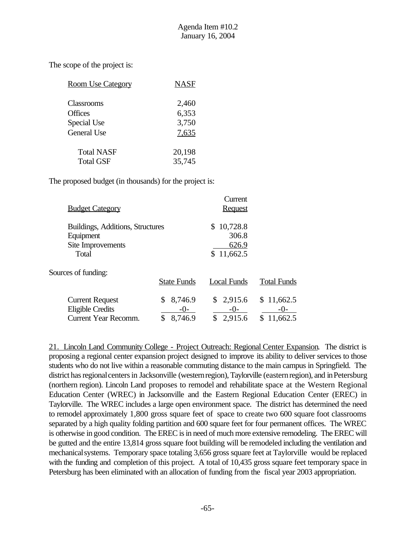The scope of the project is:

| <b>Room Use Category</b> | <b>NASF</b> |
|--------------------------|-------------|
| Classrooms               | 2,460       |
| <b>Offices</b>           | 6,353       |
| Special Use              | 3,750       |
| General Use              | 7,635       |
| <b>Total NASF</b>        | 20,198      |
| Total GSF                | 35,745      |

The proposed budget (in thousands) for the project is:

| <b>Budget Category</b>                                                           |                                     | Current<br><b>Request</b>                      |                                   |
|----------------------------------------------------------------------------------|-------------------------------------|------------------------------------------------|-----------------------------------|
| Buildings, Additions, Structures<br>Equipment<br>Site Improvements<br>Total      |                                     | 10,728.8<br>S.<br>306.8<br>626.9<br>\$11,662.5 |                                   |
| Sources of funding:                                                              | <b>State Funds</b>                  | <b>Local Funds</b>                             | <b>Total Funds</b>                |
| <b>Current Request</b><br><b>Eligible Credits</b><br><b>Current Year Recomm.</b> | 8,746.9<br>\$<br>$-()$ -<br>8,746.9 | \$2,915.6<br>$-0-$<br>2,915.6<br>\$            | \$11,662.5<br>$-()$ -<br>11,662.5 |

21. Lincoln Land Community College - Project Outreach: Regional Center Expansion. The district is proposing a regional center expansion project designed to improve its ability to deliver services to those students who do not live within a reasonable commuting distance to the main campus in Springfield. The district has regional centers in Jacksonville (western region), Taylorville (eastern region), and in Petersburg (northern region). Lincoln Land proposes to remodel and rehabilitate space at the Western Regional Education Center (WREC) in Jacksonville and the Eastern Regional Education Center (EREC) in Taylorville. The WREC includes a large open environment space. The district has determined the need to remodel approximately 1,800 gross square feet of space to create two 600 square foot classrooms separated by a high quality folding partition and 600 square feet for four permanent offices. The WREC is otherwise in good condition. The EREC is in need of much more extensive remodeling. The EREC will be gutted and the entire 13,814 gross square foot building will be remodeled including the ventilation and mechanicalsystems. Temporary space totaling 3,656 gross square feet at Taylorville would be replaced with the funding and completion of this project. A total of 10,435 gross square feet temporary space in Petersburg has been eliminated with an allocation of funding from the fiscal year 2003 appropriation.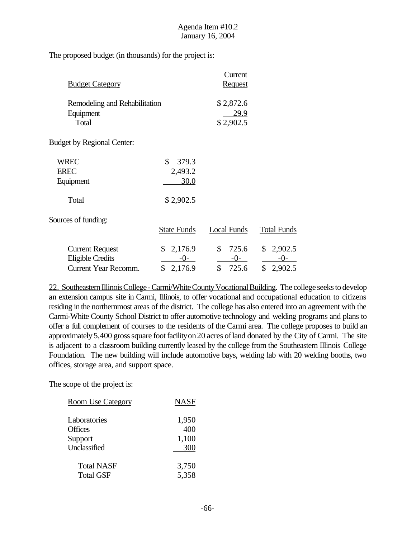The proposed budget (in thousands) for the project is:

| <b>Budget Category</b>                                                           |                                             | Current<br><b>Request</b>                     |                                     |
|----------------------------------------------------------------------------------|---------------------------------------------|-----------------------------------------------|-------------------------------------|
| Remodeling and Rehabilitation<br>Equipment<br>Total                              |                                             | \$2,872.6<br>29.9<br>\$2,902.5                |                                     |
| <b>Budget by Regional Center:</b>                                                |                                             |                                               |                                     |
| <b>WREC</b><br><b>EREC</b><br>Equipment<br>Total                                 | \$<br>379.3<br>2,493.2<br>30.0<br>\$2,902.5 |                                               |                                     |
| Sources of funding:                                                              | <b>State Funds</b>                          | <b>Local Funds</b>                            | <b>Total Funds</b>                  |
| <b>Current Request</b><br><b>Eligible Credits</b><br><b>Current Year Recomm.</b> | \$<br>2,176.9<br>$-0-$<br>\$<br>2,176.9     | $\mathbb{S}$<br>725.6<br>$-0-$<br>\$<br>725.6 | \$2,902.5<br>$-0-$<br>\$<br>2,902.5 |

22. Southeastern Illinois College - Carmi/White County Vocational Building. The college seeks to develop an extension campus site in Carmi, Illinois, to offer vocational and occupational education to citizens residing in the northernmost areas of the district. The college has also entered into an agreement with the Carmi-White County School District to offer automotive technology and welding programs and plans to offer a full complement of courses to the residents of the Carmi area. The college proposes to build an approximately 5,400 gross square foot facility on 20 acres of land donated by the City of Carmi. The site is adjacent to a classroom building currently leased by the college from the Southeastern Illinois College Foundation. The new building will include automotive bays, welding lab with 20 welding booths, two offices, storage area, and support space.

The scope of the project is:

| <b>Room Use Category</b> | <b>NASF</b> |
|--------------------------|-------------|
| Laboratories             | 1,950       |
| <b>Offices</b>           | 400         |
| Support                  | 1,100       |
| Unclassified             | 300         |
| <b>Total NASF</b>        | 3,750       |
| <b>Total GSF</b>         | 5,358       |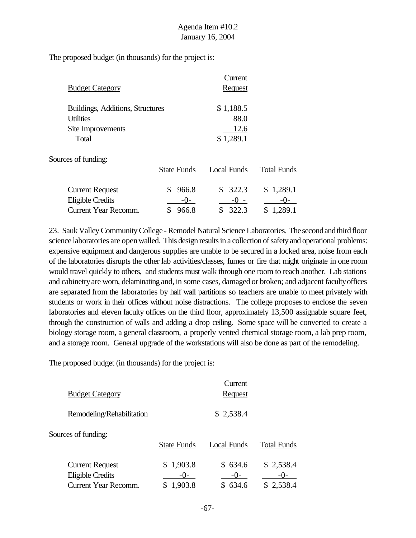The proposed budget (in thousands) for the project is:

| <b>Budget Category</b>                                                           |                              | Current<br><b>Request</b>        |                               |
|----------------------------------------------------------------------------------|------------------------------|----------------------------------|-------------------------------|
| Buildings, Additions, Structures<br><b>Utilities</b><br>Site Improvements        |                              | \$1,188.5<br>88.0<br>12.6        |                               |
| Total<br>Sources of funding:                                                     | <b>State Funds</b>           | \$1,289.1<br><b>Local Funds</b>  | <b>Total Funds</b>            |
| <b>Current Request</b><br><b>Eligible Credits</b><br><b>Current Year Recomm.</b> | S<br>966.8<br>$-()$<br>966.8 | 322.3<br>\$.<br>$-() -$<br>322.3 | \$1,289.1<br>$-()$<br>1,289.1 |

23. Sauk Valley Community College - Remodel Natural Science Laboratories. The second and third floor science laboratories are openwalled. This design results in a collection of safety and operational problems: expensive equipment and dangerous supplies are unable to be secured in a locked area, noise from each of the laboratories disrupts the other lab activities/classes, fumes or fire that might originate in one room would travel quickly to others, and students must walk through one room to reach another. Lab stations and cabinetryare worn, delaminating and, in some cases, damaged or broken; and adjacent facultyoffices are separated from the laboratories by half wall partitions so teachers are unable to meet privately with students or work in their offices without noise distractions. The college proposes to enclose the seven laboratories and eleven faculty offices on the third floor, approximately 13,500 assignable square feet, through the construction of walls and adding a drop ceiling. Some space will be converted to create a biology storage room, a general classroom, a properly vented chemical storage room, a lab prep room, and a storage room. General upgrade of the workstations will also be done as part of the remodeling.

The proposed budget (in thousands) for the project is:

| <b>Budget Category</b>                                                           |                               | Current<br><b>Request</b>   |                                   |
|----------------------------------------------------------------------------------|-------------------------------|-----------------------------|-----------------------------------|
| Remodeling/Rehabilitation                                                        |                               | \$2,538.4                   |                                   |
| Sources of funding:                                                              | <b>State Funds</b>            | Local Funds                 | <b>Total Funds</b>                |
| <b>Current Request</b><br><b>Eligible Credits</b><br><b>Current Year Recomm.</b> | \$1,903.8<br>$-()$<br>1,903.8 | \$634.6<br>$-()$ -<br>634.6 | \$2,538.4<br>$-()$ -<br>\$2,538.4 |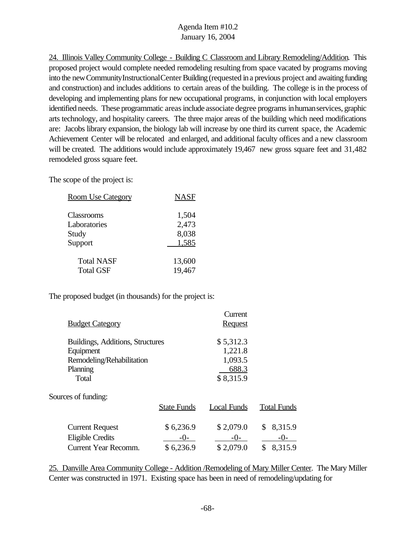24. Illinois Valley Community College - Building C Classroom and Library Remodeling/Addition. This proposed project would complete needed remodeling resulting from space vacated by programs moving into the newCommunityInstructionalCenter Building(requested ina previous project and awaiting funding and construction) and includes additions to certain areas of the building. The college is in the process of developing and implementing plans for new occupational programs, in conjunction with local employers identified needs. These programmatic areas include associate degree programs in human services, graphic arts technology, and hospitality careers. The three major areas of the building which need modifications are: Jacobs library expansion, the biology lab will increase by one third its current space, the Academic Achievement Center will be relocated and enlarged, and additional faculty offices and a new classroom will be created. The additions would include approximately 19,467 new gross square feet and 31,482 remodeled gross square feet.

The scope of the project is:

| <b>Room Use Category</b> | <b>NASF</b> |
|--------------------------|-------------|
|                          |             |
| Classrooms               | 1,504       |
| Laboratories             | 2,473       |
| Study                    | 8,038       |
| Support                  | 1,585       |
| <b>Total NASF</b>        | 13,600      |
| <b>Total GSF</b>         | 19,467      |

The proposed budget (in thousands) for the project is:

|                                  |                    | Current        |                    |
|----------------------------------|--------------------|----------------|--------------------|
| <b>Budget Category</b>           |                    | <b>Request</b> |                    |
| Buildings, Additions, Structures |                    | \$5,312.3      |                    |
| Equipment                        |                    | 1,221.8        |                    |
| Remodeling/Rehabilitation        |                    | 1,093.5        |                    |
| Planning                         |                    | 688.3          |                    |
| Total                            |                    | \$8,315.9      |                    |
| Sources of funding:              |                    |                |                    |
|                                  | <b>State Funds</b> | Local Funds    | <b>Total Funds</b> |
| <b>Current Request</b>           | \$6,236.9          | \$2,079.0      | 8,315.9<br>\$      |
| <b>Eligible Credits</b>          | $-()$ -            | $-()$ -        | $-()$ -            |
| <b>Current Year Recomm.</b>      | \$6,236.9          | \$2,079.0      | 8,315.9<br>\$      |
|                                  |                    |                |                    |

25. Danville Area Community College - Addition /Remodeling of Mary Miller Center. The Mary Miller Center was constructed in 1971. Existing space has been in need of remodeling/updating for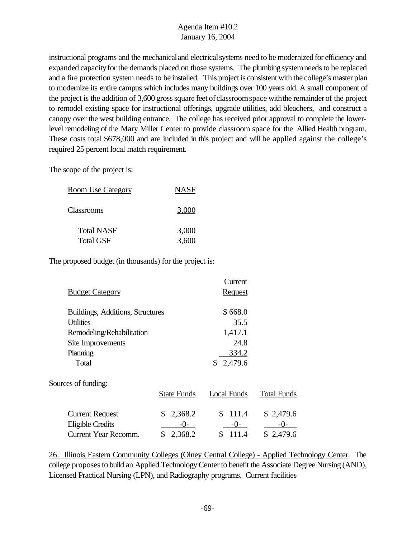instructional programs and the mechanical and electrical systems need to be modernized for efficiency and expanded capacity for the demands placed on those systems. The plumbing system needs to be replaced and a fire protection system needs to be installed. This project is consistent with the college's master plan to modernize its entire campus which includes many buildings over 100 years old. A small component of the project is the addition of 3,600 gross square feet of classroom space with the remainder of the project to remodel existing space for instructional offerings, upgrade utilities, add bleachers, and construct a canopy over the west building entrance. The college has received prior approval to complete the lowerlevel remodeling of the Mary Miller Center to provide classroom space for the Allied Health program. These costs total \$678,000 and are included in this project and will be applied against the college's required 25 percent local match requirement.

The scope of the project is:

| <u>Room Use Category</u> | <b>NASF</b> |
|--------------------------|-------------|
| Classrooms               | 3,000       |
| Total NASF               | 3,000       |
| <b>Total GSF</b>         | 3,600       |

The proposed budget (in thousands) for the project is:

|                                  |                    | Current        |                    |
|----------------------------------|--------------------|----------------|--------------------|
| <b>Budget Category</b>           |                    | <b>Request</b> |                    |
| Buildings, Additions, Structures |                    | \$668.0        |                    |
| Utilities                        |                    | 35.5           |                    |
| Remodeling/Rehabilitation        |                    | 1,417.1        |                    |
| Site Improvements                |                    | 24.8           |                    |
| Planning                         |                    | 334.2          |                    |
| Total                            |                    | \$<br>2,479.6  |                    |
| Sources of funding:              |                    |                |                    |
|                                  | <b>State Funds</b> | Local Funds    | <b>Total Funds</b> |
| <b>Current Request</b>           | 2,368.2<br>\$      | \$<br>111.4    | \$2,479.6          |
| <b>Eligible Credits</b>          | $-()$              | $-0-$          | $-()$              |
| Current Year Recomm.             | \$<br>2,368.2      | \$<br>111.4    | \$2,479.6          |
|                                  |                    |                |                    |

26. Illinois Eastern Community Colleges (Olney Central College) - Applied Technology Center. The college proposes to build an Applied Technology Center to benefit the Associate Degree Nursing (AND), Licensed Practical Nursing (LPN), and Radiography programs. Current facilities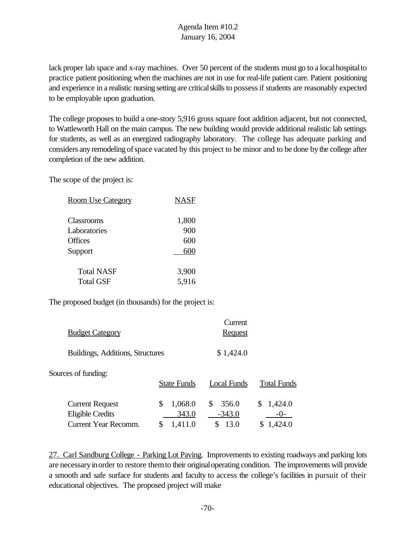lack proper lab space and x-ray machines. Over 50 percent of the students must go to a local hospital to practice patient positioning when the machines are not in use for real-life patient care. Patient positioning and experience in a realistic nursing setting are critical skills to possess if students are reasonably expected to be employable upon graduation.

The college proposes to build a one-story 5,916 gross square foot addition adjacent, but not connected, to Wattleworth Hall on the main campus. The new building would provide additional realistic lab settings for students, as well as an energized radiography laboratory. The college has adequate parking and considers any remodeling of space vacated by this project to be minor and to be done by the college after completion of the new addition.

The scope of the project is:

| <b>Room Use Category</b> | <b>NASF</b> |
|--------------------------|-------------|
| Classrooms               | 1,800       |
| Laboratories             | 900         |
| <b>Offices</b>           | 600         |
| Support                  | 600         |
| Total NASF               | 3,900       |
| <b>Total GSF</b>         | 5,916       |

The proposed budget (in thousands) for the project is:

|                                                   |                        | Current                |                       |
|---------------------------------------------------|------------------------|------------------------|-----------------------|
| <b>Budget Category</b>                            |                        | <b>Request</b>         |                       |
| Buildings, Additions, Structures                  |                        | \$1,424.0              |                       |
| Sources of funding:                               | <b>State Funds</b>     | Local Funds            | <b>Total Funds</b>    |
| <b>Current Request</b><br><b>Eligible Credits</b> | 1,068.0<br>\$<br>343.0 | 356.0<br>S<br>$-343.0$ | 1,424.0<br>S<br>$-0-$ |
| Current Year Recomm.                              | \$<br>1,411.0          | 13.0<br>S              | 1,424.0               |

27. Carl Sandburg College - Parking Lot Paving. Improvements to existing roadways and parking lots are necessaryinorder to restore themto their originaloperating condition. The improvements will provide a smooth and safe surface for students and faculty to access the college's facilities in pursuit of their educational objectives. The proposed project will make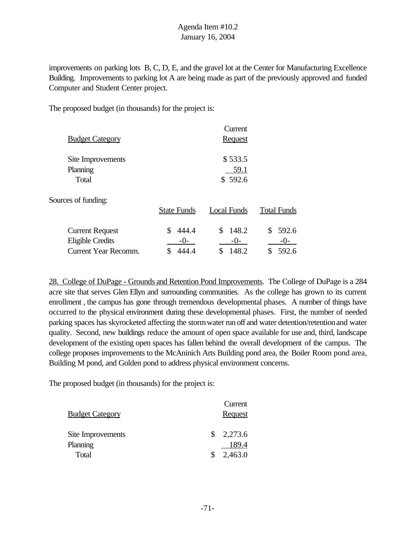improvements on parking lots B, C, D, E, and the gravel lot at the Center for Manufacturing Excellence Building. Improvements to parking lot A are being made as part of the previously approved and funded Computer and Student Center project.

The proposed budget (in thousands) for the project is:

| <b>Budget Category</b>                                                    |                     | Current<br><b>Request</b>           |                               |
|---------------------------------------------------------------------------|---------------------|-------------------------------------|-------------------------------|
| Site Improvements<br>Planning<br>Total                                    |                     | \$533.5<br>59.1<br>\$592.6          |                               |
| Sources of funding:                                                       | <b>State Funds</b>  | <b>Local Funds</b>                  | <b>Total Funds</b>            |
| <b>Current Request</b><br>Eligible Credits<br><b>Current Year Recomm.</b> | S<br>444.4<br>$-0-$ | \$<br>148.2<br>$-0-$<br>\$<br>148.2 | 592.6<br>\$<br>$-()$<br>592.6 |

28. College of DuPage - Grounds and Retention Pond Improvements. The College of DuPage is a 284 acre site that serves Glen Ellyn and surrounding communities. As the college has grown to its current enrollment , the campus has gone through tremendous developmental phases. A number of things have occurred to the physical environment during these developmental phases. First, the number of needed parking spaces has skyrocketed affecting the storm water run off and water detention/retention and water quality. Second, new buildings reduce the amount of open space available for use and, third, landscape development of the existing open spaces has fallen behind the overall development of the campus. The college proposes improvements to the McAninich Arts Building pond area, the Boiler Room pond area, Building M pond, and Golden pond to address physical environment concerns.

The proposed budget (in thousands) for the project is:

|                         |    | Current        |
|-------------------------|----|----------------|
| <u> Budget Category</u> |    | <b>Request</b> |
|                         |    |                |
| Site Improvements       | S. | 2,273.6        |
| Planning                |    | 189.4          |
| Total                   |    | 2,463.0        |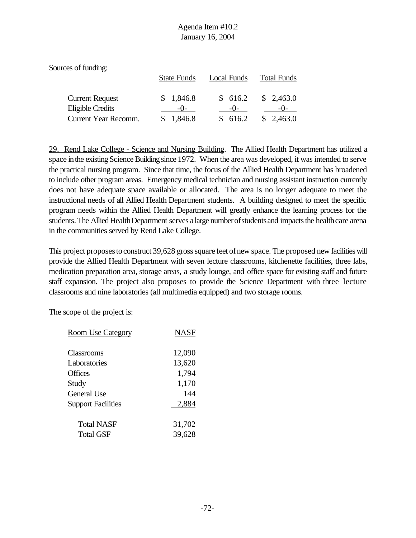| Sources of funding:    |                    |                    |                    |
|------------------------|--------------------|--------------------|--------------------|
|                        | <b>State Funds</b> | <b>Local Funds</b> | <b>Total Funds</b> |
| <b>Current Request</b> | \$1,846.8          | \$616.2            | \$2,463.0          |
| Eligible Credits       | $-()$              | $-()$              | $-1$ ) –           |
| Current Year Recomm.   | 1,846.8            | \$616.2            | \$2,463.0          |

29. Rend Lake College - Science and Nursing Building. The Allied Health Department has utilized a space in the existing Science Building since 1972. When the area was developed, it was intended to serve the practical nursing program. Since that time, the focus of the Allied Health Department has broadened to include other program areas. Emergency medical technician and nursing assistant instruction currently does not have adequate space available or allocated. The area is no longer adequate to meet the instructional needs of all Allied Health Department students. A building designed to meet the specific program needs within the Allied Health Department will greatly enhance the learning process for the students. The Allied Health Department serves a large number of students and impacts the health care arena in the communities served by Rend Lake College.

This project proposes to construct 39,628 gross square feet of new space. The proposed new facilities will provide the Allied Health Department with seven lecture classrooms, kitchenette facilities, three labs, medication preparation area, storage areas, a study lounge, and office space for existing staff and future staff expansion. The project also proposes to provide the Science Department with three lecture classrooms and nine laboratories (all multimedia equipped) and two storage rooms.

The scope of the project is:

| <b>Room Use Category</b>  | NASF   |
|---------------------------|--------|
| Classrooms                | 12,090 |
| Laboratories              | 13,620 |
| Offices                   | 1,794  |
| Study                     | 1,170  |
| General Use               | 144    |
| <b>Support Facilities</b> | 2,884  |
| <b>Total NASF</b>         | 31,702 |
| <b>Total GSF</b>          | 39,628 |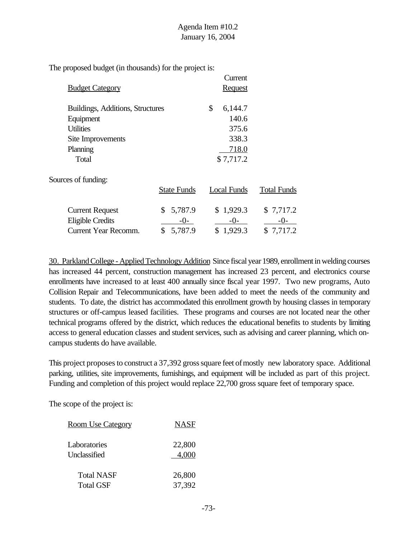The proposed budget (in thousands) for the project is:

|                                  |                    | Current            |                    |
|----------------------------------|--------------------|--------------------|--------------------|
| <b>Budget Category</b>           |                    | <b>Request</b>     |                    |
| Buildings, Additions, Structures |                    | \$<br>6,144.7      |                    |
| Equipment                        |                    | 140.6              |                    |
| <b>Utilities</b>                 |                    | 375.6              |                    |
| Site Improvements                |                    | 338.3              |                    |
| Planning                         |                    | 718.0              |                    |
| Total                            |                    | \$7,717.2          |                    |
| Sources of funding:              |                    |                    |                    |
|                                  | <b>State Funds</b> | <b>Local Funds</b> | <b>Total Funds</b> |
| <b>Current Request</b>           | 5,787.9<br>\$      | \$1,929.3          | \$7,717.2          |
| <b>Eligible Credits</b>          | $-()$ -            | $-0-$              | $-()$ -            |
| <b>Current Year Recomm.</b>      | 5,787.9<br>\$      | \$1,929.3          | \$7,717.2          |

30. Parkland College - Applied Technology Addition Since fiscal year 1989, enrollment in welding courses has increased 44 percent, construction management has increased 23 percent, and electronics course enrollments have increased to at least 400 annually since fiscal year 1997. Two new programs, Auto Collision Repair and Telecommunications, have been added to meet the needs of the community and students. To date, the district has accommodated this enrollment growth by housing classes in temporary structures or off-campus leased facilities. These programs and courses are not located near the other technical programs offered by the district, which reduces the educational benefits to students by limiting access to general education classes and student services, such as advising and career planning, which oncampus students do have available.

This project proposes to construct a 37,392 gross square feet of mostly new laboratory space. Additional parking, utilities, site improvements, furnishings, and equipment will be included as part of this project. Funding and completion of this project would replace 22,700 gross square feet of temporary space.

The scope of the project is:

| <u>Room Use Category</u> | <b>NASF</b> |
|--------------------------|-------------|
| Laboratories             | 22,800      |
| Unclassified             | 4.000       |
| <b>Total NASF</b>        | 26,800      |
| <b>Total GSF</b>         | 37,392      |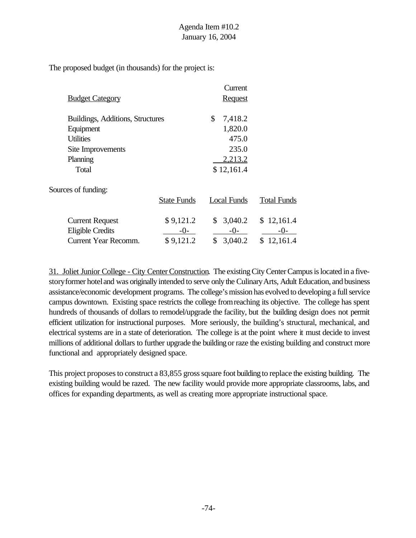The proposed budget (in thousands) for the project is:

|                                  |                    | Current            |                    |
|----------------------------------|--------------------|--------------------|--------------------|
| <b>Budget Category</b>           |                    | <b>Request</b>     |                    |
| Buildings, Additions, Structures |                    | \$<br>7,418.2      |                    |
| Equipment                        |                    | 1,820.0            |                    |
| <b>Utilities</b>                 |                    | 475.0              |                    |
| Site Improvements                |                    | 235.0              |                    |
| Planning                         |                    | 2,213.2            |                    |
| Total                            |                    | \$12,161.4         |                    |
| Sources of funding:              |                    |                    |                    |
|                                  | <b>State Funds</b> | <b>Local Funds</b> | <b>Total Funds</b> |
| <b>Current Request</b>           | \$9,121.2          | 3,040.2<br>\$      | \$12,161.4         |
| <b>Eligible Credits</b>          | $-0-$              | $-0-$              | $-0-$              |
| <b>Current Year Recomm.</b>      | \$9,121.2          | \$<br>3,040.2      | \$12,161.4         |

31. Joliet Junior College - City Center Construction. The existing City Center Campus is located in a fivestory former hotel and was originally intended to serve only the Culinary Arts, Adult Education, and business assistance/economic development programs. The college's mission has evolved to developing a full service campus downtown. Existing space restricts the college fromreaching its objective. The college has spent hundreds of thousands of dollars to remodel/upgrade the facility, but the building design does not permit efficient utilization for instructional purposes. More seriously, the building's structural, mechanical, and electrical systems are in a state of deterioration. The college is at the point where it must decide to invest millions of additional dollars to further upgrade the building or raze the existing building and construct more functional and appropriately designed space.

This project proposes to construct a 83,855 gross square foot building to replace the existing building. The existing building would be razed. The new facility would provide more appropriate classrooms, labs, and offices for expanding departments, as well as creating more appropriate instructional space.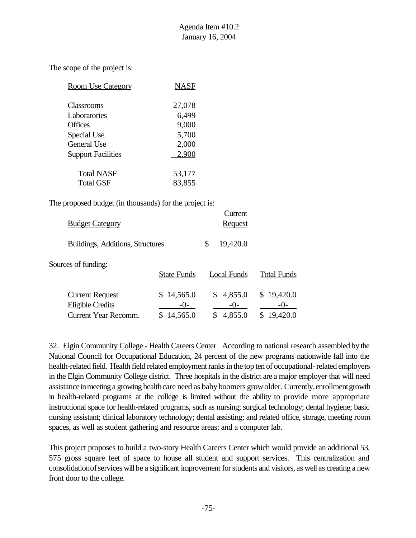The scope of the project is:

| <b>Room Use Category</b>  | NASF   |
|---------------------------|--------|
| Classrooms                | 27,078 |
| Laboratories              | 6,499  |
| <b>Offices</b>            | 9,000  |
| Special Use               | 5,700  |
| <b>General Use</b>        | 2,000  |
| <b>Support Facilities</b> | 2,900  |
| Total NASF                | 53,177 |
| <b>Total GSF</b>          | 83,855 |

The proposed budget (in thousands) for the project is:

| <b>Budget Category</b>                                                           |                                 | Current<br><u>Request</u>           |                                   |
|----------------------------------------------------------------------------------|---------------------------------|-------------------------------------|-----------------------------------|
| Buildings, Additions, Structures                                                 |                                 | 19,420.0<br>\$                      |                                   |
| Sources of funding:                                                              | <b>State Funds</b>              | Local Funds                         | <b>Total Funds</b>                |
| <b>Current Request</b><br><b>Eligible Credits</b><br><b>Current Year Recomm.</b> | \$14,565.0<br>$-()$<br>14,565.0 | 4,855.0<br>\$<br>$-()$ -<br>4,855.0 | \$19,420.0<br>$-()$ -<br>19,420.0 |

32. Elgin Community College - Health Careers Center According to national research assembled bythe National Council for Occupational Education, 24 percent of the new programs nationwide fall into the health-related field. Health field related employment ranks in the top ten of occupational- related employers in the Elgin Community College district. Three hospitals in the district are a major employer that will need assistance in meeting a growing health care need as baby boomers grow older. Currently, enrollment growth in health-related programs at the college is limited without the ability to provide more appropriate instructional space for health-related programs, such as nursing; surgical technology; dental hygiene; basic nursing assistant; clinical laboratory technology; dental assisting; and related office, storage, meeting room spaces, as well as student gathering and resource areas; and a computer lab.

This project proposes to build a two-story Health Careers Center which would provide an additional 53, 575 gross square feet of space to house all student and support services. This centralization and consolidation of services will be a significant improvement for students and visitors, as well as creating a new front door to the college.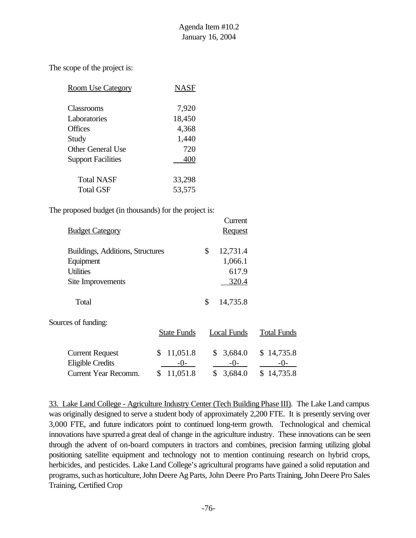The scope of the project is:

| <b>Room Use Category</b>  | NASF           |
|---------------------------|----------------|
| Classrooms                | 7,920          |
| Laboratories              | 18,450         |
| <b>Offices</b><br>Study   | 4,368<br>1,440 |
| <b>Other General Use</b>  | 720            |
| <b>Support Facilities</b> | 400            |
| <b>Total NASF</b>         | 33,298         |
| <b>Total GSF</b>          | 53,575         |

The proposed budget (in thousands) for the project is:

|                                  |                    | Current            |                    |
|----------------------------------|--------------------|--------------------|--------------------|
| <b>Budget Category</b>           |                    | <b>Request</b>     |                    |
| Buildings, Additions, Structures |                    | \$<br>12,731.4     |                    |
| Equipment                        |                    | 1,066.1            |                    |
| <b>Utilities</b>                 |                    | 617.9              |                    |
| Site Improvements                |                    | 320.4              |                    |
| Total                            |                    | \$<br>14,735.8     |                    |
| Sources of funding:              |                    |                    |                    |
|                                  | <b>State Funds</b> | <b>Local Funds</b> | <b>Total Funds</b> |
| <b>Current Request</b>           | 11,051.8<br>\$     | \$<br>3,684.0      | \$14,735.8         |
| <b>Eligible Credits</b>          | $-()$ -            | $-0-$              | -0-                |
| <b>Current Year Recomm.</b>      | 11,051.8<br>\$     | \$<br>3,684.0      | \$14,735.8         |

33. Lake Land College - Agriculture Industry Center (Tech Building Phase III). The Lake Land campus was originally designed to serve a student body of approximately 2,200 FTE. It is presently serving over 3,000 FTE, and future indicators point to continued long-term growth. Technological and chemical innovations have spurred a great deal of change in the agriculture industry. These innovations can be seen through the advent of on-board computers in tractors and combines, precision farming utilizing global positioning satellite equipment and technology not to mention continuing research on hybrid crops, herbicides, and pesticides. Lake Land College's agricultural programs have gained a solid reputation and programs, such as horticulture, John Deere Ag Parts, John Deere Pro Parts Training, John Deere Pro Sales Training, Certified Crop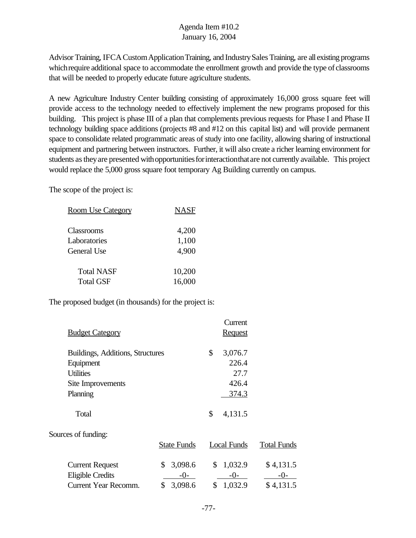Advisor Training, IFCACustomApplicationTraining, and IndustrySales Training, are all existing programs which require additional space to accommodate the enrollment growth and provide the type of classrooms that will be needed to properly educate future agriculture students.

A new Agriculture Industry Center building consisting of approximately 16,000 gross square feet will provide access to the technology needed to effectively implement the new programs proposed for this building. This project is phase III of a plan that complements previous requests for Phase I and Phase II technology building space additions (projects #8 and #12 on this capital list) and will provide permanent space to consolidate related programmatic areas of study into one facility, allowing sharing of instructional equipment and partnering between instructors. Further, it will also create a richer learning environment for students as they are presented with opportunities for interaction that are not currently available. This project would replace the 5,000 gross square foot temporary Ag Building currently on campus.

The scope of the project is:

| <b>Room Use Category</b> | <b>NASF</b> |
|--------------------------|-------------|
| Classrooms               | 4,200       |
| Laboratories             | 1,100       |
| General Use              | 4,900       |
| <b>Total NASF</b>        | 10,200      |
| <b>Total GSF</b>         | 16,000      |

The proposed budget (in thousands) for the project is:

|                                                   |                        | Current                |                    |
|---------------------------------------------------|------------------------|------------------------|--------------------|
| <b>Budget Category</b>                            |                        | <b>Request</b>         |                    |
| Buildings, Additions, Structures                  |                        | \$<br>3,076.7          |                    |
| Equipment                                         |                        | 226.4                  |                    |
| <b>Utilities</b>                                  |                        | 27.7                   |                    |
| Site Improvements                                 |                        | 426.4                  |                    |
| Planning                                          |                        | 374.3                  |                    |
| Total                                             |                        | \$<br>4,131.5          |                    |
| Sources of funding:                               |                        |                        |                    |
|                                                   | <b>State Funds</b>     | <b>Local Funds</b>     | <b>Total Funds</b> |
| <b>Current Request</b><br><b>Eligible Credits</b> | 3,098.6<br>\$<br>$-0-$ | \$<br>1,032.9<br>$-0-$ | \$4,131.5<br>$-0-$ |
| Current Year Recomm.                              | 3,098.6<br>\$          | \$<br>1,032.9          | \$4,131.5          |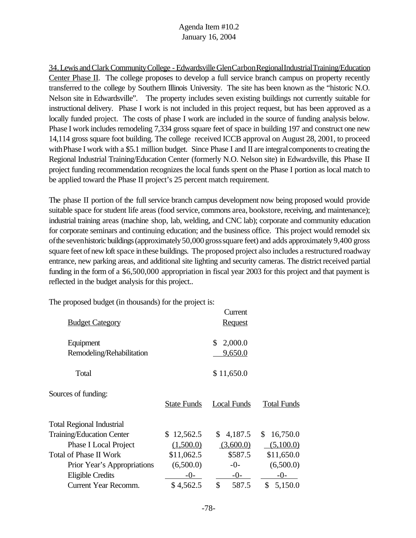34.Lewis andClark CommunityCollege - EdwardsvilleGlenCarbonRegionalIndustrialTraining/Education Center Phase II. The college proposes to develop a full service branch campus on property recently transferred to the college by Southern Illinois University. The site has been known as the "historic N.O. Nelson site in Edwardsville". The property includes seven existing buildings not currently suitable for instructional delivery. Phase I work is not included in this project request, but has been approved as a locally funded project. The costs of phase I work are included in the source of funding analysis below. Phase I work includes remodeling 7,334 gross square feet of space in building 197 and construct one new 14,114 gross square foot building. The college received ICCB approval on August 28, 2001, to proceed with Phase I work with a \$5.1 million budget. Since Phase I and II are integral components to creating the Regional Industrial Training/Education Center (formerly N.O. Nelson site) in Edwardsville, this Phase II project funding recommendation recognizes the local funds spent on the Phase I portion as local match to be applied toward the Phase II project's 25 percent match requirement.

The phase II portion of the full service branch campus development now being proposed would provide suitable space for student life areas (food service, commons area, bookstore, receiving, and maintenance); industrial training areas (machine shop, lab, welding, and CNC lab); corporate and community education for corporate seminars and continuing education; and the business office. This project would remodel six ofthe sevenhistoric buildings(approximately50,000grosssquare feet) and adds approximately 9,400 gross square feet of new loft space in these buildings. The proposed project also includes a restructured roadway entrance, new parking areas, and additional site lighting and security cameras. The district received partial funding in the form of a \$6,500,000 appropriation in fiscal year 2003 for this project and that payment is reflected in the budget analysis for this project..

The proposed budget (in thousands) for the project is:

| <b>Budget Category</b>           |                    | Current<br><b>Request</b> |                    |
|----------------------------------|--------------------|---------------------------|--------------------|
|                                  |                    |                           |                    |
| Equipment                        |                    | 2,000.0<br>\$             |                    |
| Remodeling/Rehabilitation        |                    | 9,650.0                   |                    |
| Total                            |                    | \$11,650.0                |                    |
| Sources of funding:              | <b>State Funds</b> | <b>Local Funds</b>        | <b>Total Funds</b> |
| <b>Total Regional Industrial</b> |                    |                           |                    |
| Training/Education Center        | \$12,562.5         | 4,187.5<br>\$             | 16,750.0<br>\$     |
| <b>Phase I Local Project</b>     | (1,500.0)          | (3,600.0)                 | (5,100.0)          |
| <b>Total of Phase II Work</b>    | \$11,062.5         | \$587.5                   | \$11,650.0         |
| Prior Year's Appropriations      | (6,500.0)          | $-0-$                     | (6,500.0)          |
| <b>Eligible Credits</b>          | $-()$              | $-0-$                     | $-()$              |
| Current Year Recomm.             | \$4,562.5          | \$<br>587.5               | \$<br>5,150.0      |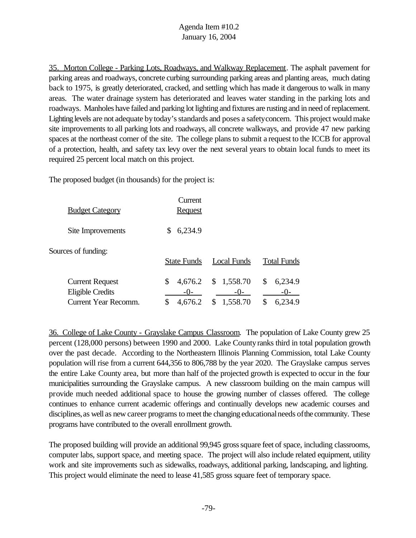35. Morton College - Parking Lots, Roadways, and Walkway Replacement. The asphalt pavement for parking areas and roadways, concrete curbing surrounding parking areas and planting areas, much dating back to 1975, is greatly deteriorated, cracked, and settling which has made it dangerous to walk in many areas. The water drainage system has deteriorated and leaves water standing in the parking lots and roadways. Manholes have failed and parking lot lighting and fixtures are rusting and in need of replacement. Lighting levels are not adequate by today's standards and poses a safety concern. This project would make site improvements to all parking lots and roadways, all concrete walkways, and provide 47 new parking spaces at the northeast corner of the site. The college plans to submit a request to the ICCB for approval of a protection, health, and safety tax levy over the next several years to obtain local funds to meet its required 25 percent local match on this project.

The proposed budget (in thousands) for the project is:

| <b>Budget Category</b>                                                    | Current<br><b>Request</b>           |                                         |                                           |
|---------------------------------------------------------------------------|-------------------------------------|-----------------------------------------|-------------------------------------------|
| Site Improvements                                                         | 6,234.9<br>S                        |                                         |                                           |
| Sources of funding:                                                       | <b>State Funds</b>                  | <b>Local Funds</b>                      | <b>Total Funds</b>                        |
| <b>Current Request</b><br>Eligible Credits<br><b>Current Year Recomm.</b> | \$<br>4,676.2<br>$-()$ -<br>4,676.2 | \$1,558.70<br>$-()$ -<br>1,558.70<br>\$ | \$<br>6,234.9<br>$-()$ -<br>\$<br>6,234.9 |

36. College of Lake County - Grayslake Campus Classroom. The population of Lake County grew 25 percent (128,000 persons) between 1990 and 2000. Lake Countyranks third in total population growth over the past decade. According to the Northeastern Illinois Planning Commission, total Lake County population will rise from a current 644,356 to 806,788 by the year 2020. The Grayslake campus serves the entire Lake County area, but more than half of the projected growth is expected to occur in the four municipalities surrounding the Grayslake campus. A new classroom building on the main campus will provide much needed additional space to house the growing number of classes offered. The college continues to enhance current academic offerings and continually develops new academic courses and disciplines, as well as new career programs to meet the changing educational needs of the community. These programs have contributed to the overall enrollment growth.

The proposed building will provide an additional 99,945 gross square feet of space, including classrooms, computer labs, support space, and meeting space. The project will also include related equipment, utility work and site improvements such as sidewalks, roadways, additional parking, landscaping, and lighting. This project would eliminate the need to lease 41,585 gross square feet of temporary space.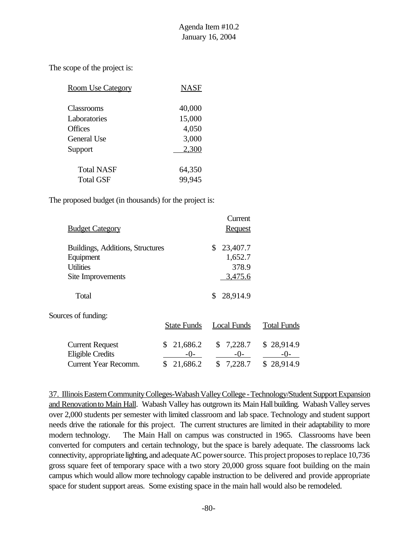The scope of the project is:

| <b>Room Use Category</b> | <b>NASF</b> |
|--------------------------|-------------|
| Classrooms               | 40,000      |
| Laboratories             | 15,000      |
| <b>Offices</b>           | 4,050       |
| General Use              | 3,000       |
| Support                  | 2,300       |
| <b>Total NASF</b>        | 64,350      |
| <b>Total GSF</b>         | 99,945      |

The proposed budget (in thousands) for the project is:

|                                  | Current        |
|----------------------------------|----------------|
| <b>Budget Category</b>           | <b>Request</b> |
|                                  |                |
| Buildings, Additions, Structures | 23,407.7<br>\$ |
| Equipment                        | 1,652.7        |
| <b>Utilities</b>                 | 378.9          |
| Site Improvements                | 3,475.6        |
|                                  |                |
| Total                            | 28,914.9       |
|                                  |                |

Sources of funding:

|                                            |                     | State Funds Local Funds | <b>Total Funds</b>  |
|--------------------------------------------|---------------------|-------------------------|---------------------|
| <b>Current Request</b><br>Eligible Credits | \$21,686.2<br>$-()$ | \$7,228.7<br>$-()$      | \$28,914.9<br>$-()$ |
| Current Year Recomm.                       | \$21,686.2          | \$7,228.7               | \$28,914.9          |

37. Illinois Eastern Community Colleges-Wabash Valley College - Technology/Student Support Expansion and Renovationto Main Hall. Wabash Valley has outgrown its Main Hall building. Wabash Valley serves over 2,000 students per semester with limited classroom and lab space. Technology and student support needs drive the rationale for this project. The current structures are limited in their adaptability to more modern technology. The Main Hall on campus was constructed in 1965. Classrooms have been converted for computers and certain technology, but the space is barely adequate. The classrooms lack connectivity, appropriate lighting, and adequate AC power source. This project proposes to replace 10,736 gross square feet of temporary space with a two story 20,000 gross square foot building on the main campus which would allow more technology capable instruction to be delivered and provide appropriate space for student support areas. Some existing space in the main hall would also be remodeled.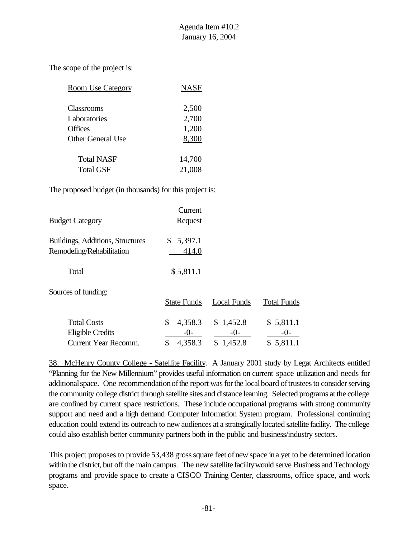The scope of the project is:

| <b>Room Use Category</b> | NASF   |
|--------------------------|--------|
| Classrooms               | 2,500  |
| Laboratories             | 2,700  |
| <b>Offices</b>           | 1,200  |
| Other General Use        | 8,300  |
| <b>Total NASF</b>        | 14,700 |
| <b>Total GSF</b>         | 21,008 |

The proposed budget (in thousands) for this project is:

| <u> Budget Category</u>                                               | Current<br><b>Request</b>                 |                                   |                                 |
|-----------------------------------------------------------------------|-------------------------------------------|-----------------------------------|---------------------------------|
| <b>Buildings, Additions, Structures</b><br>Remodeling/Rehabilitation  | 5,397.1<br>S.<br>414.0                    |                                   |                                 |
| Total                                                                 | \$5,811.1                                 |                                   |                                 |
| Sources of funding:                                                   | <b>State Funds</b>                        | <b>Local Funds</b>                | <b>Total Funds</b>              |
| <b>Total Costs</b><br><b>Eligible Credits</b><br>Current Year Recomm. | \$<br>4,358.3<br>$-()$ -<br>\$<br>4,358.3 | \$1,452.8<br>$-()$ -<br>\$1,452.8 | \$5,811.1<br>$-0-$<br>\$5,811.1 |

38. McHenry County College - Satellite Facility. A January 2001 study by Legat Architects entitled "Planning for the New Millennium" provides useful information on current space utilization and needs for additional space. One recommendation of the report was for the local board of trustees to consider serving the community college district through satellite sites and distance learning. Selected programs at the college are confined by current space restrictions. These include occupational programs with strong community support and need and a high demand Computer Information System program. Professional continuing education could extend its outreach to new audiences at a strategically located satellite facility. The college could also establish better community partners both in the public and business/industry sectors.

This project proposes to provide 53,438 gross square feet of new space in a yet to be determined location within the district, but off the main campus. The new satellite facility would serve Business and Technology programs and provide space to create a CISCO Training Center, classrooms, office space, and work space.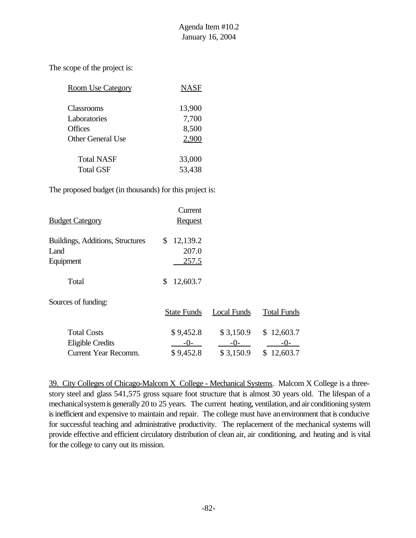The scope of the project is:

| <b>Room Use Category</b> | NASF   |
|--------------------------|--------|
| <b>Classrooms</b>        | 13,900 |
| Laboratories             | 7,700  |
| Offices                  | 8,500  |
| Other General Use        | 2.900  |
| <b>Total NASF</b>        | 33,000 |
| <b>Total GSF</b>         | 53,438 |

The proposed budget (in thousands) for this project is:

| <b>Budget Category</b>                                | Current<br><u>Request</u>    |  |
|-------------------------------------------------------|------------------------------|--|
| Buildings, Additions, Structures<br>Land<br>Equipment | \$12,139.2<br>207.0<br>257.5 |  |
| Total                                                 | \$<br>12,603.7               |  |

Sources of funding:

|                      | <b>State Funds</b> | Local Funds | Total Funds |
|----------------------|--------------------|-------------|-------------|
|                      |                    |             |             |
| <b>Total Costs</b>   | \$9,452.8          | \$3,150.9   | \$12,603.7  |
| Eligible Credits     | $-()$              | $-()$       | $-()$       |
| Current Year Recomm. | \$9,452.8          | \$3,150.9   | \$12,603.7  |

39. City Colleges of Chicago-Malcom X College - Mechanical Systems. Malcom X College is a threestory steel and glass 541,575 gross square foot structure that is almost 30 years old. The lifespan of a mechanical system is generally 20 to 25 years. The current heating, ventilation, and air conditioning system is inefficient and expensive to maintain and repair. The college must have an environment that is conducive for successful teaching and administrative productivity. The replacement of the mechanical systems will provide effective and efficient circulatory distribution of clean air, air conditioning, and heating and is vital for the college to carry out its mission.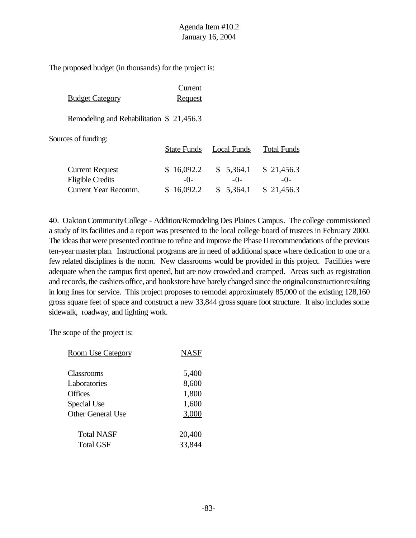The proposed budget (in thousands) for the project is:

|                        | Current        |
|------------------------|----------------|
| <b>Budget Category</b> | <b>Request</b> |

Remodeling and Rehabilitation \$ 21,456.3

Sources of funding:

|                        |            | State Funds Local Funds | <b>Total Funds</b> |
|------------------------|------------|-------------------------|--------------------|
| <b>Current Request</b> | \$16,092.2 | $$5,364.1$ $$21,456.3$  |                    |
| Eligible Credits       | $-()$      | $-()$                   | $-()$              |
| Current Year Recomm.   | \$16,092.2 | \$5,364.1               | \$21,456.3         |

40. OaktonCommunityCollege - Addition/Remodeling Des Plaines Campus. The college commissioned a study of itsfacilities and a report was presented to the local college board of trustees in February 2000. The ideasthat were presented continue to refine and improve the Phase II recommendations ofthe previous ten-year master plan. Instructional programs are in need of additional space where dedication to one or a few related disciplines is the norm. New classrooms would be provided in this project. Facilities were adequate when the campus first opened, but are now crowded and cramped. Areas such as registration and records, the cashiers office, and bookstore have barely changed since the original construction resulting in long lines for service. This project proposes to remodel approximately 85,000 of the existing 128,160 gross square feet of space and construct a new 33,844 grosssquare foot structure. It also includes some sidewalk, roadway, and lighting work.

The scope of the project is:

| <b>Room Use Category</b> | NASF   |
|--------------------------|--------|
| Classrooms               | 5,400  |
| Laboratories             | 8,600  |
| Offices                  | 1,800  |
| Special Use              | 1,600  |
| Other General Use        | 3,000  |
| <b>Total NASF</b>        | 20,400 |
| <b>Total GSF</b>         | 33,844 |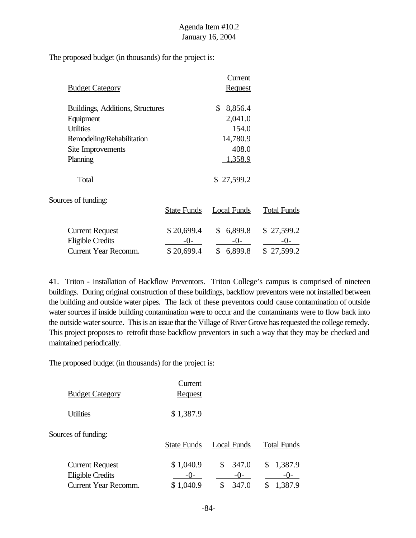The proposed budget (in thousands) for the project is:

|                                  |                    | Current                   |                    |
|----------------------------------|--------------------|---------------------------|--------------------|
| <b>Budget Category</b>           |                    | <b>Request</b>            |                    |
| Buildings, Additions, Structures |                    | \$<br>8,856.4             |                    |
| Equipment                        |                    | 2,041.0                   |                    |
| <b>Utilities</b>                 |                    | 154.0                     |                    |
| Remodeling/Rehabilitation        |                    | 14,780.9                  |                    |
| Site Improvements                |                    | 408.0                     |                    |
| Planning                         |                    | 1,358.9                   |                    |
| Total                            |                    | \$27,599.2                |                    |
| Sources of funding:              |                    |                           |                    |
|                                  | <b>State Funds</b> | <b>Local Funds</b>        | <b>Total Funds</b> |
| <b>Current Request</b>           | \$20,699.4         | 6,899.8<br>$\mathbb{S}^-$ | \$27,599.2         |
| <b>Eligible Credits</b>          | $-()$              | $-0-$                     | $-()$ -            |
| <b>Current Year Recomm.</b>      | \$20,699.4         | \$<br>6,899.8             | \$27,599.2         |

41. Triton - Installation of Backflow Preventors. Triton College's campus is comprised of nineteen buildings. During original construction of these buildings, backflow preventors were not installed between the building and outside water pipes. The lack of these preventors could cause contamination of outside water sources if inside building contamination were to occur and the contaminants were to flow back into the outside water source. This is an issue that the Village of River Grove has requested the college remedy. This project proposes to retrofit those backflow preventors in such a way that they may be checked and maintained periodically.

The proposed budget (in thousands) for the project is:

|                                                                                  | Current                           |                                     |                                   |
|----------------------------------------------------------------------------------|-----------------------------------|-------------------------------------|-----------------------------------|
| <b>Budget Category</b>                                                           | <b>Request</b>                    |                                     |                                   |
| <b>Utilities</b>                                                                 | \$1,387.9                         |                                     |                                   |
| Sources of funding:                                                              | <b>State Funds</b>                | <b>Local Funds</b>                  | <b>Total Funds</b>                |
| <b>Current Request</b><br><b>Eligible Credits</b><br><b>Current Year Recomm.</b> | \$1,040.9<br>$-()$ -<br>\$1,040.9 | 347.0<br>\$<br>$-()$<br>347.0<br>\$ | 1,387.9<br>\$<br>$-()$<br>1,387.9 |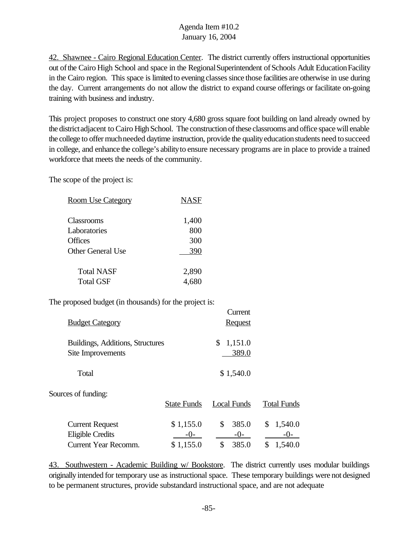42. Shawnee - Cairo Regional Education Center. The district currently offers instructional opportunities out of the Cairo High School and space in the Regional Superintendent of Schools Adult Education Facility in the Cairo region. This space is limited to evening classes since those facilities are otherwise in use during the day. Current arrangements do not allow the district to expand course offerings or facilitate on-going training with business and industry.

This project proposes to construct one story 4,680 gross square foot building on land already owned by the district adjacent to Cairo High School. The construction of these classrooms and office space will enable the college to offer much needed daytime instruction, provide the quality education students need to succeed in college, and enhance the college's abilityto ensure necessary programs are in place to provide a trained workforce that meets the needs of the community.

The scope of the project is:

| <b>Room Use Category</b> | <b>NASF</b> |
|--------------------------|-------------|
| Classrooms               | 1,400       |
| Laboratories             | 800         |
| <b>Offices</b>           | 300         |
| <b>Other General Use</b> | 390         |
| <b>Total NASF</b>        | 2,890       |
| <b>Total GSF</b>         |             |

The proposed budget (in thousands) for the project is:

| <b>Budget Category</b>                                | Current<br><b>Request</b> |
|-------------------------------------------------------|---------------------------|
| Buildings, Additions, Structures<br>Site Improvements | \$1,151.0<br>389.0        |
| Total                                                 | \$1,540.0                 |

Sources of funding:

|                        | <b>State Funds</b> | Local Funds | <b>Total Funds</b> |
|------------------------|--------------------|-------------|--------------------|
| <b>Current Request</b> | \$1,155.0          | \$385.0     | \$1,540.0          |
| Eligible Credits       | $-()$              | $-()$       | $-()$              |
| Current Year Recomm.   | \$1,155.0          | \$385.0     | \$1,540.0          |

43. Southwestern - Academic Building w/ Bookstore. The district currently uses modular buildings originally intended for temporary use as instructional space. These temporary buildings were not designed to be permanent structures, provide substandard instructional space, and are not adequate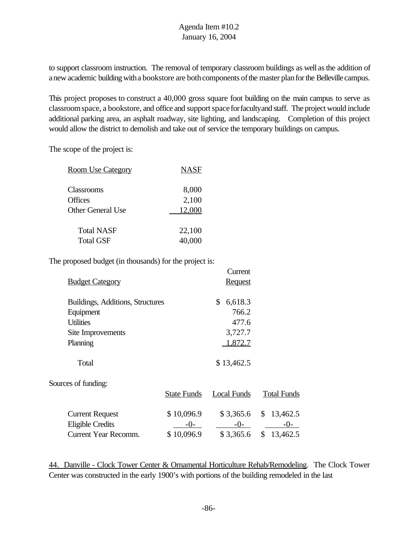to support classroom instruction. The removal of temporary classroom buildings as well asthe addition of a new academic building with a bookstore are both components of the master plan for the Belleville campus.

This project proposes to construct a 40,000 gross square foot building on the main campus to serve as classroom space, a bookstore, and office and support space for faculty and staff. The project would include additional parking area, an asphalt roadway, site lighting, and landscaping. Completion of this project would allow the district to demolish and take out of service the temporary buildings on campus.

The scope of the project is:

| <u>Room Use Category</u> | <b>NASF</b> |
|--------------------------|-------------|
| Classrooms               | 8,000       |
| Offices                  | 2,100       |
| Other General Use        | 12,000      |
| <b>Total NASF</b>        | 22,100      |
| <b>Total GSF</b>         | 40,000      |

The proposed budget (in thousands) for the project is:

|                                  |                    | Current            |                        |
|----------------------------------|--------------------|--------------------|------------------------|
| <b>Budget Category</b>           |                    | <b>Request</b>     |                        |
| Buildings, Additions, Structures |                    | \$<br>6,618.3      |                        |
| Equipment                        |                    | 766.2              |                        |
| <b>Utilities</b>                 |                    | 477.6              |                        |
| Site Improvements                |                    | 3,727.7            |                        |
| Planning                         |                    | 1,872.7            |                        |
| Total                            |                    | \$13,462.5         |                        |
| Sources of funding:              |                    |                    |                        |
|                                  | <b>State Funds</b> | <b>Local Funds</b> | <b>Total Funds</b>     |
| <b>Current Request</b>           | \$10,096.9         |                    | $$3,365.6$ $$13,462.5$ |
| <b>Eligible Credits</b>          | $-0-$              | $-0-$              | $-0-$                  |

Current Year Recomm. \$ 10,096.9 \$ 3,365.6 \$ 13,462.5

44. Danville - Clock Tower Center & Ornamental Horticulture Rehab/Remodeling. The Clock Tower Center was constructed in the early 1900's with portions of the building remodeled in the last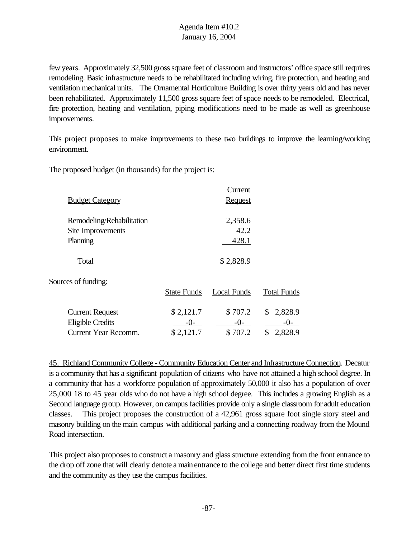few years. Approximately 32,500 gross square feet of classroom and instructors' office space still requires remodeling. Basic infrastructure needs to be rehabilitated including wiring, fire protection, and heating and ventilation mechanical units. The Ornamental Horticulture Building is over thirty years old and has never been rehabilitated. Approximately 11,500 gross square feet of space needs to be remodeled. Electrical, fire protection, heating and ventilation, piping modifications need to be made as well as greenhouse improvements.

This project proposes to make improvements to these two buildings to improve the learning/working environment.

The proposed budget (in thousands) for the project is:

|                             |                    | Current            |                    |
|-----------------------------|--------------------|--------------------|--------------------|
| <b>Budget Category</b>      |                    | <b>Request</b>     |                    |
| Remodeling/Rehabilitation   |                    | 2,358.6            |                    |
| Site Improvements           |                    | 42.2               |                    |
| Planning                    |                    | 428.1              |                    |
| Total                       |                    | \$2,828.9          |                    |
| Sources of funding:         |                    |                    |                    |
|                             | <b>State Funds</b> | <b>Local Funds</b> | <b>Total Funds</b> |
| <b>Current Request</b>      | \$2,121.7          | \$707.2            | 2,828.9<br>\$      |
| <b>Eligible Credits</b>     | $-()$ -            | $-()$ -            | $-()$ -            |
| <b>Current Year Recomm.</b> | \$2,121.7          | \$707.2            | \$<br>2,828.9      |

45. Richland Community College - Community Education Center and Infrastructure Connection. Decatur is a community that has a significant population of citizens who have not attained a high school degree. In a community that has a workforce population of approximately 50,000 it also has a population of over 25,000 18 to 45 year olds who do not have a high school degree. This includes a growing English as a Second language group. However, oncampus facilities provide only a single classroom for adult education classes. This project proposes the construction of a 42,961 gross square foot single story steel and masonry building on the main campus with additional parking and a connecting roadway from the Mound Road intersection.

This project also proposes to construct a masonry and glass structure extending from the front entrance to the drop off zone that will clearly denote a mainentrance to the college and better direct first time students and the community as they use the campus facilities.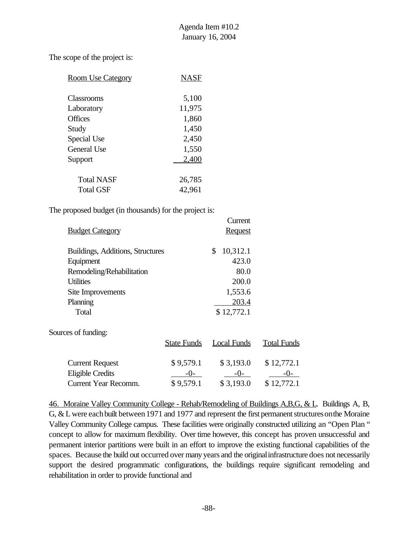The scope of the project is:

| <b>Room Use Category</b> | NASF   |
|--------------------------|--------|
| Classrooms               | 5,100  |
| Laboratory               | 11,975 |
| <b>Offices</b>           | 1,860  |
| Study                    | 1,450  |
| Special Use              | 2,450  |
| <b>General Use</b>       | 1,550  |
| Support                  | 2,400  |
| Total NASF               | 26,785 |
| Total GSF                | 42,961 |

The proposed budget (in thousands) for the project is:

|                                  |                    | Current            |                    |
|----------------------------------|--------------------|--------------------|--------------------|
| <b>Budget Category</b>           |                    | <b>Request</b>     |                    |
| Buildings, Additions, Structures |                    | \$<br>10,312.1     |                    |
| Equipment                        |                    | 423.0              |                    |
| Remodeling/Rehabilitation        |                    | 80.0               |                    |
| <b>Utilities</b>                 |                    | 200.0              |                    |
| Site Improvements                |                    | 1,553.6            |                    |
| Planning                         |                    | 203.4              |                    |
| Total                            |                    | \$12,772.1         |                    |
| Sources of funding:              |                    |                    |                    |
|                                  | <b>State Funds</b> | <b>Local Funds</b> | <b>Total Funds</b> |
| <b>Current Request</b>           | \$9,579.1          | \$3,193.0          | \$12,772.1         |
| <b>Eligible Credits</b>          | $-()$              | $-()$ -            |                    |

Current Year Recomm. \$ 9,579.1 \$ 3,193.0 \$ 12,772.1

46. Moraine Valley Community College - Rehab/Remodeling of Buildings A,B,G, & L. Buildings A, B, G,  $&$  L were each built between 1971 and 1977 and represent the first permanent structures on the Moraine Valley Community College campus. These facilities were originally constructed utilizing an "Open Plan " concept to allow for maximum flexibility. Over time however, this concept has proven unsuccessful and permanent interior partitions were built in an effort to improve the existing functional capabilities of the spaces. Because the build out occurred over many years and the originalinfrastructure does not necessarily support the desired programmatic configurations, the buildings require significant remodeling and rehabilitation in order to provide functional and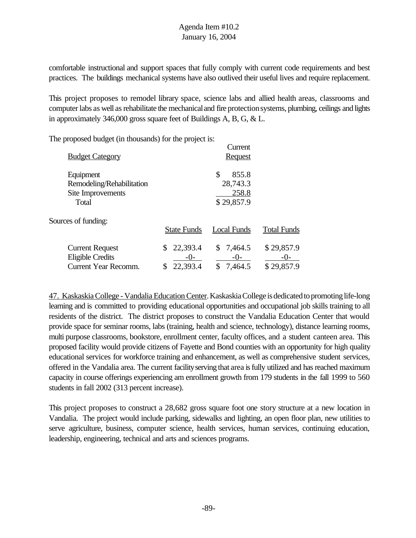comfortable instructional and support spaces that fully comply with current code requirements and best practices. The buildings mechanical systems have also outlived their useful lives and require replacement.

This project proposes to remodel library space, science labs and allied health areas, classrooms and computer labs as well as rehabilitate the mechanical and fire protection systems, plumbing, ceilings and lights in approximately 346,000 gross square feet of Buildings A, B, G, & L.

The proposed budget (in thousands) for the project is:

|                             |                    | Current            |                    |
|-----------------------------|--------------------|--------------------|--------------------|
| <b>Budget Category</b>      |                    | <b>Request</b>     |                    |
| Equipment                   |                    | \$<br>855.8        |                    |
| Remodeling/Rehabilitation   |                    | 28,743.3           |                    |
| Site Improvements           |                    | 258.8              |                    |
| Total                       |                    | \$29,857.9         |                    |
| Sources of funding:         |                    |                    |                    |
|                             | <b>State Funds</b> | <b>Local Funds</b> | <b>Total Funds</b> |
| <b>Current Request</b>      | 22,393.4           | \$7,464.5          | \$29,857.9         |
| <b>Eligible Credits</b>     | $-()$ -            | $-0-$              | -0-                |
| <b>Current Year Recomm.</b> | 22,393.4           | \$<br>7,464.5      | \$29,857.9         |

47. Kaskaskia College - Vandalia Education Center. Kaskaskia College is dedicated to promoting life-long learning and is committed to providing educational opportunities and occupational job skills training to all residents of the district. The district proposes to construct the Vandalia Education Center that would provide space for seminar rooms, labs (training, health and science, technology), distance learning rooms, multi purpose classrooms, bookstore, enrollment center, faculty offices, and a student canteen area. This proposed facility would provide citizens of Fayette and Bond counties with an opportunity for high quality educational services for workforce training and enhancement, as well as comprehensive student services, offered in the Vandalia area. The current facilityserving that area isfully utilized and has reached maximum capacity in course offerings experiencing am enrollment growth from 179 students in the fall 1999 to 560 students in fall 2002 (313 percent increase).

This project proposes to construct a 28,682 gross square foot one story structure at a new location in Vandalia. The project would include parking, sidewalks and lighting, an open floor plan, new utilities to serve agriculture, business, computer science, health services, human services, continuing education, leadership, engineering, technical and arts and sciences programs.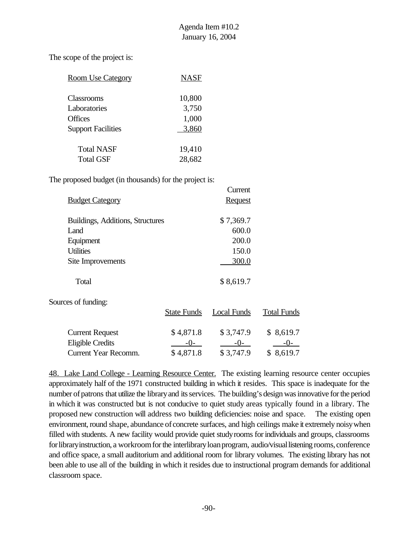The scope of the project is:

| <b>Room Use Category</b>  | <b>NASF</b> |
|---------------------------|-------------|
| <b>Classrooms</b>         | 10,800      |
| Laboratories              | 3,750       |
| <b>Offices</b>            | 1,000       |
| <b>Support Facilities</b> | 3,860       |
| <b>Total NASF</b>         | 19,410      |
| <b>Total GSF</b>          | 28,682      |

The proposed budget (in thousands) for the project is:

|                                  | Current        |
|----------------------------------|----------------|
| <b>Budget Category</b>           | <b>Request</b> |
| Buildings, Additions, Structures | \$7,369.7      |
| L and                            | 600.0          |
| Equipment                        | 200.0          |
| <b>Utilities</b>                 | 150.0          |
| Site Improvements                | 300.0          |
|                                  |                |
| Total                            | \$8,619.7      |

Sources of funding:

|                         | <b>State Funds</b> | Local Funds | <b>Total Funds</b> |
|-------------------------|--------------------|-------------|--------------------|
|                         |                    |             |                    |
| <b>Current Request</b>  | \$4,871.8          | \$3,747.9   | \$8,619.7          |
| <b>Eligible Credits</b> | $-()$              | $-()$       | $-()$              |
| Current Year Recomm.    | \$4,871.8          | \$3,747.9   | \$8,619.7          |

48. Lake Land College - Learning Resource Center. The existing learning resource center occupies approximately half of the 1971 constructed building in which it resides. This space is inadequate for the number of patrons that utilize the library and its services. The building's design was innovative for the period in which it was constructed but is not conducive to quiet study areas typically found in a library. The proposed new construction will address two building deficiencies: noise and space. The existing open environment, round shape, abundance of concrete surfaces, and high ceilings make it extremely noisy when filled with students. A new facility would provide quiet studyrooms forindividuals and groups, classrooms for library instruction, a workroom for the interlibrary loan program, audio/visual listening rooms, conference and office space, a small auditorium and additional room for library volumes. The existing library has not been able to use all of the building in which it resides due to instructional program demands for additional classroom space.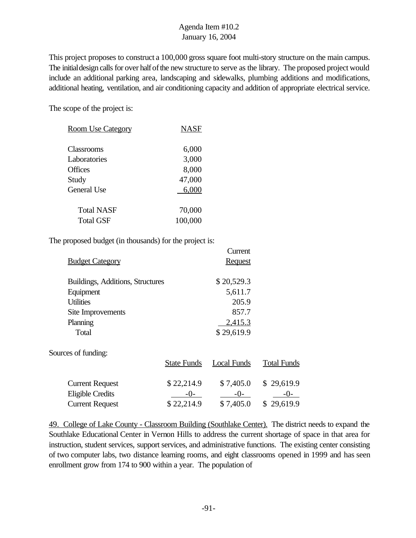This project proposes to construct a 100,000 gross square foot multi-story structure on the main campus. The initial design calls for over half of the new structure to serve as the library. The proposed project would include an additional parking area, landscaping and sidewalks, plumbing additions and modifications, additional heating, ventilation, and air conditioning capacity and addition of appropriate electrical service.

The scope of the project is:

| <b>Room Use Category</b> | NASF    |
|--------------------------|---------|
| Classrooms               | 6,000   |
| Laboratories             | 3,000   |
| <b>Offices</b>           | 8,000   |
| Study                    | 47,000  |
| <b>General Use</b>       | 6,000   |
| <b>Total NASF</b>        | 70,000  |
| Total GSF                | 100,000 |

The proposed budget (in thousands) for the project is:

|                                  |                    | Current            |                    |
|----------------------------------|--------------------|--------------------|--------------------|
| <b>Budget Category</b>           |                    | <b>Request</b>     |                    |
| Buildings, Additions, Structures |                    | \$20,529.3         |                    |
| Equipment                        |                    | 5,611.7            |                    |
| <b>Utilities</b>                 |                    | 205.9              |                    |
| Site Improvements                |                    | 857.7              |                    |
| Planning                         |                    | 2,415.3            |                    |
| Total                            |                    | \$29,619.9         |                    |
| Sources of funding:              |                    |                    |                    |
|                                  | <b>State Funds</b> | <b>Local Funds</b> | <b>Total Funds</b> |
| <b>Current Request</b>           | \$22,214.9         | \$7,405.0          | \$29,619.9         |
| <b>Eligible Credits</b>          | -0-                | $-0-$              | $-()$ -            |
| <b>Current Request</b>           | \$22,214.9         | \$7,405.0          | \$29,619.9         |

49. College of Lake County - Classroom Building (Southlake Center). The district needs to expand the Southlake Educational Center in Vernon Hills to address the current shortage of space in that area for instruction, student services, support services, and administrative functions. The existing center consisting of two computer labs, two distance learning rooms, and eight classrooms opened in 1999 and has seen enrollment grow from 174 to 900 within a year. The population of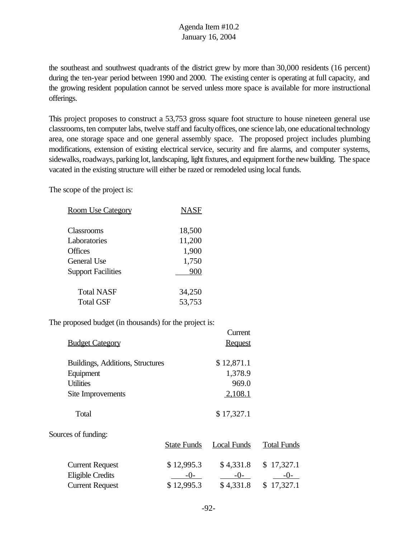the southeast and southwest quadrants of the district grew by more than 30,000 residents (16 percent) during the ten-year period between 1990 and 2000. The existing center is operating at full capacity, and the growing resident population cannot be served unless more space is available for more instructional offerings.

This project proposes to construct a 53,753 gross square foot structure to house nineteen general use classrooms, ten computer labs, twelve staff and facultyoffices, one science lab, one educationaltechnology area, one storage space and one general assembly space. The proposed project includes plumbing modifications, extension of existing electrical service, security and fire alarms, and computer systems, sidewalks, roadways, parking lot, landscaping, light fixtures, and equipment for the new building. The space vacated in the existing structure will either be razed or remodeled using local funds.

The scope of the project is:

| <b>Room Use Category</b>      | NASF           |
|-------------------------------|----------------|
| <b>Classrooms</b>             | 18,500         |
| Laboratories                  | 11,200         |
| <b>Offices</b><br>General Use | 1,900<br>1,750 |
| <b>Support Facilities</b>     | 900            |
| <b>Total NASF</b>             | 34,250         |
| Total GSF                     | 53,753         |

The proposed budget (in thousands) for the project is:

|                                  |                    | Current            |                    |
|----------------------------------|--------------------|--------------------|--------------------|
| <b>Budget Category</b>           |                    | <b>Request</b>     |                    |
| Buildings, Additions, Structures |                    | \$12,871.1         |                    |
| Equipment                        |                    | 1,378.9            |                    |
| <b>Utilities</b>                 |                    | 969.0              |                    |
| Site Improvements                |                    | 2,108.1            |                    |
| Total                            |                    | \$17,327.1         |                    |
| Sources of funding:              |                    |                    |                    |
|                                  | <b>State Funds</b> | <b>Local Funds</b> | <b>Total Funds</b> |
| <b>Current Request</b>           | \$12,995.3         | \$4,331.8          | \$17,327.1         |
| <b>Eligible Credits</b>          | -0-                | $-0-$              | $-0-$              |
| <b>Current Request</b>           | \$12,995.3         | \$4,331.8          | 17,327.1<br>\$     |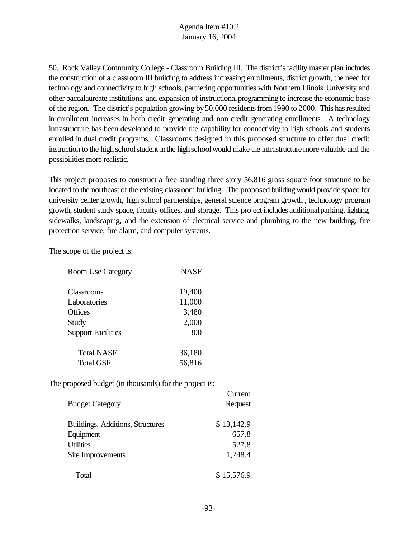50. Rock Valley Community College - Classroom Building III. The district'sfacility master plan includes the construction of a classroom III building to address increasing enrollments, district growth, the need for technology and connectivity to high schools, partnering opportunities with Northern Illinois University and other baccalaureate institutions, and expansion of instructionalprogramming to increase the economic base of the region. The district's population growing by 50,000 residents from 1990 to 2000. This has resulted in enrollment increases in both credit generating and non credit generating enrollments. A technology infrastructure has been developed to provide the capability for connectivity to high schools and students enrolled in dual credit programs. Classrooms designed in this proposed structure to offer dual credit instruction to the high school student in the high school would make the infrastructure more valuable and the possibilities more realistic.

This project proposes to construct a free standing three story 56,816 gross square foot structure to be located to the northeast of the existing classroom building. The proposed building would provide space for university center growth, high school partnerships, general science program growth , technology program growth, student study space, faculty offices, and storage. This project includes additionalparking, lighting, sidewalks, landscaping, and the extension of electrical service and plumbing to the new building, fire protection service, fire alarm, and computer systems.

The scope of the project is:

| <b>Room Use Category</b>  | <b>NASF</b> |
|---------------------------|-------------|
| Classrooms                | 19,400      |
| Laboratories              | 11,000      |
| Offices                   | 3,480       |
| Study                     | 2,000       |
| <b>Support Facilities</b> | 300         |
| <b>Total NASF</b>         | 36,180      |
| <b>Total GSF</b>          | 56,816      |

The proposed budget (in thousands) for the project is:

|                                  | Vancie         |
|----------------------------------|----------------|
| <b>Budget Category</b>           | <b>Request</b> |
| Buildings, Additions, Structures | \$13,142.9     |
| Equipment                        | 657.8          |
| <b>Utilities</b>                 | 527.8          |
| Site Improvements                | 1,248.4        |
| Total                            | \$15,576.9     |

Current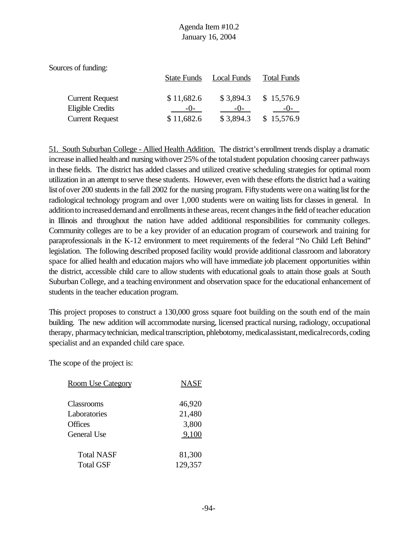| Local Funds | <b>Total Funds</b>                                          |
|-------------|-------------------------------------------------------------|
|             |                                                             |
|             | \$15,576.9                                                  |
| $-()$       |                                                             |
| \$3,894.3   | \$15,576.9                                                  |
|             | <b>State Funds</b><br>\$11,682.6<br>\$3,894.3<br>\$11,682.6 |

51. South Suburban College - Allied Health Addition. The district's enrollment trends display a dramatic increase in allied health and nursing with over 25% of the total student population choosing career pathways in these fields. The district has added classes and utilized creative scheduling strategies for optimal room utilization in an attempt to serve these students. However, even with these efforts the district had a waiting list of over 200 students in the fall 2002 for the nursing program. Fifty students were on a waiting list for the radiological technology program and over 1,000 students were on waiting lists for classes in general. In addition to increased demand and enrollments in these areas, recent changes in the field of teacher education in Illinois and throughout the nation have added additional responsibilities for community colleges. Community colleges are to be a key provider of an education program of coursework and training for paraprofessionals in the K-12 environment to meet requirements of the federal "No Child Left Behind" legislation. The following described proposed facility would provide additional classroom and laboratory space for allied health and education majors who will have immediate job placement opportunities within the district, accessible child care to allow students with educational goals to attain those goals at South Suburban College, and a teaching environment and observation space for the educational enhancement of students in the teacher education program.

This project proposes to construct a 130,000 gross square foot building on the south end of the main building. The new addition will accommodate nursing, licensed practical nursing, radiology, occupational therapy, pharmacy technician, medical transcription, phlebotomy, medical assistant, medical records, coding specialist and an expanded child care space.

The scope of the project is:

| <b>Room Use Category</b> | <b>NASF</b> |
|--------------------------|-------------|
| Classrooms               | 46,920      |
| Laboratories             | 21,480      |
| Offices                  | 3,800       |
| General Use              | 9,100       |
| <b>Total NASF</b>        | 81,300      |
| <b>Total GSF</b>         | 129,357     |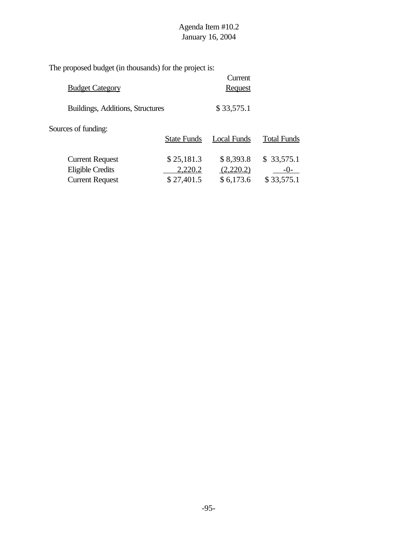The proposed budget (in thousands) for the project is:

| <b>Budget Category</b>                            |                       | Current<br><b>Request</b> |                       |
|---------------------------------------------------|-----------------------|---------------------------|-----------------------|
| Buildings, Additions, Structures                  | \$33,575.1            |                           |                       |
| Sources of funding:                               | <b>State Funds</b>    | Local Funds               | <b>Total Funds</b>    |
| <b>Current Request</b><br><b>Eligible Credits</b> | \$25,181.3<br>2,220.2 | \$8,393.8<br>(2,220.2)    | \$33,575.1<br>$-()$ - |
| <b>Current Request</b>                            | \$27,401.5            | \$6,173.6                 | \$33,575.1            |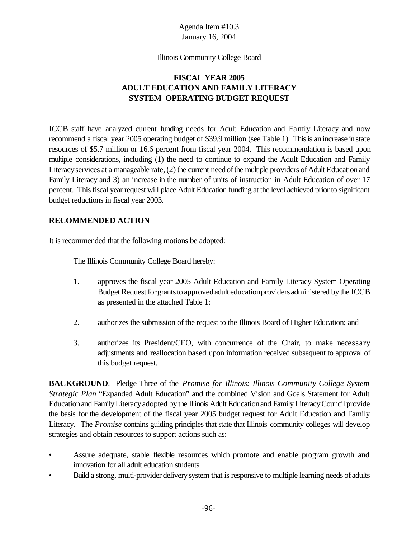#### Illinois Community College Board

#### **FISCAL YEAR 2005 ADULT EDUCATION AND FAMILY LITERACY SYSTEM OPERATING BUDGET REQUEST**

ICCB staff have analyzed current funding needs for Adult Education and Family Literacy and now recommend a fiscal year 2005 operating budget of \$39.9 million (see Table 1). Thisis anincrease instate resources of \$5.7 million or 16.6 percent from fiscal year 2004. This recommendation is based upon multiple considerations, including (1) the need to continue to expand the Adult Education and Family Literacy services at a manageable rate, (2) the current need of the multiple providers of Adult Education and Family Literacy and 3) an increase in the number of units of instruction in Adult Education of over 17 percent. This fiscal year request will place Adult Education funding at the level achieved prior to significant budget reductions in fiscal year 2003.

#### **RECOMMENDED ACTION**

It is recommended that the following motions be adopted:

The Illinois Community College Board hereby:

- 1. approves the fiscal year 2005 Adult Education and Family Literacy System Operating Budget Request for grants to approved adult education providers administered by the ICCB as presented in the attached Table 1:
- 2. authorizes the submission of the request to the Illinois Board of Higher Education; and
- 3. authorizes its President/CEO, with concurrence of the Chair, to make necessary adjustments and reallocation based upon information received subsequent to approval of this budget request.

**BACKGROUND**. Pledge Three of the *Promise for Illinois: Illinois Community College System Strategic Plan* "Expanded Adult Education" and the combined Vision and Goals Statement for Adult Educationand FamilyLiteracyadopted bythe Illinois Adult Educationand FamilyLiteracyCouncil provide the basis for the development of the fiscal year 2005 budget request for Adult Education and Family Literacy. The *Promise* contains guiding principles that state that Illinois community colleges will develop strategies and obtain resources to support actions such as:

- Assure adequate, stable flexible resources which promote and enable program growth and innovation for all adult education students
- Build a strong, multi-provider deliverysystem that is responsive to multiple learning needs of adults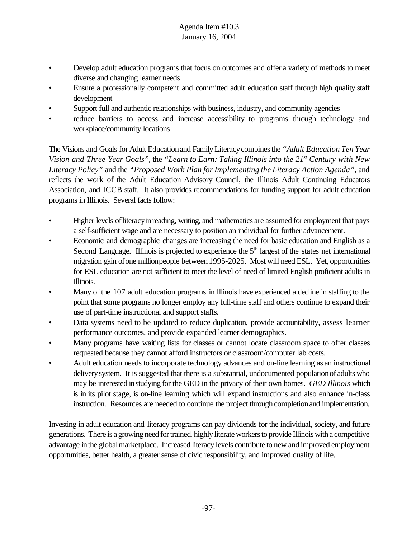- Develop adult education programs that focus on outcomes and offer a variety of methods to meet diverse and changing learner needs
- Ensure a professionally competent and committed adult education staff through high quality staff development
- Support full and authentic relationships with business, industry, and community agencies
- reduce barriers to access and increase accessibility to programs through technology and workplace/community locations

The Visions and Goals for Adult Educationand FamilyLiteracycombinesthe *"Adult Education Ten Year Vision and Three Year Goals"*, the *"Learn to Earn: Taking Illinois into the 21st Century with New Literacy Policy"* and the *"Proposed Work Plan forImplementing the Literacy Action Agenda"*, and reflects the work of the Adult Education Advisory Council, the Illinois Adult Continuing Educators Association, and ICCB staff. It also provides recommendations for funding support for adult education programs in Illinois. Several facts follow:

- Higher levels of literacy in reading, writing, and mathematics are assumed for employment that pays a self-sufficient wage and are necessary to position an individual for further advancement.
- Economic and demographic changes are increasing the need for basic education and English as a Second Language. Illinois is projected to experience the  $5<sup>th</sup>$  largest of the states net international migration gain ofone millionpeople between1995-2025. Most will need ESL. Yet, opportunities for ESL education are not sufficient to meet the level of need of limited English proficient adults in Illinois.
- Many of the 107 adult education programs in Illinois have experienced a decline in staffing to the point that some programs no longer employ any full-time staff and others continue to expand their use of part-time instructional and support staffs.
- Data systems need to be updated to reduce duplication, provide accountability, assess learner performance outcomes, and provide expanded learner demographics.
- Many programs have waiting lists for classes or cannot locate classroom space to offer classes requested because they cannot afford instructors or classroom/computer lab costs.
- Adult education needs to incorporate technology advances and on-line learning as an instructional deliverysystem. It is suggested that there is a substantial, undocumented populationof adults who may be interested instudying for the GED in the privacy of their own homes. *GED Illinois* which is in its pilot stage, is on-line learning which will expand instructions and also enhance in-class instruction. Resources are needed to continue the project through completionand implementation.

Investing in adult education and literacy programs can pay dividends for the individual, society, and future generations. There is a growing need for trained, highly literate workers to provide Illinois with a competitive advantage inthe globalmarketplace. Increased literacy levels contribute to new and improved employment opportunities, better health, a greater sense of civic responsibility, and improved quality of life.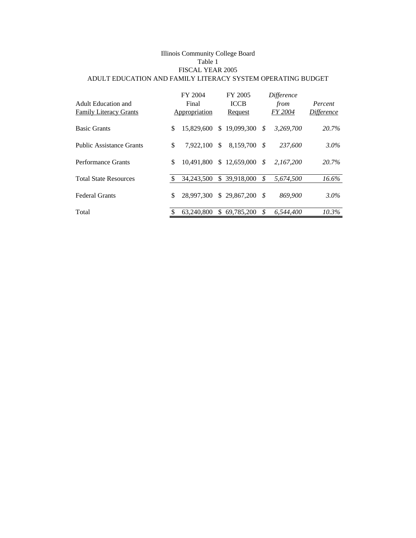#### Illinois Community College Board Table 1 FISCAL YEAR 2005 ADULT EDUCATION AND FAMILY LITERACY SYSTEM OPERATING BUDGET

| <b>Adult Education and</b><br><b>Family Literacy Grants</b> | FY 2004<br>Final<br>Appropriation |     | FY 2005<br><b>ICCB</b><br>Request |      | Difference<br>from<br>FY 2004 | Percent<br><i>Difference</i> |
|-------------------------------------------------------------|-----------------------------------|-----|-----------------------------------|------|-------------------------------|------------------------------|
| <b>Basic Grants</b>                                         | \$<br>15,829,600                  |     | \$19,099,300                      | - \$ | 3,269,700                     | 20.7%                        |
| <b>Public Assistance Grants</b>                             | \$<br>7.922.100                   | S   | 8.159.700                         | - \$ | 237,600                       | $3.0\%$                      |
| Performance Grants                                          | \$<br>10.491.800                  |     | \$12,659,000                      | - S  | 2.167.200                     | 20.7%                        |
| <b>Total State Resources</b>                                | 34,243,500                        | \$. | 39.918.000                        | \$   | 5.674.500                     | $16.6\%$                     |
| <b>Federal Grants</b>                                       | \$<br>28,997,300                  |     | \$29,867,200                      | - \$ | 869,900                       | $3.0\%$                      |
| Total                                                       | 63,240,800                        | \$. | 69.785.200                        | .Я   | 6.544.400                     | $10.3\%$                     |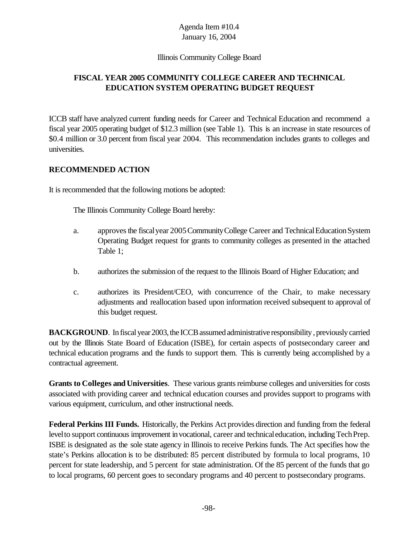#### Illinois Community College Board

# **FISCAL YEAR 2005 COMMUNITY COLLEGE CAREER AND TECHNICAL EDUCATION SYSTEM OPERATING BUDGET REQUEST**

ICCB staff have analyzed current funding needs for Career and Technical Education and recommend a fiscal year 2005 operating budget of \$12.3 million (see Table 1). This is an increase in state resources of \$0.4 million or 3.0 percent from fiscal year 2004. This recommendation includes grants to colleges and universities.

#### **RECOMMENDED ACTION**

It is recommended that the following motions be adopted:

The Illinois Community College Board hereby:

- a. approvesthe fiscalyear 2005CommunityCollege Career and TechnicalEducationSystem Operating Budget request for grants to community colleges as presented in the attached Table 1;
- b. authorizes the submission of the request to the Illinois Board of Higher Education; and
- c. authorizes its President/CEO, with concurrence of the Chair, to make necessary adjustments and reallocation based upon information received subsequent to approval of this budget request.

**BACKGROUND**. In fiscal year 2003, the ICCB assumed administrative responsibility , previously carried out by the Illinois State Board of Education (ISBE), for certain aspects of postsecondary career and technical education programs and the funds to support them. This is currently being accomplished by a contractual agreement.

**Grants to Colleges and Universities**. These various grants reimburse colleges and universities for costs associated with providing career and technical education courses and provides support to programs with various equipment, curriculum, and other instructional needs.

**Federal Perkins III Funds.** Historically, the Perkins Act provides direction and funding from the federal level to support continuous improvement in vocational, career and technical education, including Tech Prep. ISBE is designated as the sole state agency in Illinois to receive Perkins funds. The Act specifies how the state's Perkins allocation is to be distributed: 85 percent distributed by formula to local programs, 10 percent for state leadership, and 5 percent for state administration. Of the 85 percent of the funds that go to local programs, 60 percent goes to secondary programs and 40 percent to postsecondary programs.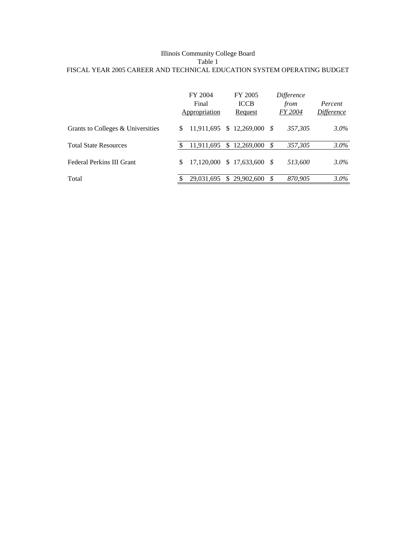#### Illinois Community College Board Table 1 FISCAL YEAR 2005 CAREER AND TECHNICAL EDUCATION SYSTEM OPERATING BUDGET

|                                   |     | FY 2004<br>Final<br>Appropriation |     | FY 2005<br><b>ICCB</b><br>Request |     | Difference<br>from<br><i>FY 2004</i> | Percent<br>Difference |
|-----------------------------------|-----|-----------------------------------|-----|-----------------------------------|-----|--------------------------------------|-----------------------|
| Grants to Colleges & Universities | \$. | 11,911,695                        |     | $$12,269,000$ \$                  |     | 357.305                              | $3.0\%$               |
| <b>Total State Resources</b>      |     | 11,911,695                        |     | \$12,269,000                      | - S | 357,305                              | $3.0\%$               |
| Federal Perkins III Grant         | \$  | 17.120.000                        |     | $$17,633,600$ \$                  |     | 513.600                              | $3.0\%$               |
| Total                             |     | 29.031.695                        | \$. | 29,902,600                        | \$  | 870.905                              | $3.0\%$               |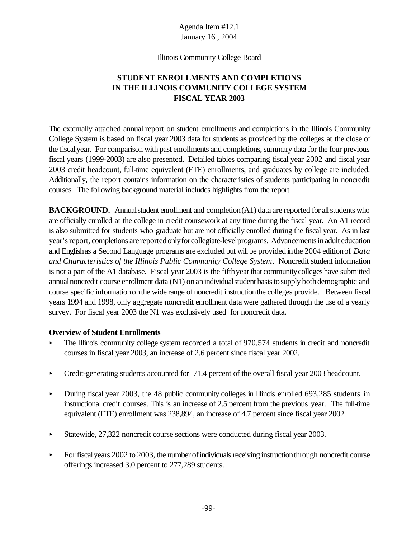Illinois Community College Board

# **STUDENT ENROLLMENTS AND COMPLETIONS IN THE ILLINOIS COMMUNITY COLLEGE SYSTEM FISCAL YEAR 2003**

The externally attached annual report on student enrollments and completions in the Illinois Community College System is based on fiscal year 2003 data for students as provided by the colleges at the close of the fiscalyear. For comparison with past enrollments and completions, summary data for the four previous fiscal years (1999-2003) are also presented. Detailed tables comparing fiscal year 2002 and fiscal year 2003 credit headcount, full-time equivalent (FTE) enrollments, and graduates by college are included. Additionally, the report contains information on the characteristics of students participating in noncredit courses. The following background material includes highlights from the report.

**BACKGROUND.** Annual student enrollment and completion (A1) data are reported for all students who are officially enrolled at the college in credit coursework at any time during the fiscal year. An A1 record is also submitted for students who graduate but are not officially enrolled during the fiscal year. As in last year's report, completions are reported only for collegiate-level programs. Advancements in adult education and Englishas a Second Language programs are excluded but willbe provided inthe 2004 editionof *Data and Characteristics of the Illinois Public Community College System*. Noncredit student information is not a part of the A1 database. Fiscal year 2003 is the fifthyearthat communitycolleges have submitted annual noncredit course enrollment data (N1) on an individual student basis to supply both demographic and course specific informationonthe wide range ofnoncredit instructionthe colleges provide. Between fiscal years 1994 and 1998, only aggregate noncredit enrollment data were gathered through the use of a yearly survey. For fiscal year 2003 the N1 was exclusively used for noncredit data.

#### **Overview of Student Enrollments**

- The Illinois community college system recorded a total of 970,574 students in credit and noncredit courses in fiscal year 2003, an increase of 2.6 percent since fiscal year 2002.
- Credit-generating students accounted for 71.4 percent of the overall fiscal year 2003 headcount.
- During fiscal year 2003, the 48 public community colleges in Illinois enrolled 693,285 students in instructional credit courses. This is an increase of 2.5 percent from the previous year. The full-time equivalent (FTE) enrollment was 238,894, an increase of 4.7 percent since fiscal year 2002.
- Statewide, 27,322 noncredit course sections were conducted during fiscal year 2003.
- $\blacktriangleright$  For fiscal years 2002 to 2003, the number of individuals receiving instruction through noncredit course offerings increased 3.0 percent to 277,289 students.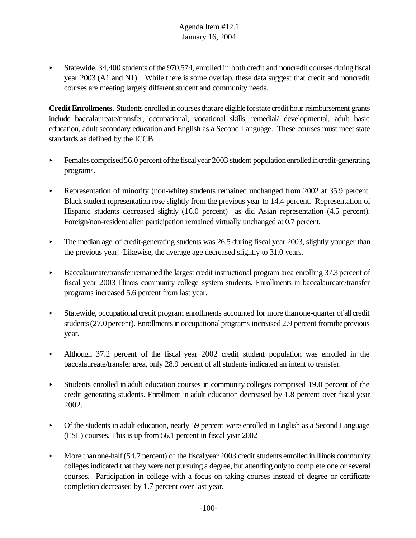$\blacktriangleright$  Statewide, 34,400 students of the 970,574, enrolled in both credit and noncredit courses during fiscal year 2003 (A1 and N1). While there is some overlap, these data suggest that credit and noncredit courses are meeting largely different student and community needs.

**Credit Enrollments**. Students enrolled in courses that are eligible for state credit hour reimbursement grants include baccalaureate/transfer, occupational, vocational skills, remedial/ developmental, adult basic education, adult secondary education and English as a Second Language. These courses must meet state standards as defined by the ICCB.

- $\blacktriangleright$  Females comprised 56.0 percent of the fiscal year 2003 student population enrolled incredit-generating programs.
- Representation of minority (non-white) students remained unchanged from  $2002$  at 35.9 percent. Black student representation rose slightly from the previous year to 14.4 percent. Representation of Hispanic students decreased slightly (16.0 percent) as did Asian representation (4.5 percent). Foreign/non-resident alien participation remained virtually unchanged at 0.7 percent.
- $\blacktriangleright$  The median age of credit-generating students was 26.5 during fiscal year 2003, slightly younger than the previous year. Likewise, the average age decreased slightly to 31.0 years.
- $\blacktriangleright$  Baccalaureate/transfer remained the largest credit instructional program area enrolling 37.3 percent of fiscal year 2003 Illinois community college system students. Enrollments in baccalaureate/transfer programs increased 5.6 percent from last year.
- < Statewide, occupationalcredit program enrollments accounted for more thanone-quarter of all credit students (27.0 percent). Enrollments in occupational programs increased 2.9 percent from the previous year.
- < Although 37.2 percent of the fiscal year 2002 credit student population was enrolled in the baccalaureate/transfer area, only 28.9 percent of all students indicated an intent to transfer.
- < Students enrolled in adult education courses in community colleges comprised 19.0 percent of the credit generating students. Enrollment in adult education decreased by 1.8 percent over fiscal year 2002.
- Of the students in adult education, nearly 59 percent were enrolled in English as a Second Language (ESL) courses. This is up from 56.1 percent in fiscal year 2002
- $\blacktriangleright$  More than one-half (54.7 percent) of the fiscal year 2003 credit students enrolled in Illinois community colleges indicated that they were not pursuing a degree, but attending only to complete one or several courses. Participation in college with a focus on taking courses instead of degree or certificate completion decreased by 1.7 percent over last year.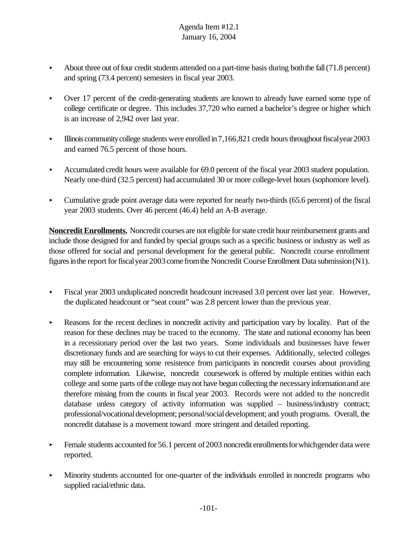- About three out of four credit students attended on a part-time basis during both the fall  $(71.8 \text{ percent})$ and spring (73.4 percent) semesters in fiscal year 2003.
- < Over 17 percent of the credit-generating students are known to already have earned some type of college certificate or degree. This includes 37,720 who earned a bachelor's degree or higher which is an increase of 2,942 over last year.
- Illinois community college students were enrolled in  $7,166,821$  credit hours throughout fiscal year  $2003$ and earned 76.5 percent of those hours.
- Accumulated credit hours were available for 69.0 percent of the fiscal year 2003 student population. Nearly one-third (32.5 percent) had accumulated 30 or more college-level hours (sophomore level).
- Cumulative grade point average data were reported for nearly two-thirds (65.6 percent) of the fiscal year 2003 students. Over 46 percent (46.4) held an A-B average.

**Noncredit Enrollments.** Noncredit courses are not eligible for state credit hour reimbursement grants and include those designed for and funded by special groups such as a specific business or industry as well as those offered for social and personal development for the general public. Noncredit course enrollment figures in the report for fiscal year 2003 come from the Noncredit Course Enrollment Data submission (N1).

- < Fiscal year 2003 unduplicated noncredit headcount increased 3.0 percent over last year. However, the duplicated headcount or "seat count" was 2.8 percent lower than the previous year.
- Reasons for the recent declines in noncredit activity and participation vary by locality. Part of the reason for these declines may be traced to the economy. The state and national economy has been in a recessionary period over the last two years. Some individuals and businesses have fewer discretionary funds and are searching for ways to cut their expenses. Additionally, selected colleges may still be encountering some resistence from participants in noncredit courses about providing complete information. Likewise, noncredit coursework is offered by multiple entities within each college and some parts ofthe college maynot have begun collecting the necessaryinformationand are therefore missing from the counts in fiscal year 2003. Records were not added to the noncredit database unless category of activity information was supplied – business/industry contract; professional/vocational development; personal/social development; and youth programs. Overall, the noncredit database is a movement toward more stringent and detailed reporting.
- Female students accounted for 56.1 percent of 2003 noncredit enrollments for which gender data were reported.
- < Minority students accounted for one-quarter of the individuals enrolled in noncredit programs who supplied racial/ethnic data.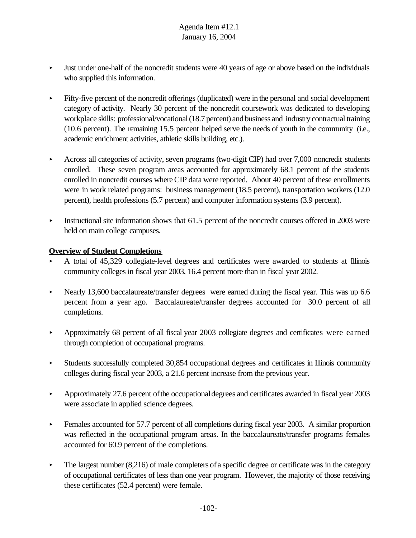- < Just under one-half of the noncredit students were 40 years of age or above based on the individuals who supplied this information.
- < Fifty-five percent of the noncredit offerings (duplicated) were in the personal and social development category of activity. Nearly 30 percent of the noncredit coursework was dedicated to developing workplace skills: professional/vocational (18.7 percent) and business and industry contractual training (10.6 percent). The remaining 15.5 percent helped serve the needs of youth in the community (i.e., academic enrichment activities, athletic skills building, etc.).
- < Across all categories of activity, seven programs (two-digit CIP) had over 7,000 noncredit students enrolled. These seven program areas accounted for approximately 68.1 percent of the students enrolled in noncredit courses whereCIP data were reported. About 40 percent of these enrollments were in work related programs: business management (18.5 percent), transportation workers (12.0 percent), health professions (5.7 percent) and computer information systems (3.9 percent).
- $\blacktriangleright$  Instructional site information shows that 61.5 percent of the noncredit courses offered in 2003 were held on main college campuses.

#### **Overview of Student Completions**

- < A total of 45,329 collegiate-level degrees and certificates were awarded to students at Illinois community colleges in fiscal year 2003, 16.4 percent more than in fiscal year 2002.
- Nearly 13,600 baccalaureate/transfer degrees were earned during the fiscal year. This was up  $6.6$ percent from a year ago. Baccalaureate/transfer degrees accounted for 30.0 percent of all completions.
- < Approximately 68 percent of all fiscal year 2003 collegiate degrees and certificates were earned through completion of occupational programs.
- < Students successfully completed 30,854 occupational degrees and certificates in Illinois community colleges during fiscal year 2003, a 21.6 percent increase from the previous year.
- Approximately 27.6 percent of the occupational degrees and certificates awarded in fiscal year  $2003$ were associate in applied science degrees.
- **Example 3** Females accounted for 57.7 percent of all completions during fiscal year 2003. A similar proportion was reflected in the occupational program areas. In the baccalaureate/transfer programs females accounted for 60.9 percent of the completions.
- $\blacktriangleright$  The largest number (8,216) of male completers of a specific degree or certificate was in the category of occupational certificates of less than one year program. However, the majority of those receiving these certificates (52.4 percent) were female.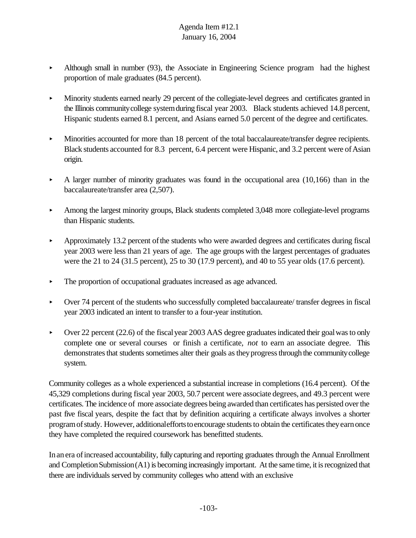- $\blacktriangleright$  Although small in number (93), the Associate in Engineering Science program had the highest proportion of male graduates (84.5 percent).
- < Minority students earned nearly 29 percent of the collegiate-level degrees and certificates granted in the Illinois community college system during fiscal year 2003. Black students achieved 14.8 percent, Hispanic students earned 8.1 percent, and Asians earned 5.0 percent of the degree and certificates.
- Minorities accounted for more than 18 percent of the total baccalaureate/transfer degree recipients. Black students accounted for 8.3 percent, 6.4 percent were Hispanic, and 3.2 percent were of Asian origin.
- $\blacktriangleright$  A larger number of minority graduates was found in the occupational area (10,166) than in the baccalaureate/transfer area (2,507).
- Among the largest minority groups, Black students completed 3,048 more collegiate-level programs than Hispanic students.
- Approximately 13.2 percent of the students who were awarded degrees and certificates during fiscal year 2003 were less than 21 years of age. The age groups with the largest percentages of graduates were the 21 to 24 (31.5 percent), 25 to 30 (17.9 percent), and 40 to 55 year olds (17.6 percent).
- $\triangleright$  The proportion of occupational graduates increased as age advanced.
- < Over 74 percent of the students who successfully completed baccalaureate/ transfer degrees in fiscal year 2003 indicated an intent to transfer to a four-year institution.
- $\triangleright$  Over 22 percent (22.6) of the fiscal year 2003 AAS degree graduates indicated their goal was to only complete one or several courses or finish a certificate, *not* to earn an associate degree. This demonstrates that students sometimes alter their goals as they progress through the community college system.

Community colleges as a whole experienced a substantial increase in completions (16.4 percent). Of the 45,329 completions during fiscal year 2003, 50.7 percent were associate degrees, and 49.3 percent were certificates. The incidence of more associate degrees being awarded than certificates has persisted over the past five fiscal years, despite the fact that by definition acquiring a certificate always involves a shorter program of study. However, additionalefforts to encourage students to obtain the certificates they earn once they have completed the required coursework has benefitted students.

Inanera ofincreased accountability, fullycapturing and reporting graduates through the Annual Enrollment and Completion Submission $(A1)$  is becoming increasingly important. At the same time, it is recognized that there are individuals served by community colleges who attend with an exclusive